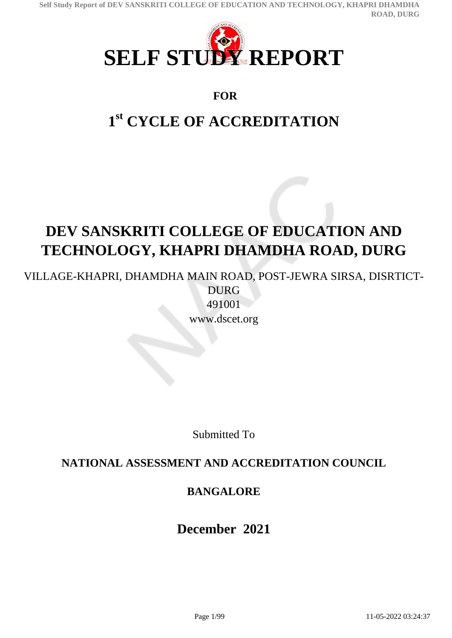**Self Study Report of DEV SANSKRITI COLLEGE OF EDUCATION AND TECHNOLOGY, KHAPRI DHAMDHA ROAD, DURG**



# **FOR**

# **1 st CYCLE OF ACCREDITATION**

# **DEV SANSKRITI COLLEGE OF EDUCATION AND TECHNOLOGY, KHAPRI DHAMDHA ROAD, DURG**

VILLAGE-KHAPRI, DHAMDHA MAIN ROAD, POST-JEWRA SIRSA, DISRTICT-DURG

491001 www.dscet.org

Submitted To

# **NATIONAL ASSESSMENT AND ACCREDITATION COUNCIL**

# **BANGALORE**

**December 2021**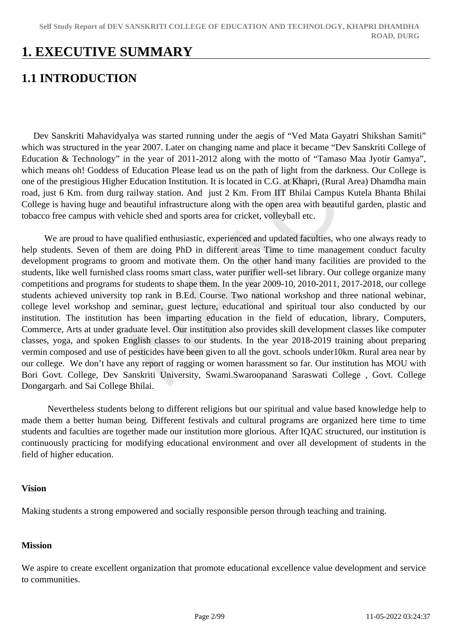# **1. EXECUTIVE SUMMARY**

# **1.1 INTRODUCTION**

 Dev Sanskriti Mahavidyalya was started running under the aegis of "Ved Mata Gayatri Shikshan Samiti" which was structured in the year 2007. Later on changing name and place it became "Dev Sanskriti College of Education & Technology" in the year of 2011-2012 along with the motto of "Tamaso Maa Jyotir Gamya", which means oh! Goddess of Education Please lead us on the path of light from the darkness. Our College is one of the prestigious Higher Education Institution. It is located in C.G. at Khapri, (Rural Area) Dhamdha main road, just 6 Km. from durg railway station. And just 2 Km. From IIT Bhilai Campus Kutela Bhanta Bhilai College is having huge and beautiful infrastructure along with the open area with beautiful garden, plastic and tobacco free campus with vehicle shed and sports area for cricket, volleyball etc.

 We are proud to have qualified enthusiastic, experienced and updated faculties, who one always ready to help students. Seven of them are doing PhD in different areas Time to time management conduct faculty development programs to groom and motivate them. On the other hand many facilities are provided to the students, like well furnished class rooms smart class, water purifier well-set library. Our college organize many competitions and programs for students to shape them. In the year 2009-10, 2010-2011, 2017-2018, our college students achieved university top rank in B.Ed. Course. Two national workshop and three national webinar, college level workshop and seminar, guest lecture, educational and spiritual tour also conducted by our institution. The institution has been imparting education in the field of education, library, Computers, Commerce, Arts at under graduate level. Our institution also provides skill development classes like computer classes, yoga, and spoken English classes to our students. In the year 2018-2019 training about preparing vermin composed and use of pesticides have been given to all the govt. schools under10km. Rural area near by our college. We don't have any report of ragging or women harassment so far. Our institution has MOU with Bori Govt. College, Dev Sanskriti University, Swami.Swaroopanand Saraswati College , Govt. College Dongargarh. and Sai College Bhilai.

 Nevertheless students belong to different religions but our spiritual and value based knowledge help to made them a better human being. Different festivals and cultural programs are organized here time to time students and faculties are together made our institution more glorious. After IQAC structured, our institution is continuously practicing for modifying educational environment and over all development of students in the field of higher education.

#### **Vision**

Making students a strong empowered and socially responsible person through teaching and training.

#### **Mission**

We aspire to create excellent organization that promote educational excellence value development and service to communities.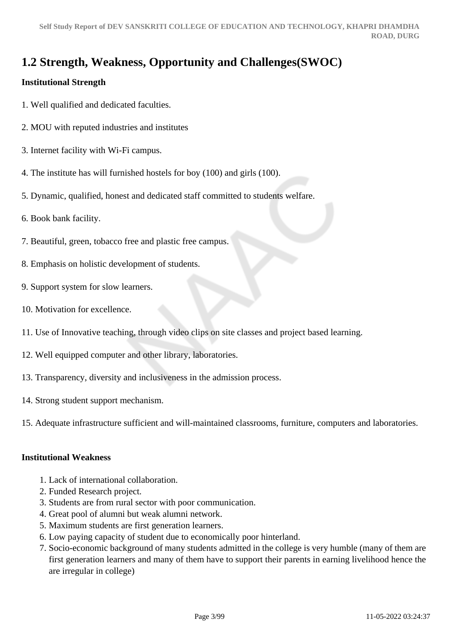# **1.2 Strength, Weakness, Opportunity and Challenges(SWOC)**

# **Institutional Strength**

- 1. Well qualified and dedicated faculties.
- 2. MOU with reputed industries and institutes
- 3. Internet facility with Wi-Fi campus.
- 4. The institute has will furnished hostels for boy (100) and girls (100).
- 5. Dynamic, qualified, honest and dedicated staff committed to students welfare.
- 6. Book bank facility.
- 7. Beautiful, green, tobacco free and plastic free campus.
- 8. Emphasis on holistic development of students.
- 9. Support system for slow learners.
- 10. Motivation for excellence.
- 11. Use of Innovative teaching, through video clips on site classes and project based learning.
- 12. Well equipped computer and other library, laboratories.
- 13. Transparency, diversity and inclusiveness in the admission process.
- 14. Strong student support mechanism.
- 15. Adequate infrastructure sufficient and will-maintained classrooms, furniture, computers and laboratories.

#### **Institutional Weakness**

- 1. Lack of international collaboration.
- 2. Funded Research project.
- 3. Students are from rural sector with poor communication.
- 4. Great pool of alumni but weak alumni network.
- 5. Maximum students are first generation learners.
- 6. Low paying capacity of student due to economically poor hinterland.
- 7. Socio-economic background of many students admitted in the college is very humble (many of them are first generation learners and many of them have to support their parents in earning livelihood hence the are irregular in college)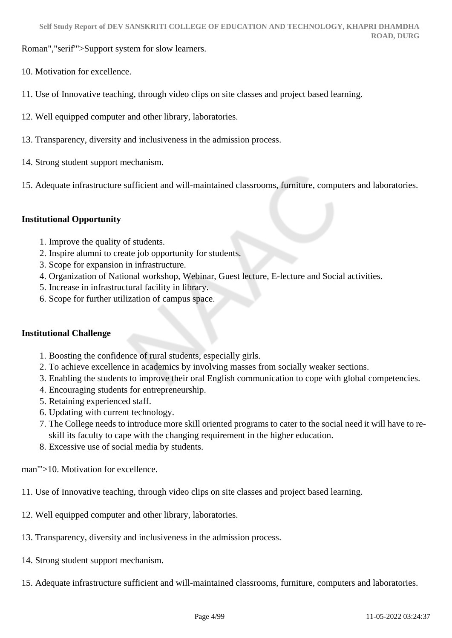Roman","serif"'>Support system for slow learners.

- 10. Motivation for excellence.
- 11. Use of Innovative teaching, through video clips on site classes and project based learning.
- 12. Well equipped computer and other library, laboratories.
- 13. Transparency, diversity and inclusiveness in the admission process.
- 14. Strong student support mechanism.
- 15. Adequate infrastructure sufficient and will-maintained classrooms, furniture, computers and laboratories.

#### **Institutional Opportunity**

- 1. Improve the quality of students.
- 2. Inspire alumni to create job opportunity for students.
- 3. Scope for expansion in infrastructure.
- 4. Organization of National workshop, Webinar, Guest lecture, E-lecture and Social activities.
- 5. Increase in infrastructural facility in library.
- 6. Scope for further utilization of campus space.

#### **Institutional Challenge**

- 1. Boosting the confidence of rural students, especially girls.
- 2. To achieve excellence in academics by involving masses from socially weaker sections.
- 3. Enabling the students to improve their oral English communication to cope with global competencies.
- 4. Encouraging students for entrepreneurship.
- 5. Retaining experienced staff.
- 6. Updating with current technology.
- 7. The College needs to introduce more skill oriented programs to cater to the social need it will have to reskill its faculty to cape with the changing requirement in the higher education.
- 8. Excessive use of social media by students.

man"'>10. Motivation for excellence.

- 11. Use of Innovative teaching, through video clips on site classes and project based learning.
- 12. Well equipped computer and other library, laboratories.
- 13. Transparency, diversity and inclusiveness in the admission process.
- 14. Strong student support mechanism.
- 15. Adequate infrastructure sufficient and will-maintained classrooms, furniture, computers and laboratories.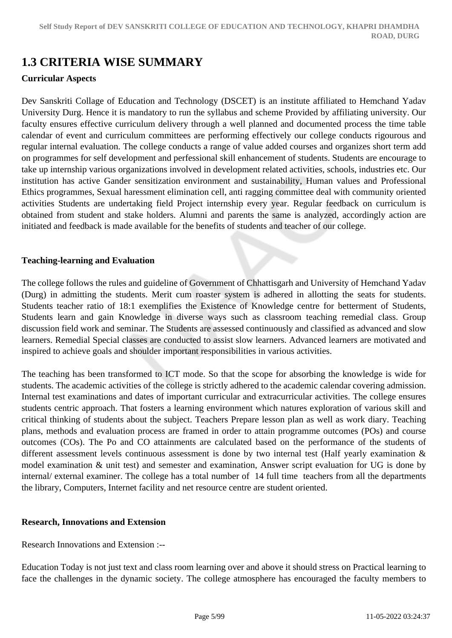# **1.3 CRITERIA WISE SUMMARY**

#### **Curricular Aspects**

Dev Sanskriti Collage of Education and Technology (DSCET) is an institute affiliated to Hemchand Yadav University Durg. Hence it is mandatory to run the syllabus and scheme Provided by affiliating university. Our faculty ensures effective curriculum delivery through a well planned and documented process the time table calendar of event and curriculum committees are performing effectively our college conducts rigourous and regular internal evaluation. The college conducts a range of value added courses and organizes short term add on programmes for self development and perfessional skill enhancement of students. Students are encourage to take up internship various organizations involved in development related activities, schools, industries etc. Our institution has active Gander sensitization environment and sustainability, Human values and Professional Ethics programmes, Sexual haressment elimination cell, anti ragging committee deal with community oriented activities Students are undertaking field Project internship every year. Regular feedback on curriculum is obtained from student and stake holders. Alumni and parents the same is analyzed, accordingly action are initiated and feedback is made available for the benefits of students and teacher of our college.

#### **Teaching-learning and Evaluation**

The college follows the rules and guideline of Government of Chhattisgarh and University of Hemchand Yadav (Durg) in admitting the students. Merit cum roaster system is adhered in allotting the seats for students. Students teacher ratio of 18:1 exemplifies the Existence of Knowledge centre for betterment of Students, Students learn and gain Knowledge in diverse ways such as classroom teaching remedial class. Group discussion field work and seminar. The Students are assessed continuously and classified as advanced and slow learners. Remedial Special classes are conducted to assist slow learners. Advanced learners are motivated and inspired to achieve goals and shoulder important responsibilities in various activities.

The teaching has been transformed to ICT mode. So that the scope for absorbing the knowledge is wide for students. The academic activities of the college is strictly adhered to the academic calendar covering admission. Internal test examinations and dates of important curricular and extracurricular activities. The college ensures students centric approach. That fosters a learning environment which natures exploration of various skill and critical thinking of students about the subject. Teachers Prepare lesson plan as well as work diary. Teaching plans, methods and evaluation process are framed in order to attain programme outcomes (POs) and course outcomes (COs). The Po and CO attainments are calculated based on the performance of the students of different assessment levels continuous assessment is done by two internal test (Half yearly examination & model examination & unit test) and semester and examination, Answer script evaluation for UG is done by internal/ external examiner. The college has a total number of 14 full time teachers from all the departments the library, Computers, Internet facility and net resource centre are student oriented.

#### **Research, Innovations and Extension**

Research Innovations and Extension :--

Education Today is not just text and class room learning over and above it should stress on Practical learning to face the challenges in the dynamic society. The college atmosphere has encouraged the faculty members to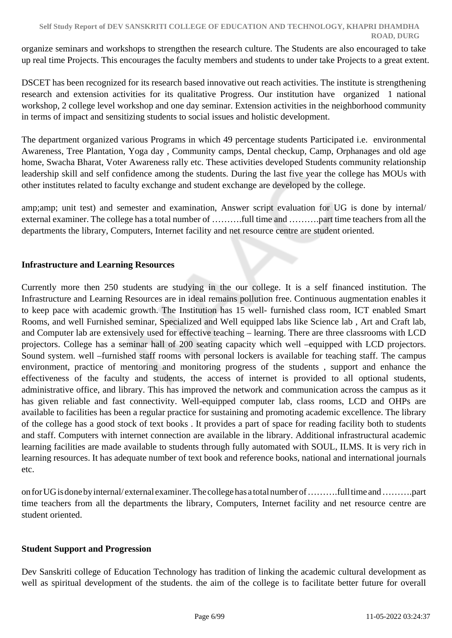organize seminars and workshops to strengthen the research culture. The Students are also encouraged to take up real time Projects. This encourages the faculty members and students to under take Projects to a great extent.

DSCET has been recognized for its research based innovative out reach activities. The institute is strengthening research and extension activities for its qualitative Progress. Our institution have organized 1 national workshop, 2 college level workshop and one day seminar. Extension activities in the neighborhood community in terms of impact and sensitizing students to social issues and holistic development.

The department organized various Programs in which 49 percentage students Participated i.e. environmental Awareness, Tree Plantation, Yoga day , Community camps, Dental checkup, Camp, Orphanages and old age home, Swacha Bharat, Voter Awareness rally etc. These activities developed Students community relationship leadership skill and self confidence among the students. During the last five year the college has MOUs with other institutes related to faculty exchange and student exchange are developed by the college.

amp;amp; unit test) and semester and examination, Answer script evaluation for UG is done by internal/ external examiner. The college has a total number of ……….full time and ……….part time teachers from all the departments the library, Computers, Internet facility and net resource centre are student oriented.

### **Infrastructure and Learning Resources**

Currently more then 250 students are studying in the our college. It is a self financed institution. The Infrastructure and Learning Resources are in ideal remains pollution free. Continuous augmentation enables it to keep pace with academic growth. The Institution has 15 well- furnished class room, ICT enabled Smart Rooms, and well Furnished seminar, Specialized and Well equipped labs like Science lab , Art and Craft lab, and Computer lab are extensively used for effective teaching – learning. There are three classrooms with LCD projectors. College has a seminar hall of 200 seating capacity which well –equipped with LCD projectors. Sound system. well –furnished staff rooms with personal lockers is available for teaching staff. The campus environment, practice of mentoring and monitoring progress of the students , support and enhance the effectiveness of the faculty and students, the access of internet is provided to all optional students, administrative office, and library. This has improved the network and communication across the campus as it has given reliable and fast connectivity. Well-equipped computer lab, class rooms, LCD and OHPs are available to facilities has been a regular practice for sustaining and promoting academic excellence. The library of the college has a good stock of text books . It provides a part of space for reading facility both to students and staff. Computers with internet connection are available in the library. Additional infrastructural academic learning facilities are made available to students through fully automated with SOUL, ILMS. It is very rich in learning resources. It has adequate number of text book and reference books, national and international journals etc.

on for UG is done by internal/ external examiner. The college has a total number of ……….full time and ……….part time teachers from all the departments the library, Computers, Internet facility and net resource centre are student oriented.

#### **Student Support and Progression**

Dev Sanskriti college of Education Technology has tradition of linking the academic cultural development as well as spiritual development of the students. the aim of the college is to facilitate better future for overall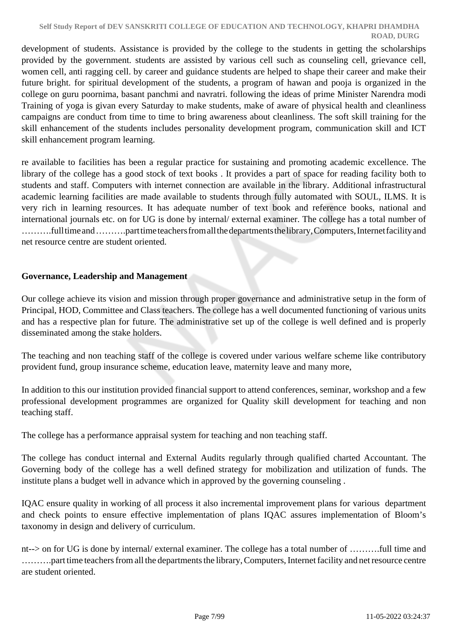development of students. Assistance is provided by the college to the students in getting the scholarships provided by the government. students are assisted by various cell such as counseling cell, grievance cell, women cell, anti ragging cell. by career and guidance students are helped to shape their career and make their future bright. for spiritual development of the students, a program of hawan and pooja is organized in the college on guru poornima, basant panchmi and navratri. following the ideas of prime Minister Narendra modi Training of yoga is givan every Saturday to make students, make of aware of physical health and cleanliness campaigns are conduct from time to time to bring awareness about cleanliness. The soft skill training for the skill enhancement of the students includes personality development program, communication skill and ICT skill enhancement program learning.

re available to facilities has been a regular practice for sustaining and promoting academic excellence. The library of the college has a good stock of text books . It provides a part of space for reading facility both to students and staff. Computers with internet connection are available in the library. Additional infrastructural academic learning facilities are made available to students through fully automated with SOUL, ILMS. It is very rich in learning resources. It has adequate number of text book and reference books, national and international journals etc. on for UG is done by internal/ external examiner. The college has a total number of ……….full time and ……….part time teachers from all the departments the library, Computers, Internet facility and net resource centre are student oriented.

#### **Governance, Leadership and Management**

Our college achieve its vision and mission through proper governance and administrative setup in the form of Principal, HOD, Committee and Class teachers. The college has a well documented functioning of various units and has a respective plan for future. The administrative set up of the college is well defined and is properly disseminated among the stake holders.

The teaching and non teaching staff of the college is covered under various welfare scheme like contributory provident fund, group insurance scheme, education leave, maternity leave and many more,

In addition to this our institution provided financial support to attend conferences, seminar, workshop and a few professional development programmes are organized for Quality skill development for teaching and non teaching staff.

The college has a performance appraisal system for teaching and non teaching staff.

The college has conduct internal and External Audits regularly through qualified charted Accountant. The Governing body of the college has a well defined strategy for mobilization and utilization of funds. The institute plans a budget well in advance which in approved by the governing counseling .

IQAC ensure quality in working of all process it also incremental improvement plans for various department and check points to ensure effective implementation of plans IQAC assures implementation of Bloom's taxonomy in design and delivery of curriculum.

nt--> on for UG is done by internal/ external examiner. The college has a total number of ……….full time and ……….part time teachers from all the departments the library, Computers, Internet facility and net resource centre are student oriented.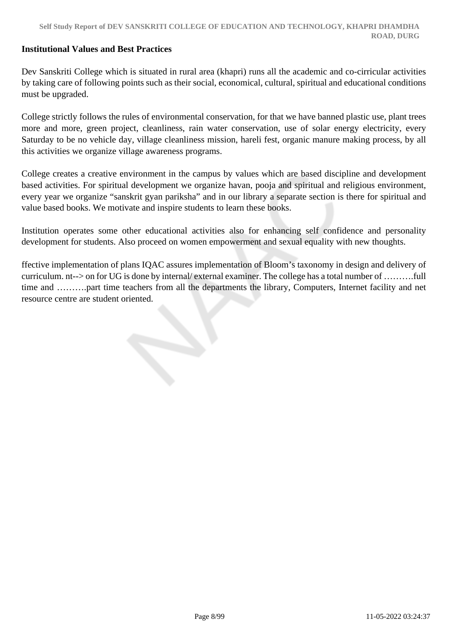#### **Institutional Values and Best Practices**

Dev Sanskriti College which is situated in rural area (khapri) runs all the academic and co-cirricular activities by taking care of following points such as their social, economical, cultural, spiritual and educational conditions must be upgraded.

College strictly follows the rules of environmental conservation, for that we have banned plastic use, plant trees more and more, green project, cleanliness, rain water conservation, use of solar energy electricity, every Saturday to be no vehicle day, village cleanliness mission, hareli fest, organic manure making process, by all this activities we organize village awareness programs.

College creates a creative environment in the campus by values which are based discipline and development based activities. For spiritual development we organize havan, pooja and spiritual and religious environment, every year we organize "sanskrit gyan pariksha" and in our library a separate section is there for spiritual and value based books. We motivate and inspire students to learn these books.

Institution operates some other educational activities also for enhancing self confidence and personality development for students. Also proceed on women empowerment and sexual equality with new thoughts.

ffective implementation of plans IQAC assures implementation of Bloom's taxonomy in design and delivery of curriculum. nt--> on for UG is done by internal/ external examiner. The college has a total number of ……….full time and ……….part time teachers from all the departments the library, Computers, Internet facility and net resource centre are student oriented.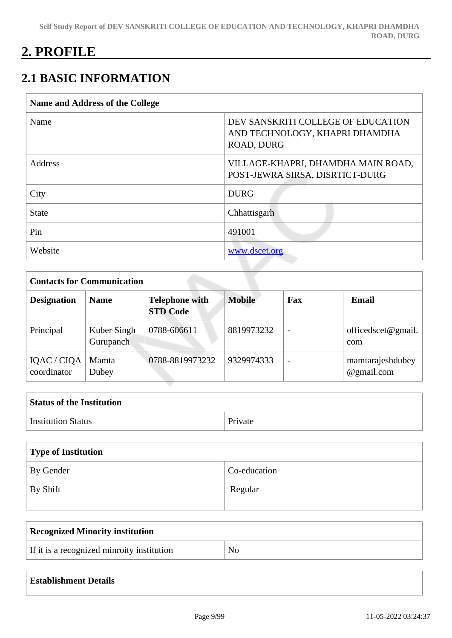# **2. PROFILE**

# **2.1 BASIC INFORMATION**

| <b>Name and Address of the College</b> |                                                                                    |  |  |  |
|----------------------------------------|------------------------------------------------------------------------------------|--|--|--|
| Name                                   | DEV SANSKRITI COLLEGE OF EDUCATION<br>AND TECHNOLOGY, KHAPRI DHAMDHA<br>ROAD, DURG |  |  |  |
| Address                                | VILLAGE-KHAPRI, DHAMDHA MAIN ROAD,<br>POST-JEWRA SIRSA, DISRTICT-DURG              |  |  |  |
| City                                   | <b>DURG</b>                                                                        |  |  |  |
| <b>State</b>                           | Chhattisgarh                                                                       |  |  |  |
| Pin                                    | 491001                                                                             |  |  |  |
| Website                                | www.dscet.org                                                                      |  |  |  |

| <b>Contacts for Communication</b> |                          |                                          |               |                          |                                |  |
|-----------------------------------|--------------------------|------------------------------------------|---------------|--------------------------|--------------------------------|--|
| <b>Designation</b>                | <b>Name</b>              | <b>Telephone with</b><br><b>STD Code</b> | <b>Mobile</b> | Fax                      | Email                          |  |
| Principal                         | Kuber Singh<br>Gurupanch | 0788-606611                              | 8819973232    |                          | officed scet $@$ gmail.<br>com |  |
| IQAC / CIQA<br>coordinator        | Mamta<br>Dubey           | 0788-8819973232                          | 9329974333    | $\overline{\phantom{0}}$ | mamtarajeshdubey<br>@gmail.com |  |

| <b>Status of the Institution</b> |         |
|----------------------------------|---------|
| <b>Institution Status</b>        | Private |

| Type of Institution |              |  |  |
|---------------------|--------------|--|--|
| By Gender           | Co-education |  |  |
| By Shift            | Regular      |  |  |

| <b>Recognized Minority institution</b>     |                |
|--------------------------------------------|----------------|
| If it is a recognized minroity institution | N <sub>0</sub> |

| <b>Establishment Details</b> |
|------------------------------|
|                              |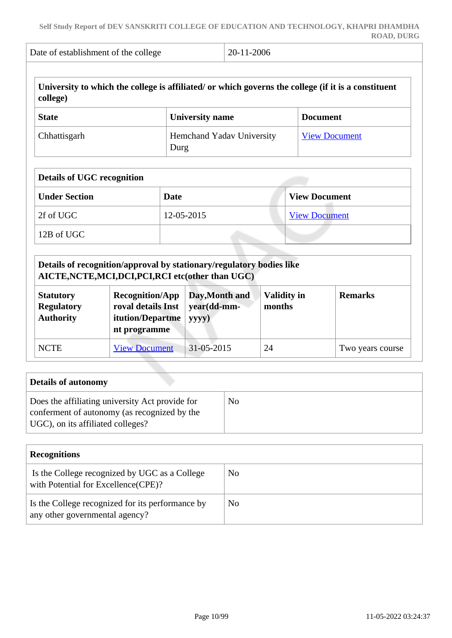| Date of establishment of the college |                        | 20-11-2006                |                                                                                                     |
|--------------------------------------|------------------------|---------------------------|-----------------------------------------------------------------------------------------------------|
| college)                             |                        |                           | University to which the college is affiliated/ or which governs the college (if it is a constituent |
| <b>State</b>                         | <b>University name</b> |                           | <b>Document</b>                                                                                     |
| Chhattisgarh                         | Durg                   | Hemchand Yadav University | <b>View Document</b>                                                                                |
| <b>Details of UGC recognition</b>    |                        |                           |                                                                                                     |
| <b>Under Section</b>                 | Date                   |                           | <b>View Document</b>                                                                                |
| 2f of UGC                            | 12-05-2015             |                           | <b>View Document</b>                                                                                |
| 12B of UGC                           |                        |                           |                                                                                                     |

| Details of recognition/approval by stationary/regulatory bodies like<br>AICTE, NCTE, MCI, DCI, PCI, RCI etc(other than UGC)                                                                                                               |                      |            |    |                  |  |  |
|-------------------------------------------------------------------------------------------------------------------------------------------------------------------------------------------------------------------------------------------|----------------------|------------|----|------------------|--|--|
| Day, Month and<br><b>Recognition/App</b><br><b>Validity in</b><br><b>Remarks</b><br><b>Statutory</b><br>year(dd-mm-<br>roval details Inst<br><b>Regulatory</b><br>months<br><b>Authority</b><br>itution/Departme<br>yyyy)<br>nt programme |                      |            |    |                  |  |  |
| <b>NCTE</b>                                                                                                                                                                                                                               | <b>View Document</b> | 31-05-2015 | 24 | Two years course |  |  |

| Details of autonomy                                                                                                                  |    |
|--------------------------------------------------------------------------------------------------------------------------------------|----|
| Does the affiliating university Act provide for<br>conferment of autonomy (as recognized by the<br>UGC), on its affiliated colleges? | No |

| <b>Recognitions</b>                                                                  |    |
|--------------------------------------------------------------------------------------|----|
| Is the College recognized by UGC as a College<br>with Potential for Excellence(CPE)? | No |
| Is the College recognized for its performance by<br>any other governmental agency?   | No |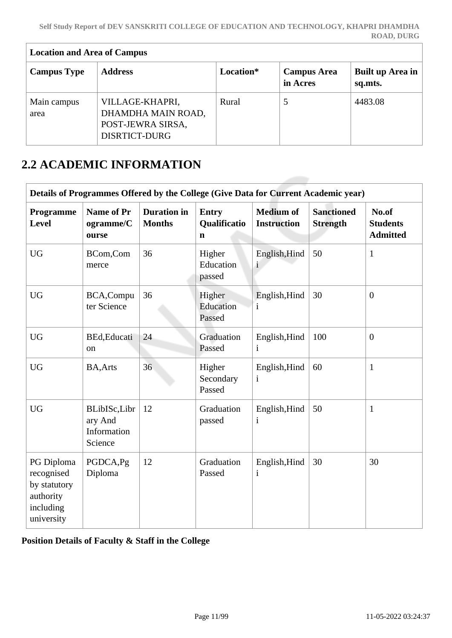| <b>Location and Area of Campus</b> |                                                                                    |           |                                |                             |  |  |
|------------------------------------|------------------------------------------------------------------------------------|-----------|--------------------------------|-----------------------------|--|--|
| <b>Campus Type</b>                 | <b>Address</b>                                                                     | Location* | <b>Campus Area</b><br>in Acres | Built up Area in<br>sq.mts. |  |  |
| Main campus<br>area                | VILLAGE-KHAPRI,<br>DHAMDHA MAIN ROAD,<br>POST-JEWRA SIRSA,<br><b>DISRTICT-DURG</b> | Rural     |                                | 4483.08                     |  |  |

# **2.2 ACADEMIC INFORMATION**

 $\overline{1}$ 

| Details of Programmes Offered by the College (Give Data for Current Academic year) |                                                   |                                     |                                   |                                        |                                      |                                             |
|------------------------------------------------------------------------------------|---------------------------------------------------|-------------------------------------|-----------------------------------|----------------------------------------|--------------------------------------|---------------------------------------------|
| Programme<br>Level                                                                 | <b>Name of Pr</b><br>ogramme/C<br>ourse           | <b>Duration</b> in<br><b>Months</b> | <b>Entry</b><br>Qualificatio<br>n | <b>Medium of</b><br><b>Instruction</b> | <b>Sanctioned</b><br><b>Strength</b> | No.of<br><b>Students</b><br><b>Admitted</b> |
| <b>UG</b>                                                                          | BCom,Com<br>merce                                 | 36                                  | Higher<br>Education<br>passed     | English, Hind<br>$\mathbf{i}$          | 50                                   | $\mathbf{1}$                                |
| <b>UG</b>                                                                          | BCA, Compu<br>ter Science                         | 36                                  | Higher<br>Education<br>Passed     | English, Hind<br>$\mathbf{1}$          | 30                                   | $\overline{0}$                              |
| <b>UG</b>                                                                          | BEd, Educati<br>on                                | 24                                  | Graduation<br>Passed              | English, Hind<br>$\mathbf{i}$          | 100                                  | $\overline{0}$                              |
| <b>UG</b>                                                                          | <b>BA, Arts</b>                                   | 36                                  | Higher<br>Secondary<br>Passed     | English, Hind<br>$\mathbf{i}$          | 60                                   | $\mathbf{1}$                                |
| <b>UG</b>                                                                          | BLibISc,Libr<br>ary And<br>Information<br>Science | 12                                  | Graduation<br>passed              | English, Hind<br>$\mathbf{i}$          | 50                                   | $\mathbf{1}$                                |
| PG Diploma<br>recognised<br>by statutory<br>authority<br>including<br>university   | PGDCA, Pg<br>Diploma                              | 12                                  | Graduation<br>Passed              | English, Hind<br>$\mathbf{i}$          | 30                                   | 30                                          |

**Position Details of Faculty & Staff in the College**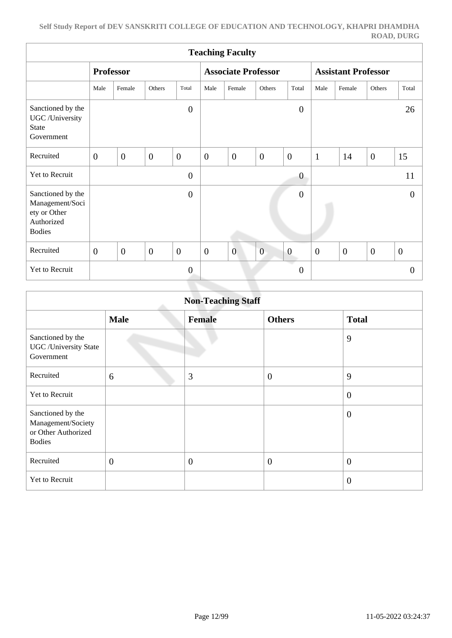| <b>Teaching Faculty</b>                                                             |                |                  |              |                  |                  |                            |                |                            |                  |                |                |                  |
|-------------------------------------------------------------------------------------|----------------|------------------|--------------|------------------|------------------|----------------------------|----------------|----------------------------|------------------|----------------|----------------|------------------|
|                                                                                     |                | <b>Professor</b> |              |                  |                  | <b>Associate Professor</b> |                | <b>Assistant Professor</b> |                  |                |                |                  |
|                                                                                     | Male           | Female           | Others       | Total            | Male             | Female                     | Others         | Total                      | Male             | Female         | Others         | Total            |
| Sanctioned by the<br>UGC /University<br><b>State</b><br>Government                  |                |                  |              | $\overline{0}$   |                  |                            |                | $\overline{0}$             |                  |                |                | 26               |
| Recruited                                                                           | $\overline{0}$ | $\overline{0}$   | $\mathbf{0}$ | $\overline{0}$   | $\boldsymbol{0}$ | $\overline{0}$             | $\overline{0}$ | $\overline{0}$             | $\mathbf{1}$     | 14             | $\overline{0}$ | 15               |
| Yet to Recruit                                                                      |                |                  |              | $\boldsymbol{0}$ |                  |                            |                | $\boldsymbol{0}$           |                  |                |                | 11               |
| Sanctioned by the<br>Management/Soci<br>ety or Other<br>Authorized<br><b>Bodies</b> |                |                  |              | $\overline{0}$   |                  |                            |                | $\boldsymbol{0}$           |                  |                |                | $\boldsymbol{0}$ |
| Recruited                                                                           | $\overline{0}$ | $\overline{0}$   | $\mathbf{0}$ | $\overline{0}$   | $\boldsymbol{0}$ | $\overline{0}$             | $\overline{0}$ | $\boldsymbol{0}$           | $\boldsymbol{0}$ | $\overline{0}$ | $\overline{0}$ | $\boldsymbol{0}$ |
| Yet to Recruit                                                                      |                |                  |              | $\overline{0}$   |                  |                            |                | - 7<br>$\boldsymbol{0}$    |                  |                |                | $\theta$         |

| <b>Non-Teaching Staff</b>                                                       |                |               |                  |                  |  |  |  |  |
|---------------------------------------------------------------------------------|----------------|---------------|------------------|------------------|--|--|--|--|
|                                                                                 | <b>Male</b>    | <b>Female</b> | <b>Others</b>    | <b>Total</b>     |  |  |  |  |
| Sanctioned by the<br><b>UGC</b> / University State<br>Government                |                |               |                  | 9                |  |  |  |  |
| Recruited                                                                       | 6              | 3             | $\boldsymbol{0}$ | 9                |  |  |  |  |
| Yet to Recruit                                                                  |                |               |                  | $\boldsymbol{0}$ |  |  |  |  |
| Sanctioned by the<br>Management/Society<br>or Other Authorized<br><b>Bodies</b> |                |               |                  | $\overline{0}$   |  |  |  |  |
| Recruited                                                                       | $\overline{0}$ | $\theta$      | $\overline{0}$   | $\overline{0}$   |  |  |  |  |
| Yet to Recruit                                                                  |                |               |                  | $\overline{0}$   |  |  |  |  |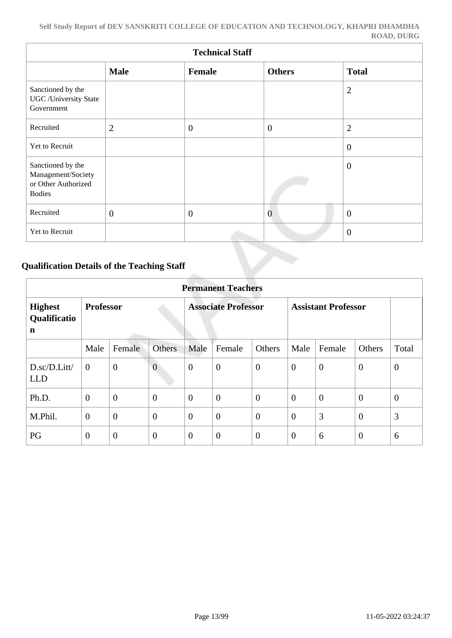| <b>Technical Staff</b>                                                          |                |              |                |                |  |  |  |  |  |
|---------------------------------------------------------------------------------|----------------|--------------|----------------|----------------|--|--|--|--|--|
|                                                                                 | <b>Male</b>    | Female       | <b>Others</b>  | <b>Total</b>   |  |  |  |  |  |
| Sanctioned by the<br><b>UGC</b> /University State<br>Government                 |                |              |                | $\overline{2}$ |  |  |  |  |  |
| Recruited                                                                       | $\overline{2}$ | $\theta$     | $\overline{0}$ | $\overline{2}$ |  |  |  |  |  |
| Yet to Recruit                                                                  |                |              |                | $\overline{0}$ |  |  |  |  |  |
| Sanctioned by the<br>Management/Society<br>or Other Authorized<br><b>Bodies</b> |                |              |                | $\overline{0}$ |  |  |  |  |  |
| Recruited                                                                       | $\overline{0}$ | $\mathbf{0}$ | $\overline{0}$ | $\overline{0}$ |  |  |  |  |  |
| Yet to Recruit                                                                  |                |              |                | $\overline{0}$ |  |  |  |  |  |

# **Qualification Details of the Teaching Staff**

|                                                         | <b>Permanent Teachers</b> |                  |                            |                |                  |                            |                |                |                |              |
|---------------------------------------------------------|---------------------------|------------------|----------------------------|----------------|------------------|----------------------------|----------------|----------------|----------------|--------------|
| <b>Professor</b><br><b>Highest</b><br>Qualificatio<br>n |                           |                  | <b>Associate Professor</b> |                |                  | <b>Assistant Professor</b> |                |                |                |              |
|                                                         | Male                      | Female           | <b>Others</b>              | Male           | Female           | Others                     | Male           | Female         | Others         | Total        |
| D.sc/D.Litt/<br><b>LLD</b>                              | $\overline{0}$            | $\overline{0}$   | $\overline{0}$             | $\mathbf{0}$   | $\boldsymbol{0}$ | $\overline{0}$             | $\theta$       | $\overline{0}$ | $\mathbf{0}$   | $\mathbf{0}$ |
| Ph.D.                                                   | $\overline{0}$            | $\boldsymbol{0}$ | $\overline{0}$             | $\overline{0}$ | $\overline{0}$   | $\theta$                   | $\theta$       | $\overline{0}$ | $\overline{0}$ | $\mathbf{0}$ |
| M.Phil.                                                 | $\overline{0}$            | $\overline{0}$   | $\overline{0}$             | $\overline{0}$ | $\overline{0}$   | $\overline{0}$             | $\overline{0}$ | 3              | $\overline{0}$ | 3            |
| PG                                                      | $\overline{0}$            | $\overline{0}$   | $\overline{0}$             | $\overline{0}$ | $\overline{0}$   | $\overline{0}$             | $\overline{0}$ | 6              | $\overline{0}$ | 6            |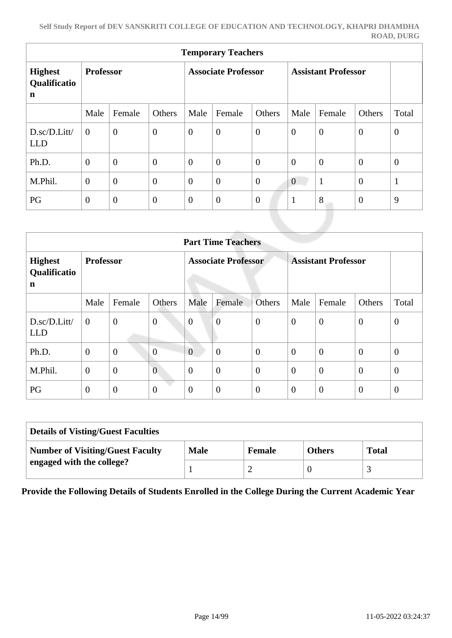| <b>Temporary Teachers</b>                     |                  |                  |                            |                |                  |                            |                  |                |                |                |
|-----------------------------------------------|------------------|------------------|----------------------------|----------------|------------------|----------------------------|------------------|----------------|----------------|----------------|
| <b>Highest</b><br>Qualificatio<br>$\mathbf n$ | <b>Professor</b> |                  | <b>Associate Professor</b> |                |                  | <b>Assistant Professor</b> |                  |                |                |                |
|                                               | Male             | Female           | Others                     | Male           | Female           | Others                     | Male             | Female         | Others         | Total          |
| $D.\text{sc}/D$ . Litt/<br><b>LLD</b>         | $\theta$         | $\overline{0}$   | $\overline{0}$             | $\overline{0}$ | $\overline{0}$   | $\overline{0}$             | $\mathbf{0}$     | $\overline{0}$ | $\overline{0}$ | $\overline{0}$ |
| Ph.D.                                         | $\overline{0}$   | $\theta$         | $\overline{0}$             | $\overline{0}$ | $\boldsymbol{0}$ | $\overline{0}$             | $\mathbf{0}$     | $\overline{0}$ | $\theta$       | $\mathbf{0}$   |
| M.Phil.                                       | $\overline{0}$   | $\overline{0}$   | $\theta$                   | $\overline{0}$ | $\boldsymbol{0}$ | $\overline{0}$             | $\boldsymbol{0}$ | $\mathbf{1}$   | $\overline{0}$ | $\mathbf{1}$   |
| PG                                            | $\overline{0}$   | $\boldsymbol{0}$ | $\overline{0}$             | $\overline{0}$ | $\boldsymbol{0}$ | $\overline{0}$             | $\mathbf{1}$     | 8              | $\theta$       | 9              |

|                                     | <b>Part Time Teachers</b> |                  |                  |                            |                  |                  |                            |                |                |                |  |
|-------------------------------------|---------------------------|------------------|------------------|----------------------------|------------------|------------------|----------------------------|----------------|----------------|----------------|--|
| <b>Highest</b><br>Qualificatio<br>n | <b>Professor</b>          |                  |                  | <b>Associate Professor</b> |                  |                  | <b>Assistant Professor</b> |                |                |                |  |
|                                     | Male                      | Female           | Others           | Male                       | Female           | <b>Others</b>    | Male                       | Female         | Others         | Total          |  |
| D.sc/D.Litt/<br><b>LLD</b>          | $\overline{0}$            | $\boldsymbol{0}$ | $\boldsymbol{0}$ | $\overline{0}$             | $\overline{0}$   | $\overline{0}$   | $\overline{0}$             | $\overline{0}$ | $\mathbf{0}$   | $\theta$       |  |
| Ph.D.                               | $\overline{0}$            | $\mathbf{0}$     | $\overline{0}$   | $\overline{0}$             | $\overline{0}$   | $\overline{0}$   | $\theta$                   | $\overline{0}$ | $\overline{0}$ | $\overline{0}$ |  |
| M.Phil.                             | $\mathbf{0}$              | $\overline{0}$   | $\overline{0}$   | $\overline{0}$             | $\boldsymbol{0}$ | $\boldsymbol{0}$ | $\overline{0}$             | $\overline{0}$ | $\theta$       | $\theta$       |  |
| PG                                  | $\mathbf{0}$              | $\overline{0}$   | $\boldsymbol{0}$ | $\overline{0}$             | $\boldsymbol{0}$ | $\overline{0}$   | $\theta$                   | $\overline{0}$ | $\theta$       | $\theta$       |  |

| <b>Details of Visting/Guest Faculties</b> |             |               |               |              |  |  |  |
|-------------------------------------------|-------------|---------------|---------------|--------------|--|--|--|
| <b>Number of Visiting/Guest Faculty</b>   | <b>Male</b> | <b>Female</b> | <b>Others</b> | <b>Total</b> |  |  |  |
| engaged with the college?                 |             | ∼             |               |              |  |  |  |

**Provide the Following Details of Students Enrolled in the College During the Current Academic Year**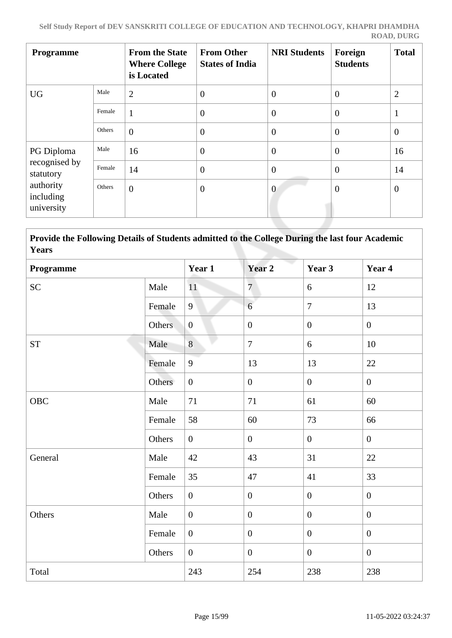| <b>Programme</b>                     |        | <b>From the State</b><br><b>Where College</b><br>is Located | <b>From Other</b><br><b>States of India</b> | <b>NRI Students</b> | Foreign<br><b>Students</b> | <b>Total</b>   |  |
|--------------------------------------|--------|-------------------------------------------------------------|---------------------------------------------|---------------------|----------------------------|----------------|--|
| <b>UG</b>                            | Male   | $\overline{2}$                                              | $\overline{0}$                              | $\overline{0}$      | $\overline{0}$             | $\overline{2}$ |  |
|                                      | Female | $\mathbf{1}$                                                | $\overline{0}$                              | $\overline{0}$      | $\overline{0}$             | $\mathbf{1}$   |  |
|                                      | Others | $\overline{0}$                                              | $\overline{0}$                              | $\overline{0}$      | $\overline{0}$             | $\overline{0}$ |  |
| PG Diploma                           | Male   | 16                                                          | $\overline{0}$                              | $\theta$            | $\overline{0}$             | 16             |  |
| recognised by<br>statutory           | Female | 14                                                          | $\overline{0}$                              | $\overline{0}$      | $\theta$                   | 14             |  |
| authority<br>including<br>university | Others | $\overline{0}$                                              | $\overline{0}$                              | $\theta$            | $\theta$                   | $\overline{0}$ |  |

# **Provide the Following Details of Students admitted to the College During the last four Academic Years**

| Programme          |        | Year 1           | Year 2           | Year 3           | Year 4           |
|--------------------|--------|------------------|------------------|------------------|------------------|
| <b>SC</b>          | Male   | 11               | $\overline{7}$   | 6                | 12               |
|                    | Female | 9                | 6                | $\overline{7}$   | 13               |
|                    | Others | $\boldsymbol{0}$ | $\boldsymbol{0}$ | $\boldsymbol{0}$ | $\boldsymbol{0}$ |
| ${\cal S}{\cal T}$ | Male   | 8                | $\overline{7}$   | 6                | 10               |
|                    | Female | 9                | 13               | 13               | 22               |
|                    | Others | $\overline{0}$   | $\boldsymbol{0}$ | $\boldsymbol{0}$ | $\mathbf{0}$     |
| <b>OBC</b>         | Male   | 71               | 71               | 61               | 60               |
|                    | Female | 58               | 60               | 73               | 66               |
|                    | Others | $\overline{0}$   | $\boldsymbol{0}$ | $\overline{0}$   | $\mathbf{0}$     |
| General            | Male   | 42               | 43               | 31               | 22               |
|                    | Female | 35               | 47               | 41               | 33               |
|                    | Others | $\boldsymbol{0}$ | $\boldsymbol{0}$ | $\overline{0}$   | $\overline{0}$   |
| Others             | Male   | $\boldsymbol{0}$ | $\boldsymbol{0}$ | $\boldsymbol{0}$ | $\boldsymbol{0}$ |
|                    | Female | $\mathbf{0}$     | $\boldsymbol{0}$ | $\boldsymbol{0}$ | $\boldsymbol{0}$ |
|                    | Others | $\overline{0}$   | $\boldsymbol{0}$ | $\mathbf{0}$     | $\boldsymbol{0}$ |
| Total              |        | 243              | 254              | 238              | 238              |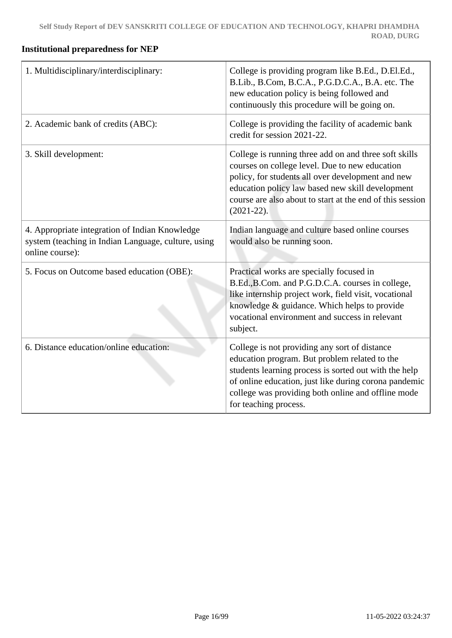# **Institutional preparedness for NEP**

| 1. Multidisciplinary/interdisciplinary:                                                                                  | College is providing program like B.Ed., D.El.Ed.,<br>B.Lib., B.Com, B.C.A., P.G.D.C.A., B.A. etc. The<br>new education policy is being followed and<br>continuously this procedure will be going on.                                                                                           |
|--------------------------------------------------------------------------------------------------------------------------|-------------------------------------------------------------------------------------------------------------------------------------------------------------------------------------------------------------------------------------------------------------------------------------------------|
| 2. Academic bank of credits (ABC):                                                                                       | College is providing the facility of academic bank<br>credit for session 2021-22.                                                                                                                                                                                                               |
| 3. Skill development:                                                                                                    | College is running three add on and three soft skills<br>courses on college level. Due to new education<br>policy, for students all over development and new<br>education policy law based new skill development<br>course are also about to start at the end of this session<br>$(2021-22).$   |
| 4. Appropriate integration of Indian Knowledge<br>system (teaching in Indian Language, culture, using<br>online course): | Indian language and culture based online courses<br>would also be running soon.                                                                                                                                                                                                                 |
| 5. Focus on Outcome based education (OBE):                                                                               | Practical works are specially focused in<br>B.Ed., B.Com. and P.G.D.C.A. courses in college,<br>like internship project work, field visit, vocational<br>knowledge & guidance. Which helps to provide<br>vocational environment and success in relevant<br>subject.                             |
| 6. Distance education/online education:                                                                                  | College is not providing any sort of distance<br>education program. But problem related to the<br>students learning process is sorted out with the help<br>of online education, just like during corona pandemic<br>college was providing both online and offline mode<br>for teaching process. |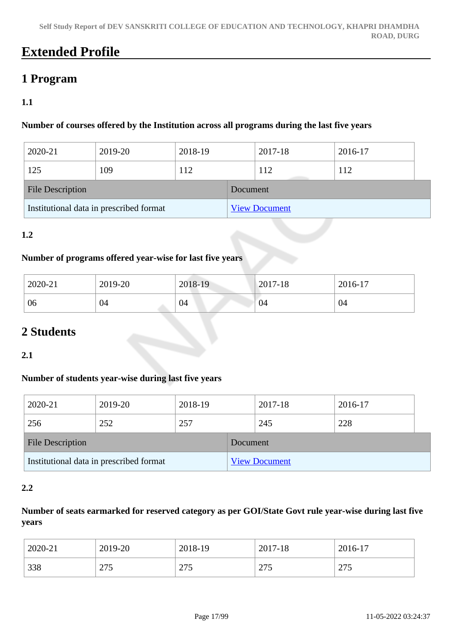# **Extended Profile**

# **1 Program**

# **1.1**

### **Number of courses offered by the Institution across all programs during the last five years**

| 2020-21                                 | 2019-20 | 2018-19 |                      | 2017-18 | 2016-17 |  |
|-----------------------------------------|---------|---------|----------------------|---------|---------|--|
| 125                                     | 109     | 112     |                      | 112     | 112     |  |
| <b>File Description</b>                 |         |         | Document             |         |         |  |
| Institutional data in prescribed format |         |         | <b>View Document</b> |         |         |  |

# **1.2**

#### **Number of programs offered year-wise for last five years**

| 2020-21 | 2019-20 | 2018-19 | $2017 - 18$ | 2016-17 |
|---------|---------|---------|-------------|---------|
| 06      | 04      | 04      | 04          | 04      |

# **2 Students**

### **2.1**

### **Number of students year-wise during last five years**

| 2020-21                                 | 2019-20 | 2018-19  |                      | 2017-18 | 2016-17 |  |
|-----------------------------------------|---------|----------|----------------------|---------|---------|--|
| 256                                     | 252     | 257      |                      | 245     | 228     |  |
| <b>File Description</b>                 |         | Document |                      |         |         |  |
| Institutional data in prescribed format |         |          | <b>View Document</b> |         |         |  |

#### **2.2**

#### **Number of seats earmarked for reserved category as per GOI/State Govt rule year-wise during last five years**

| 2020-21 | 2019-20 | 2018-19 | 2017-18 | 2016-17      |
|---------|---------|---------|---------|--------------|
| 338     | つつぐ     | 275     | 275     | $\Delta \pi$ |
|         | ں ا     | ں اے    | ں اے    | 213          |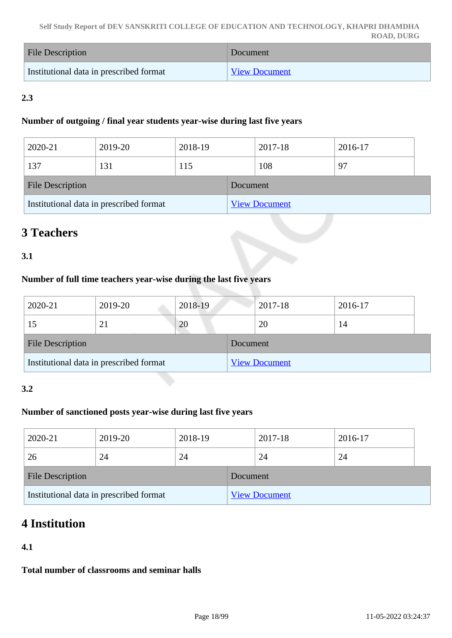| <b>File Description</b>                 | Document             |
|-----------------------------------------|----------------------|
| Institutional data in prescribed format | <b>View Document</b> |

# **2.3**

#### **Number of outgoing / final year students year-wise during last five years**

| 2020-21                 | 2019-20                                 | 2018-19 |          | 2017-18              | 2016-17 |  |
|-------------------------|-----------------------------------------|---------|----------|----------------------|---------|--|
| 137                     | 131                                     | 115     |          | 108                  | 97      |  |
| <b>File Description</b> |                                         |         | Document |                      |         |  |
|                         | Institutional data in prescribed format |         |          | <b>View Document</b> |         |  |

# **3 Teachers**

# **3.1**

#### **Number of full time teachers year-wise during the last five years**

| 2020-21                                 | 2019-20 | 2018-19  |                      | 2017-18 | 2016-17 |  |
|-----------------------------------------|---------|----------|----------------------|---------|---------|--|
| 15                                      | 21      | 20       |                      | 20      | 14      |  |
| <b>File Description</b>                 |         | Document |                      |         |         |  |
| Institutional data in prescribed format |         |          | <b>View Document</b> |         |         |  |

### **3.2**

# **Number of sanctioned posts year-wise during last five years**

| 2020-21                                 | 2019-20 | 2018-19  |                      | 2017-18 | 2016-17 |  |
|-----------------------------------------|---------|----------|----------------------|---------|---------|--|
| 26                                      | 24      | 24       |                      | 24      | 24      |  |
| <b>File Description</b>                 |         | Document |                      |         |         |  |
| Institutional data in prescribed format |         |          | <b>View Document</b> |         |         |  |

# **4 Institution**

# **4.1**

**Total number of classrooms and seminar halls**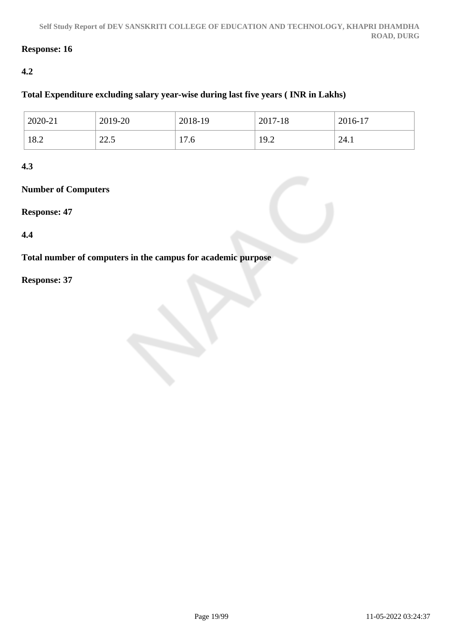# **Response: 16**

# **4.2**

# **Total Expenditure excluding salary year-wise during last five years ( INR in Lakhs)**

| 2020-21 | 2019-20                 | 2018-19              | 2017-18                   | $2016-17$ |
|---------|-------------------------|----------------------|---------------------------|-----------|
| 18.2    | $\cap$ $\cap$<br>ن کا ک | ⇁<br>'.6<br><b>L</b> | $\overline{Q}$<br>$1/1$ . | 24.1      |

# **4.3**

# **Number of Computers**

### **Response: 47**

### **4.4**

**Total number of computers in the campus for academic purpose**

### **Response: 37**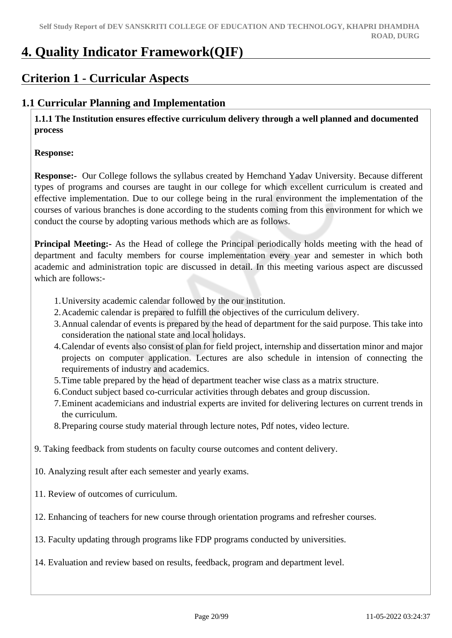# **4. Quality Indicator Framework(QIF)**

# **Criterion 1 - Curricular Aspects**

# **1.1 Curricular Planning and Implementation**

 **1.1.1 The Institution ensures effective curriculum delivery through a well planned and documented process**

#### **Response:**

**Response:-** Our College follows the syllabus created by Hemchand Yadav University. Because different types of programs and courses are taught in our college for which excellent curriculum is created and effective implementation. Due to our college being in the rural environment the implementation of the courses of various branches is done according to the students coming from this environment for which we conduct the course by adopting various methods which are as follows.

**Principal Meeting:** As the Head of college the Principal periodically holds meeting with the head of department and faculty members for course implementation every year and semester in which both academic and administration topic are discussed in detail. In this meeting various aspect are discussed which are follows:-

- 1.University academic calendar followed by the our institution.
- 2.Academic calendar is prepared to fulfill the objectives of the curriculum delivery.
- 3.Annual calendar of events is prepared by the head of department for the said purpose. This take into consideration the national state and local holidays.
- 4.Calendar of events also consist of plan for field project, internship and dissertation minor and major projects on computer application. Lectures are also schedule in intension of connecting the requirements of industry and academics.
- 5.Time table prepared by the head of department teacher wise class as a matrix structure.
- 6.Conduct subject based co-curricular activities through debates and group discussion.
- 7.Eminent academicians and industrial experts are invited for delivering lectures on current trends in the curriculum.
- 8.Preparing course study material through lecture notes, Pdf notes, video lecture.

9. Taking feedback from students on faculty course outcomes and content delivery.

- 10. Analyzing result after each semester and yearly exams.
- 11. Review of outcomes of curriculum.
- 12. Enhancing of teachers for new course through orientation programs and refresher courses.
- 13. Faculty updating through programs like FDP programs conducted by universities.
- 14. Evaluation and review based on results, feedback, program and department level.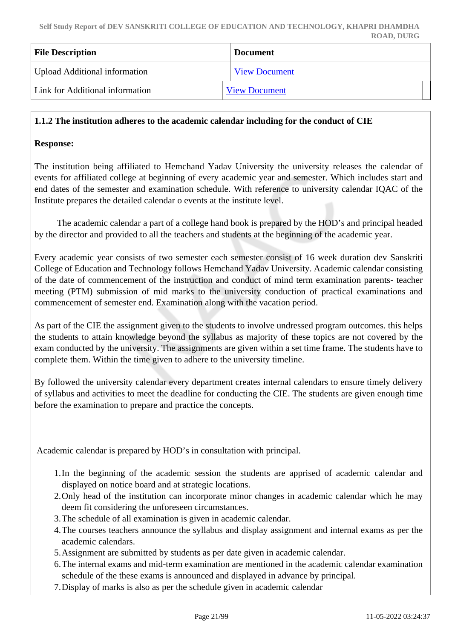| <b>File Description</b>              | <b>Document</b>      |
|--------------------------------------|----------------------|
| <b>Upload Additional information</b> | <b>View Document</b> |
| Link for Additional information      | <b>View Document</b> |

#### **1.1.2 The institution adheres to the academic calendar including for the conduct of CIE**

#### **Response:**

The institution being affiliated to Hemchand Yadav University the university releases the calendar of events for affiliated college at beginning of every academic year and semester. Which includes start and end dates of the semester and examination schedule. With reference to university calendar IQAC of the Institute prepares the detailed calendar o events at the institute level.

 The academic calendar a part of a college hand book is prepared by the HOD's and principal headed by the director and provided to all the teachers and students at the beginning of the academic year.

Every academic year consists of two semester each semester consist of 16 week duration dev Sanskriti College of Education and Technology follows Hemchand Yadav University. Academic calendar consisting of the date of commencement of the instruction and conduct of mind term examination parents- teacher meeting (PTM) submission of mid marks to the university conduction of practical examinations and commencement of semester end. Examination along with the vacation period.

As part of the CIE the assignment given to the students to involve undressed program outcomes. this helps the students to attain knowledge beyond the syllabus as majority of these topics are not covered by the exam conducted by the university. The assignments are given within a set time frame. The students have to complete them. Within the time given to adhere to the university timeline.

By followed the university calendar every department creates internal calendars to ensure timely delivery of syllabus and activities to meet the deadline for conducting the CIE. The students are given enough time before the examination to prepare and practice the concepts.

Academic calendar is prepared by HOD's in consultation with principal.

- 1.In the beginning of the academic session the students are apprised of academic calendar and displayed on notice board and at strategic locations.
- 2.Only head of the institution can incorporate minor changes in academic calendar which he may deem fit considering the unforeseen circumstances.
- 3.The schedule of all examination is given in academic calendar.
- 4.The courses teachers announce the syllabus and display assignment and internal exams as per the academic calendars.
- 5.Assignment are submitted by students as per date given in academic calendar.
- 6.The internal exams and mid-term examination are mentioned in the academic calendar examination schedule of the these exams is announced and displayed in advance by principal.
- 7.Display of marks is also as per the schedule given in academic calendar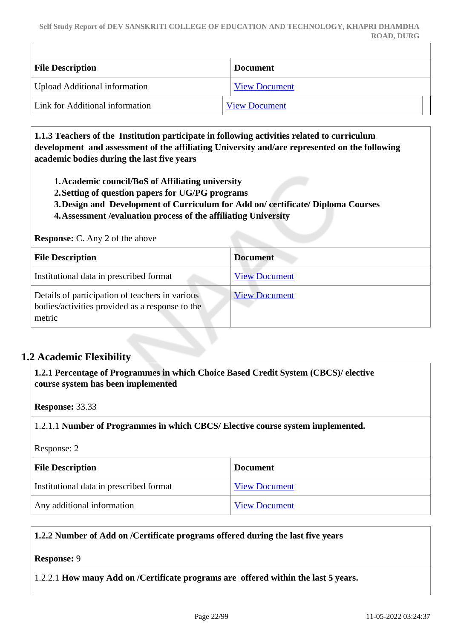| <b>File Description</b>              | <b>Document</b>      |
|--------------------------------------|----------------------|
| <b>Upload Additional information</b> | <b>View Document</b> |
| Link for Additional information      | <b>View Document</b> |

 **1.1.3 Teachers of the Institution participate in following activities related to curriculum development and assessment of the affiliating University and/are represented on the following academic bodies during the last five years** 

- **1.Academic council/BoS of Affiliating university**
- **2.Setting of question papers for UG/PG programs**
- **3.Design and Development of Curriculum for Add on/ certificate/ Diploma Courses**
- **4.Assessment /evaluation process of the affiliating University**

**Response:** C. Any 2 of the above

| <b>File Description</b>                                                                                      | <b>Document</b>      |
|--------------------------------------------------------------------------------------------------------------|----------------------|
| Institutional data in prescribed format                                                                      | <b>View Document</b> |
| Details of participation of teachers in various<br>bodies/activities provided as a response to the<br>metric | <b>View Document</b> |

### **1.2 Academic Flexibility**

 **1.2.1 Percentage of Programmes in which Choice Based Credit System (CBCS)/ elective course system has been implemented** 

**Response:** 33.33

1.2.1.1 **Number of Programmes in which CBCS/ Elective course system implemented.**

Response: 2

| <b>File Description</b>                 | <b>Document</b>      |
|-----------------------------------------|----------------------|
| Institutional data in prescribed format | <b>View Document</b> |
| Any additional information              | <b>View Document</b> |

#### **1.2.2 Number of Add on /Certificate programs offered during the last five years**

#### **Response:** 9

1.2.2.1 **How many Add on /Certificate programs are offered within the last 5 years.**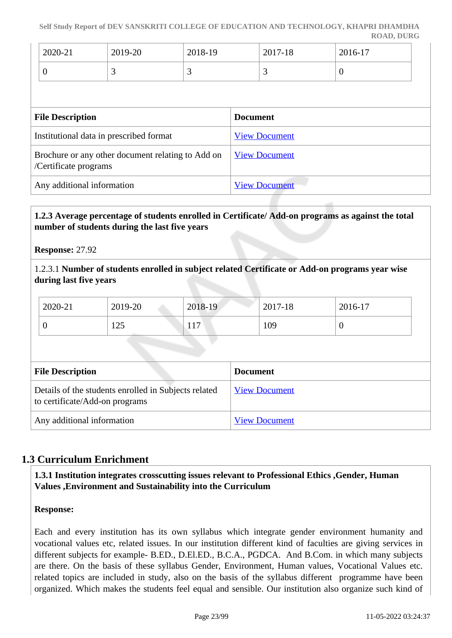| 2020-21 | 2019-20 | 2018-19 | 2017-18 | 2016-17 |
|---------|---------|---------|---------|---------|
|         |         | ັ       | ັ       | U       |

| <b>File Description</b>                                                    | <b>Document</b>      |
|----------------------------------------------------------------------------|----------------------|
| Institutional data in prescribed format                                    | <b>View Document</b> |
| Brochure or any other document relating to Add on<br>/Certificate programs | <b>View Document</b> |
| Any additional information                                                 | <b>View Document</b> |

## **1.2.3 Average percentage of students enrolled in Certificate/ Add-on programs as against the total number of students during the last five years**

**Response:** 27.92

1.2.3.1 **Number of students enrolled in subject related Certificate or Add-on programs year wise during last five years**

| 2020-21                                                                                | 2019-20 | 2018-19 |                 | 2017-18              | 2016-17  |
|----------------------------------------------------------------------------------------|---------|---------|-----------------|----------------------|----------|
| $\theta$                                                                               | 125     | 117     |                 | 109                  | $\theta$ |
|                                                                                        |         |         |                 |                      |          |
| <b>File Description</b>                                                                |         |         | <b>Document</b> |                      |          |
| Details of the students enrolled in Subjects related<br>to certificate/Add-on programs |         |         |                 | <b>View Document</b> |          |
| Any additional information                                                             |         |         |                 | <b>View Document</b> |          |

# **1.3 Curriculum Enrichment**

### **1.3.1 Institution integrates crosscutting issues relevant to Professional Ethics ,Gender, Human Values ,Environment and Sustainability into the Curriculum**

### **Response:**

Each and every institution has its own syllabus which integrate gender environment humanity and vocational values etc, related issues. In our institution different kind of faculties are giving services in different subjects for example- B.ED., D.El.ED., B.C.A., PGDCA. And B.Com. in which many subjects are there. On the basis of these syllabus Gender, Environment, Human values, Vocational Values etc. related topics are included in study, also on the basis of the syllabus different programme have been organized. Which makes the students feel equal and sensible. Our institution also organize such kind of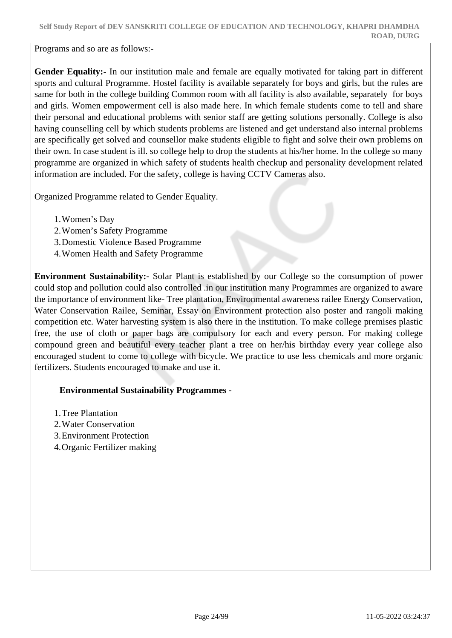Programs and so are as follows:-

**Gender Equality:-** In our institution male and female are equally motivated for taking part in different sports and cultural Programme. Hostel facility is available separately for boys and girls, but the rules are same for both in the college building Common room with all facility is also available, separately for boys and girls. Women empowerment cell is also made here. In which female students come to tell and share their personal and educational problems with senior staff are getting solutions personally. College is also having counselling cell by which students problems are listened and get understand also internal problems are specifically get solved and counsellor make students eligible to fight and solve their own problems on their own. In case student is ill. so college help to drop the students at his/her home. In the college so many programme are organized in which safety of students health checkup and personality development related information are included. For the safety, college is having CCTV Cameras also.

Organized Programme related to Gender Equality.

- 1.Women's Day
- 2.Women's Safety Programme
- 3.Domestic Violence Based Programme
- 4.Women Health and Safety Programme

**Environment Sustainability:-** Solar Plant is established by our College so the consumption of power could stop and pollution could also controlled .in our institution many Programmes are organized to aware the importance of environment like- Tree plantation, Environmental awareness railee Energy Conservation, Water Conservation Railee, Seminar, Essay on Environment protection also poster and rangoli making competition etc. Water harvesting system is also there in the institution. To make college premises plastic free, the use of cloth or paper bags are compulsory for each and every person. For making college compound green and beautiful every teacher plant a tree on her/his birthday every year college also encouraged student to come to college with bicycle. We practice to use less chemicals and more organic fertilizers. Students encouraged to make and use it.

### **Environmental Sustainability Programmes -**

- 1.Tree Plantation
- 2.Water Conservation
- 3.Environment Protection
- 4.Organic Fertilizer making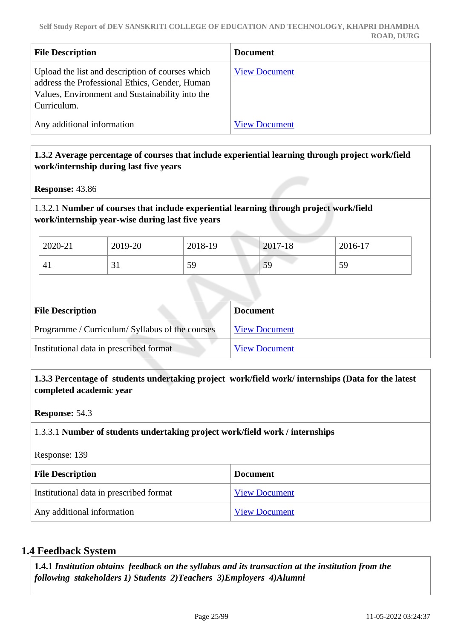| <b>File Description</b>                                                                                                                                              | <b>Document</b>      |
|----------------------------------------------------------------------------------------------------------------------------------------------------------------------|----------------------|
| Upload the list and description of courses which<br>address the Professional Ethics, Gender, Human<br>Values, Environment and Sustainability into the<br>Curriculum. | <b>View Document</b> |
| Any additional information                                                                                                                                           | <b>View Document</b> |

### **1.3.2 Average percentage of courses that include experiential learning through project work/field work/internship during last five years**

**Response:** 43.86

### 1.3.2.1 **Number of courses that include experiential learning through project work/field work/internship year-wise during last five years**

| 2020-21        | 2019-20      | 2018-19 | 2017-18 | 2016-17 |
|----------------|--------------|---------|---------|---------|
| 4 <sub>1</sub> | $\sim$<br>JІ | 59      | 59      | 59      |

| <b>File Description</b>                         | <b>Document</b>      |
|-------------------------------------------------|----------------------|
| Programme / Curriculum/ Syllabus of the courses | <b>View Document</b> |
| Institutional data in prescribed format         | <b>View Document</b> |

#### **1.3.3 Percentage of students undertaking project work/field work/ internships (Data for the latest completed academic year**

**Response:** 54.3

### 1.3.3.1 **Number of students undertaking project work/field work / internships**

Response: 139

| <b>File Description</b>                 | <b>Document</b>      |
|-----------------------------------------|----------------------|
| Institutional data in prescribed format | <b>View Document</b> |
| Any additional information              | <b>View Document</b> |

### **1.4 Feedback System**

 **1.4.1** *Institution obtains feedback on the syllabus and its transaction at the institution from the following stakeholders 1) Students 2)Teachers 3)Employers 4)Alumni*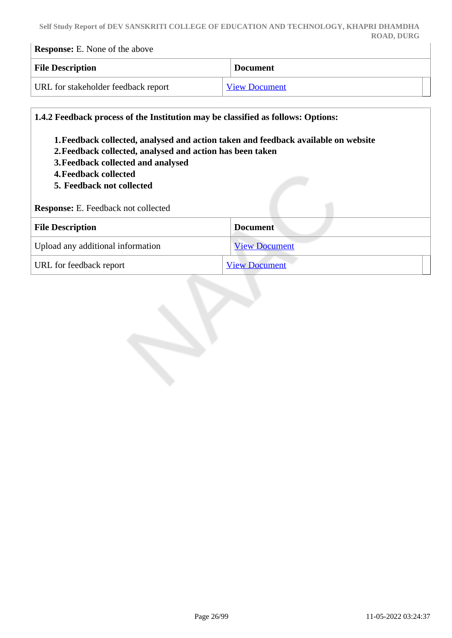| <b>Response:</b> E. None of the above |                 |
|---------------------------------------|-----------------|
| <b>File Description</b>               | <b>Document</b> |

URL for stakeholder feedback report [View Document](https://forms.gle/poV5e2L1up8CGEeQ7 https://forms.gle/FysxpR58PmqfjYr6A https://forms.gle/U99HEwxYKaeMkifb9)

| 2. Feedback collected, analysed and action has been taken<br>3. Feedback collected and analysed<br>4. Feedback collected<br>5. Feedback not collected<br>Response: E. Feedback not collected | 1. Feedback collected, analysed and action taken and feedback available on website |
|----------------------------------------------------------------------------------------------------------------------------------------------------------------------------------------------|------------------------------------------------------------------------------------|
| <b>File Description</b>                                                                                                                                                                      | <b>Document</b>                                                                    |
| Upload any additional information                                                                                                                                                            | <b>View Document</b>                                                               |
| URL for feedback report                                                                                                                                                                      | <b>View Document</b>                                                               |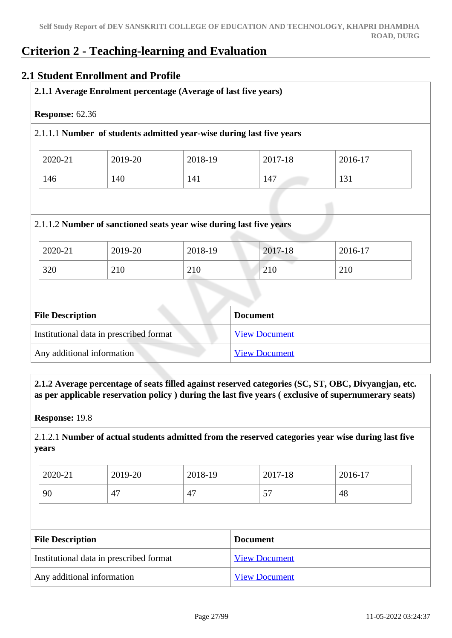# **Criterion 2 - Teaching-learning and Evaluation**

# **2.1 Student Enrollment and Profile**

|                        |         |         | 2.1.1 Average Enrolment percentage (Average of last five years)      |         |         |  |  |
|------------------------|---------|---------|----------------------------------------------------------------------|---------|---------|--|--|
| <b>Response: 62.36</b> |         |         |                                                                      |         |         |  |  |
|                        |         |         | 2.1.1.1 Number of students admitted year-wise during last five years |         |         |  |  |
|                        | 2020-21 | 2019-20 | 2018-19                                                              | 2017-18 | 2016-17 |  |  |
|                        | 146     | 140     | 141                                                                  | 147     | 131     |  |  |

| <b>File Description</b>                 | <b>Document</b>      |
|-----------------------------------------|----------------------|
| Institutional data in prescribed format | <b>View Document</b> |
| Any additional information              | <b>View Document</b> |

320 210 210 210 210

 **2.1.2 Average percentage of seats filled against reserved categories (SC, ST, OBC, Divyangjan, etc. as per applicable reservation policy ) during the last five years ( exclusive of supernumerary seats)**

**Response:** 19.8

2.1.2.1 **Number of actual students admitted from the reserved categories year wise during last five years**

| 2020-21 | 2019-20 | 2018-19 | 2017-18   | 2016-17 |
|---------|---------|---------|-----------|---------|
| 90      | 47      | 47      | $ -$<br>◡ | 48      |

| <b>File Description</b>                 | <b>Document</b>      |
|-----------------------------------------|----------------------|
| Institutional data in prescribed format | <b>View Document</b> |
| Any additional information              | <b>View Document</b> |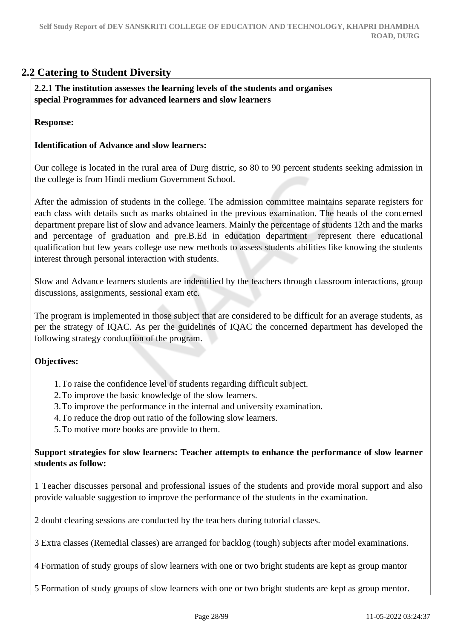# **2.2 Catering to Student Diversity**

 **2.2.1 The institution assesses the learning levels of the students and organises special Programmes for advanced learners and slow learners**

**Response:** 

#### **Identification of Advance and slow learners:**

Our college is located in the rural area of Durg distric, so 80 to 90 percent students seeking admission in the college is from Hindi medium Government School.

After the admission of students in the college. The admission committee maintains separate registers for each class with details such as marks obtained in the previous examination. The heads of the concerned department prepare list of slow and advance learners. Mainly the percentage of students 12th and the marks and percentage of graduation and pre.B.Ed in education department represent there educational qualification but few years college use new methods to assess students abilities like knowing the students interest through personal interaction with students.

Slow and Advance learners students are indentified by the teachers through classroom interactions, group discussions, assignments, sessional exam etc.

The program is implemented in those subject that are considered to be difficult for an average students, as per the strategy of IQAC. As per the guidelines of IQAC the concerned department has developed the following strategy conduction of the program.

#### **Objectives:**

- 1.To raise the confidence level of students regarding difficult subject.
- 2.To improve the basic knowledge of the slow learners.
- 3.To improve the performance in the internal and university examination.
- 4.To reduce the drop out ratio of the following slow learners.
- 5.To motive more books are provide to them.

#### **Support strategies for slow learners: Teacher attempts to enhance the performance of slow learner students as follow:**

1 Teacher discusses personal and professional issues of the students and provide moral support and also provide valuable suggestion to improve the performance of the students in the examination.

2 doubt clearing sessions are conducted by the teachers during tutorial classes.

3 Extra classes (Remedial classes) are arranged for backlog (tough) subjects after model examinations.

4 Formation of study groups of slow learners with one or two bright students are kept as group mantor

5 Formation of study groups of slow learners with one or two bright students are kept as group mentor.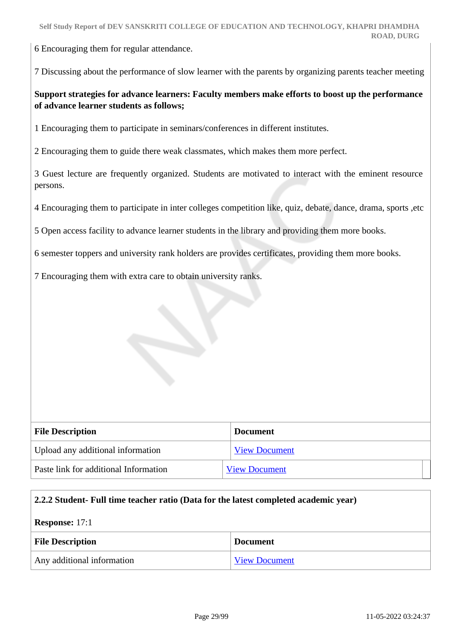6 Encouraging them for regular attendance.

7 Discussing about the performance of slow learner with the parents by organizing parents teacher meeting

#### **Support strategies for advance learners: Faculty members make efforts to boost up the performance of advance learner students as follows;**

1 Encouraging them to participate in seminars/conferences in different institutes.

2 Encouraging them to guide there weak classmates, which makes them more perfect.

3 Guest lecture are frequently organized. Students are motivated to interact with the eminent resource persons.

4 Encouraging them to participate in inter colleges competition like, quiz, debate, dance, drama, sports ,etc

5 Open access facility to advance learner students in the library and providing them more books.

6 semester toppers and university rank holders are provides certificates, providing them more books.

7 Encouraging them with extra care to obtain university ranks.

| <b>File Description</b>               | <b>Document</b>      |
|---------------------------------------|----------------------|
| Upload any additional information     | <b>View Document</b> |
| Paste link for additional Information | <b>View Document</b> |

#### **2.2.2 Student- Full time teacher ratio (Data for the latest completed academic year)**

**Response:** 17:1

| <b>File Description</b>    | <b>Document</b> |
|----------------------------|-----------------|
| Any additional information | View Document   |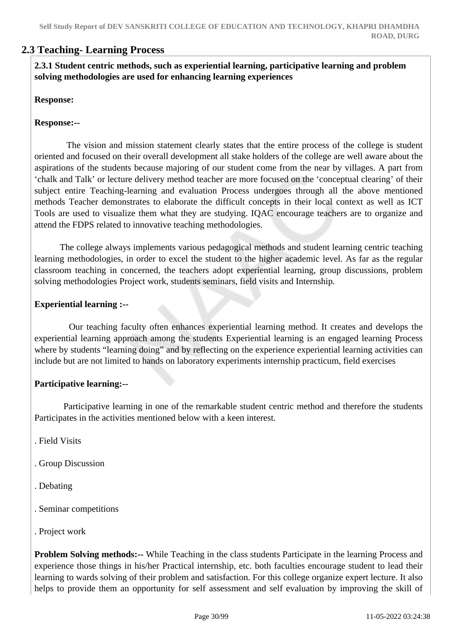# **2.3 Teaching- Learning Process**

 **2.3.1 Student centric methods, such as experiential learning, participative learning and problem solving methodologies are used for enhancing learning experiences**

#### **Response:**

#### **Response:--**

 The vision and mission statement clearly states that the entire process of the college is student oriented and focused on their overall development all stake holders of the college are well aware about the aspirations of the students because majoring of our student come from the near by villages. A part from 'chalk and Talk' or lecture delivery method teacher are more focused on the 'conceptual clearing' of their subject entire Teaching-learning and evaluation Process undergoes through all the above mentioned methods Teacher demonstrates to elaborate the difficult concepts in their local context as well as ICT Tools are used to visualize them what they are studying. IQAC encourage teachers are to organize and attend the FDPS related to innovative teaching methodologies.

 The college always implements various pedagogical methods and student learning centric teaching learning methodologies, in order to excel the student to the higher academic level. As far as the regular classroom teaching in concerned, the teachers adopt experiential learning, group discussions, problem solving methodologies Project work, students seminars, field visits and Internship.

#### **Experiential learning :--**

 Our teaching faculty often enhances experiential learning method. It creates and develops the experiential learning approach among the students Experiential learning is an engaged learning Process where by students "learning doing" and by reflecting on the experience experiential learning activities can include but are not limited to hands on laboratory experiments internship practicum, field exercises

#### **Participative learning:--**

 Participative learning in one of the remarkable student centric method and therefore the students Participates in the activities mentioned below with a keen interest.

- . Field Visits
- . Group Discussion
- . Debating
- . Seminar competitions
- . Project work

**Problem Solving methods:**-- While Teaching in the class students Participate in the learning Process and experience those things in his/her Practical internship, etc. both faculties encourage student to lead their learning to wards solving of their problem and satisfaction. For this college organize expert lecture. It also helps to provide them an opportunity for self assessment and self evaluation by improving the skill of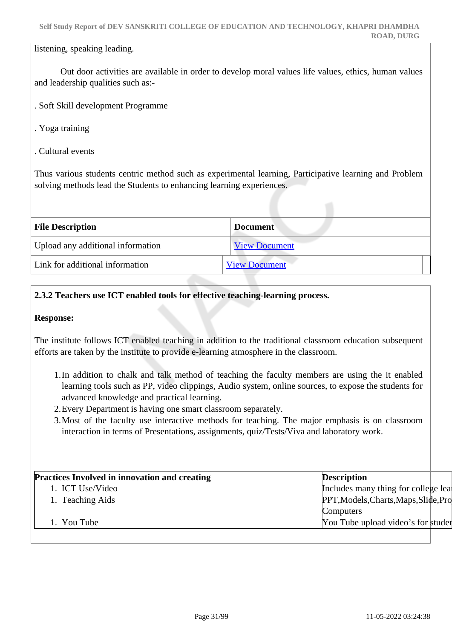listening, speaking leading.

 Out door activities are available in order to develop moral values life values, ethics, human values and leadership qualities such as:-

- . Soft Skill development Programme
- . Yoga training
- . Cultural events

Thus various students centric method such as experimental learning, Participative learning and Problem solving methods lead the Students to enhancing learning experiences.

| <b>File Description</b>           | <b>Document</b>      |  |
|-----------------------------------|----------------------|--|
| Upload any additional information | <b>View Document</b> |  |
| Link for additional information   | <b>View Document</b> |  |

#### **2.3.2 Teachers use ICT enabled tools for effective teaching-learning process.**

#### **Response:**

The institute follows ICT enabled teaching in addition to the traditional classroom education subsequent efforts are taken by the institute to provide e-learning atmosphere in the classroom.

- 1.In addition to chalk and talk method of teaching the faculty members are using the it enabled learning tools such as PP, video clippings, Audio system, online sources, to expose the students for advanced knowledge and practical learning.
- 2.Every Department is having one smart classroom separately.
- 3.Most of the faculty use interactive methods for teaching. The major emphasis is on classroom interaction in terms of Presentations, assignments, quiz/Tests/Viva and laboratory work.

| <b>Practices Involved in innovation and creating</b> | <b>Description</b>                    |  |
|------------------------------------------------------|---------------------------------------|--|
| 1. ICT Use/Video                                     | Includes many thing for college lear  |  |
| 1. Teaching Aids                                     | PPT, Models, Charts, Maps, Slide, Pro |  |
|                                                      | Computers                             |  |
| 1. You Tube                                          | You Tube upload video's for studer    |  |
|                                                      |                                       |  |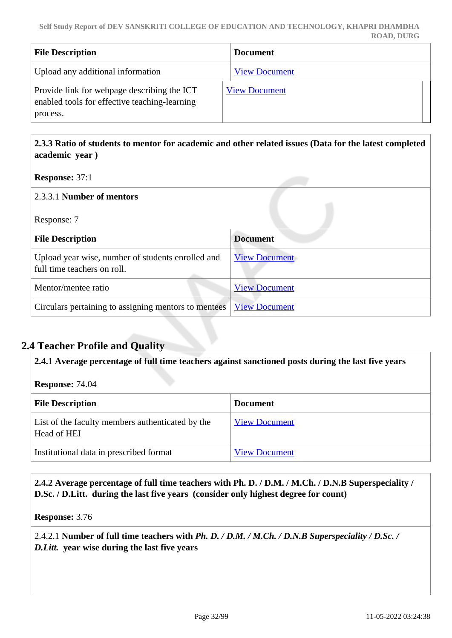| <b>File Description</b>                                                                                  | <b>Document</b>      |
|----------------------------------------------------------------------------------------------------------|----------------------|
| Upload any additional information                                                                        | <b>View Document</b> |
| Provide link for webpage describing the ICT<br>enabled tools for effective teaching-learning<br>process. | <b>View Document</b> |

 **2.3.3 Ratio of students to mentor for academic and other related issues (Data for the latest completed academic year )**

**Response:** 37:1

| 2.3.3.1 Number of mentors                                                        |                      |
|----------------------------------------------------------------------------------|----------------------|
| Response: 7                                                                      |                      |
| <b>File Description</b>                                                          | <b>Document</b>      |
| Upload year wise, number of students enrolled and<br>full time teachers on roll. | <b>View Document</b> |
| Mentor/mentee ratio                                                              | <b>View Document</b> |
| Circulars pertaining to assigning mentors to mentees                             | <b>View Document</b> |

# **2.4 Teacher Profile and Quality**

**2.4.1 Average percentage of full time teachers against sanctioned posts during the last five years**

**Response:** 74.04

| <b>File Description</b>                                         | <b>Document</b>      |
|-----------------------------------------------------------------|----------------------|
| List of the faculty members authenticated by the<br>Head of HEI | <b>View Document</b> |
| Institutional data in prescribed format                         | <b>View Document</b> |

 **2.4.2 Average percentage of full time teachers with Ph. D. / D.M. / M.Ch. / D.N.B Superspeciality / D.Sc. / D.Litt. during the last five years (consider only highest degree for count)**

**Response:** 3.76

2.4.2.1 **Number of full time teachers with** *Ph. D. / D.M. / M.Ch. / D.N.B Superspeciality / D.Sc. / D.Litt.* **year wise during the last five years**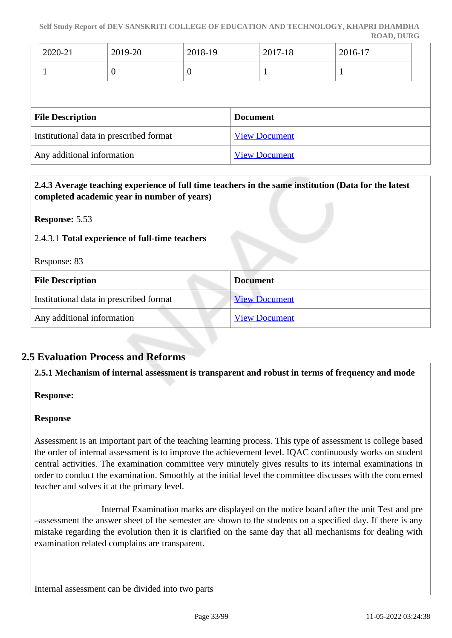**Self Study Report of DEV SANSKRITI COLLEGE OF EDUCATION AND TECHNOLOGY, KHAPRI DHAMDHA ROAD, DURG**

| 2020-21                 | 2019-20                                 | 2018-19          | 2017-18              | 2016-17 |  |
|-------------------------|-----------------------------------------|------------------|----------------------|---------|--|
|                         | O                                       | $\boldsymbol{0}$ |                      | 1       |  |
| <b>File Description</b> |                                         |                  | <b>Document</b>      |         |  |
|                         | Institutional data in prescribed format |                  | <b>View Document</b> |         |  |
|                         | Any additional information              |                  | <b>View Document</b> |         |  |

| completed academic year in number of years)    | 2.4.3 Average teaching experience of full time teachers in the same institution (Data for the latest |
|------------------------------------------------|------------------------------------------------------------------------------------------------------|
| <b>Response: 5.53</b>                          |                                                                                                      |
| 2.4.3.1 Total experience of full-time teachers |                                                                                                      |
| Response: 83                                   |                                                                                                      |
| <b>File Description</b>                        | <b>Document</b>                                                                                      |
| Institutional data in prescribed format        | <b>View Document</b>                                                                                 |
| Any additional information                     | <b>View Document</b>                                                                                 |

# **2.5 Evaluation Process and Reforms**

#### **2.5.1 Mechanism of internal assessment is transparent and robust in terms of frequency and mode**

#### **Response:**

#### **Response**

Assessment is an important part of the teaching learning process. This type of assessment is college based the order of internal assessment is to improve the achievement level. IQAC continuously works on student central activities. The examination committee very minutely gives results to its internal examinations in order to conduct the examination. Smoothly at the initial level the committee discusses with the concerned teacher and solves it at the primary level.

 Internal Examination marks are displayed on the notice board after the unit Test and pre –assessment the answer sheet of the semester are shown to the students on a specified day. If there is any mistake regarding the evolution then it is clarified on the same day that all mechanisms for dealing with examination related complains are transparent.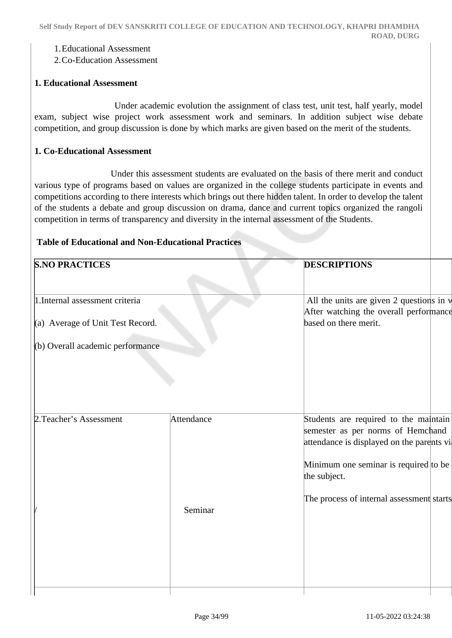#### 1.Educational Assessment

2.Co-Education Assessment

#### **1. Educational Assessment**

 Under academic evolution the assignment of class test, unit test, half yearly, model exam, subject wise project work assessment work and seminars. In addition subject wise debate competition, and group discussion is done by which marks are given based on the merit of the students.

#### **1. Co-Educational Assessment**

 Under this assessment students are evaluated on the basis of there merit and conduct various type of programs based on values are organized in the college students participate in events and competitions according to there interests which brings out there hidden talent. In order to develop the talent of the students a debate and group discussion on drama, dance and current topics organized the rangoli competition in terms of transparency and diversity in the internal assessment of the Students.

#### **Table of Educational and Non-Educational Practices**

| <b>S.NO PRACTICES</b>            |            | <b>DESCRIPTIONS</b>                                                                                                     |
|----------------------------------|------------|-------------------------------------------------------------------------------------------------------------------------|
| 1. Internal assessment criteria  |            | All the units are given 2 questions in v<br>After watching the overall performance                                      |
| (a) Average of Unit Test Record. |            | based on there merit.                                                                                                   |
| (b) Overall academic performance |            |                                                                                                                         |
|                                  |            |                                                                                                                         |
| 2. Teacher's Assessment          | Attendance | Students are required to the maintain<br>semester as per norms of Hemchand<br>attendance is displayed on the parents vi |
|                                  |            | Minimum one seminar is required to be<br>the subject.                                                                   |
|                                  | Seminar    | The process of internal assessment starts                                                                               |
|                                  |            |                                                                                                                         |
|                                  |            |                                                                                                                         |
|                                  |            |                                                                                                                         |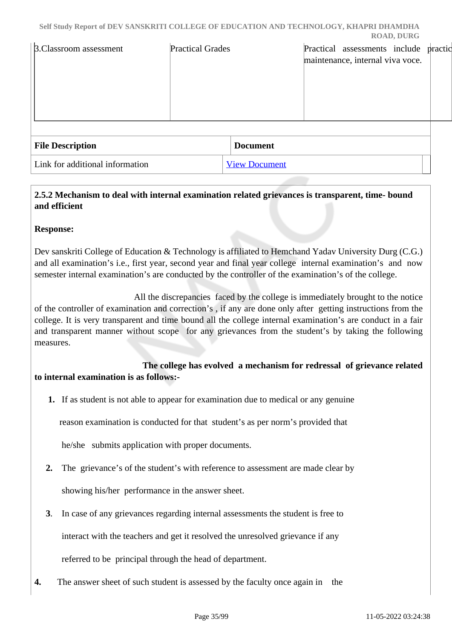| <b>B.Classroom assessment</b>   | <b>Practical Grades</b> |                      | Practical assessments include practic<br>maintenance, internal viva voce. |  |
|---------------------------------|-------------------------|----------------------|---------------------------------------------------------------------------|--|
| <b>File Description</b>         |                         | <b>Document</b>      |                                                                           |  |
| Link for additional information |                         | <b>View Document</b> |                                                                           |  |

# **2.5.2 Mechanism to deal with internal examination related grievances is transparent, time- bound and efficient**

#### **Response:**

Dev sanskriti College of Education & Technology is affiliated to Hemchand Yadav University Durg (C.G.) and all examination's i.e., first year, second year and final year college internal examination's and now semester internal examination's are conducted by the controller of the examination's of the college.

 All the discrepancies faced by the college is immediately brought to the notice of the controller of examination and correction's , if any are done only after getting instructions from the college. It is very transparent and time bound all the college internal examination's are conduct in a fair and transparent manner without scope for any grievances from the student's by taking the following measures.

 **The college has evolved a mechanism for redressal of grievance related to internal examination is as follows:-**

**1.** If as student is not able to appear for examination due to medical or any genuine

reason examination is conducted for that student's as per norm's provided that

he/she submits application with proper documents.

 **2.** The grievance's of the student's with reference to assessment are made clear by

showing his/her performance in the answer sheet.

**3**. In case of any grievances regarding internal assessments the student is free to

interact with the teachers and get it resolved the unresolved grievance if any

referred to be principal through the head of department.

**4.** The answer sheet of such student is assessed by the faculty once again in the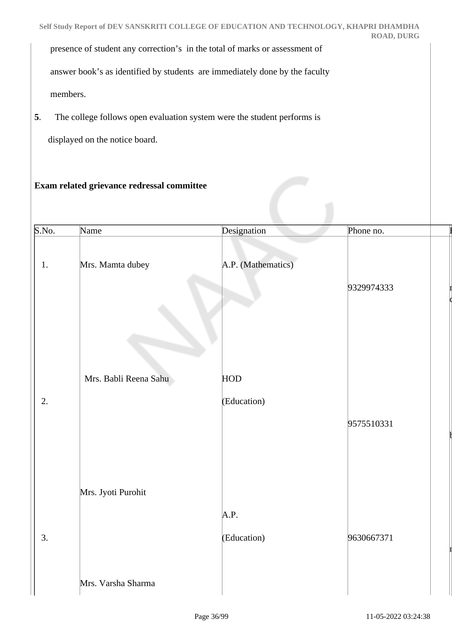presence of student any correction's in the total of marks or assessment of

answer book's as identified by students are immediately done by the faculty

members.

**5**. The college follows open evaluation system were the student performs is

displayed on the notice board.

#### **Exam related grievance redressal committee**

| S.No. | Name                  | Designation        | Phone no.  |  |
|-------|-----------------------|--------------------|------------|--|
| 1.    | Mrs. Mamta dubey      | A.P. (Mathematics) |            |  |
|       |                       |                    | 9329974333 |  |
|       |                       |                    |            |  |
|       | Mrs. Babli Reena Sahu | <b>HOD</b>         |            |  |
| 2.    |                       | (Education)        |            |  |
|       |                       |                    | 9575510331 |  |
|       |                       |                    |            |  |
|       |                       |                    |            |  |
|       | Mrs. Jyoti Purohit    |                    |            |  |
|       |                       | A.P.               |            |  |
| 3.    |                       | (Education)        | 9630667371 |  |
|       |                       |                    |            |  |
|       | Mrs. Varsha Sharma    |                    |            |  |

 $\mathbf{I}$ 

 $\mathfrak l$ 

 $\bf{i}$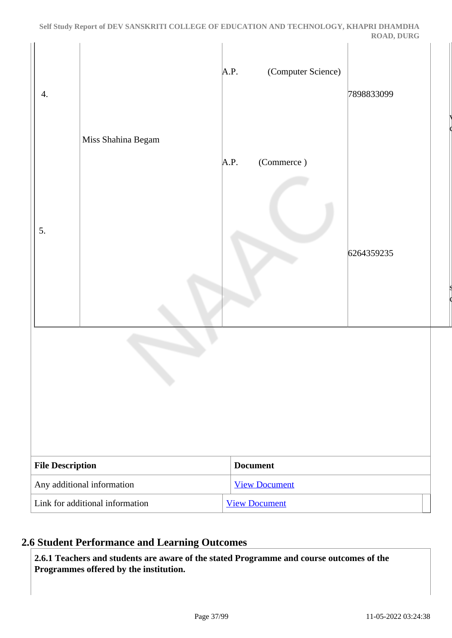| $\overline{4}$ .           | Miss Shahina Begam              | (Computer Science)<br>A.P. | 7898833099 |
|----------------------------|---------------------------------|----------------------------|------------|
| 5.                         |                                 | (Commerce)<br>A.P.         | 6264359235 |
|                            | c,                              |                            |            |
| <b>File Description</b>    |                                 | <b>Document</b>            |            |
| Any additional information |                                 | <b>View Document</b>       |            |
|                            | Link for additional information | <b>View Document</b>       |            |

## **2.6 Student Performance and Learning Outcomes**

 **2.6.1 Teachers and students are aware of the stated Programme and course outcomes of the Programmes offered by the institution.**

 $\vert \vert$ 

 $\vert s \vert$ 

com

com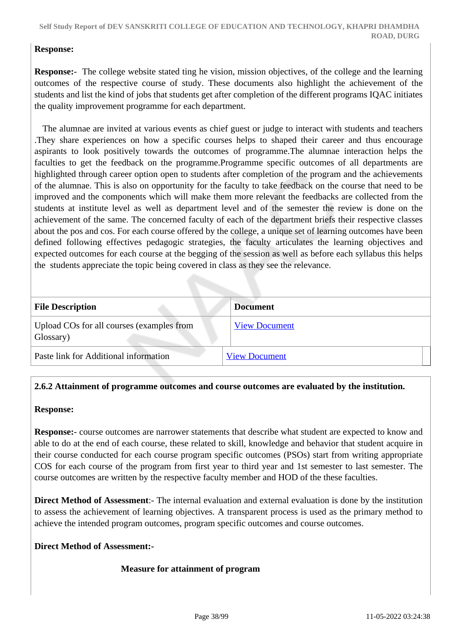#### **Response:**

**Response:**- The college website stated ting he vision, mission objectives, of the college and the learning outcomes of the respective course of study. These documents also highlight the achievement of the students and list the kind of jobs that students get after completion of the different programs IQAC initiates the quality improvement programme for each department.

 The alumnae are invited at various events as chief guest or judge to interact with students and teachers .They share experiences on how a specific courses helps to shaped their career and thus encourage aspirants to look positively towards the outcomes of programme.The alumnae interaction helps the faculties to get the feedback on the programme.Programme specific outcomes of all departments are highlighted through career option open to students after completion of the program and the achievements of the alumnae. This is also on opportunity for the faculty to take feedback on the course that need to be improved and the components which will make them more relevant the feedbacks are collected from the students at institute level as well as department level and of the semester the review is done on the achievement of the same. The concerned faculty of each of the department briefs their respective classes about the pos and cos. For each course offered by the college, a unique set of learning outcomes have been defined following effectives pedagogic strategies, the faculty articulates the learning objectives and expected outcomes for each course at the begging of the session as well as before each syllabus this helps the students appreciate the topic being covered in class as they see the relevance.

| <b>File Description</b>                                | Document             |
|--------------------------------------------------------|----------------------|
| Upload COs for all courses (examples from<br>Glossary) | <b>View Document</b> |
| Paste link for Additional information                  | <b>View Document</b> |

## **2.6.2 Attainment of programme outcomes and course outcomes are evaluated by the institution.**

#### **Response:**

**Response:**- course outcomes are narrower statements that describe what student are expected to know and able to do at the end of each course, these related to skill, knowledge and behavior that student acquire in their course conducted for each course program specific outcomes (PSOs) start from writing appropriate COS for each course of the program from first year to third year and 1st semester to last semester. The course outcomes are written by the respective faculty member and HOD of the these faculties.

**Direct Method of Assessment**:- The internal evaluation and external evaluation is done by the institution to assess the achievement of learning objectives. A transparent process is used as the primary method to achieve the intended program outcomes, program specific outcomes and course outcomes.

#### **Direct Method of Assessment:-**

#### **Measure for attainment of program**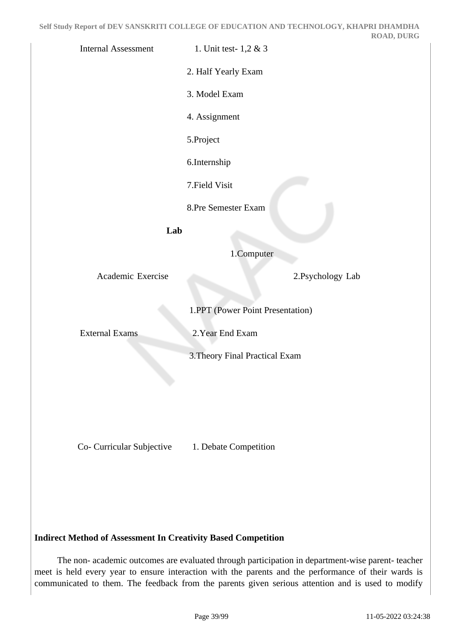Internal Assessment 1. Unit test- 1,2 & 3

2. Half Yearly Exam

3. Model Exam

4. Assignment

5.Project

6.Internship

7.Field Visit

8.Pre Semester Exam

**Lab**

1.Computer

Academic Exercise 2.Psychology Lab

1.PPT (Power Point Presentation)

External Exams 2.Year End Exam

3.Theory Final Practical Exam

Co- Curricular Subjective 1. Debate Competition

**Indirect Method of Assessment In Creativity Based Competition** 

 The non- academic outcomes are evaluated through participation in department-wise parent- teacher meet is held every year to ensure interaction with the parents and the performance of their wards is communicated to them. The feedback from the parents given serious attention and is used to modify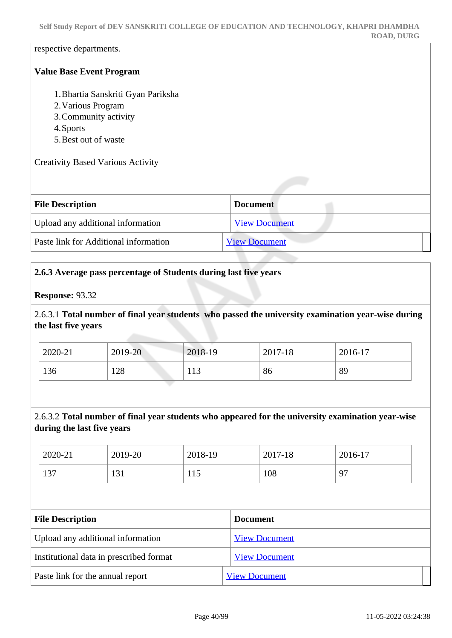**Self Study Report of DEV SANSKRITI COLLEGE OF EDUCATION AND TECHNOLOGY, KHAPRI DHAMDHA ROAD, DURG**

respective departments.

#### **Value Base Event Program**

- 1.Bhartia Sanskriti Gyan Pariksha
- 2.Various Program
- 3.Community activity
- 4.Sports
- 5.Best out of waste

Creativity Based Various Activity

| <b>File Description</b>               | <b>Document</b>      |
|---------------------------------------|----------------------|
| Upload any additional information     | <b>View Document</b> |
| Paste link for Additional information | <b>View Document</b> |

#### **2.6.3 Average pass percentage of Students during last five years**

#### **Response:** 93.32

2.6.3.1 **Total number of final year students who passed the university examination year-wise during the last five years**

| 2020-21 | 2019-20 | 2018-19 | 2017-18 | 2016-17 |
|---------|---------|---------|---------|---------|
| 136     | 128     | 113     | 86      | 89      |

#### 2.6.3.2 **Total number of final year students who appeared for the university examination year-wise during the last five years**

| 2020-21 | 2019-20 | 2018-19 | 2017-18 | 2016-17 |
|---------|---------|---------|---------|---------|
| 137     | 131     | 1 I J   | 108     | 97      |

| <b>File Description</b>                 | <b>Document</b>      |
|-----------------------------------------|----------------------|
| Upload any additional information       | <b>View Document</b> |
| Institutional data in prescribed format | <b>View Document</b> |
| Paste link for the annual report        | <b>View Document</b> |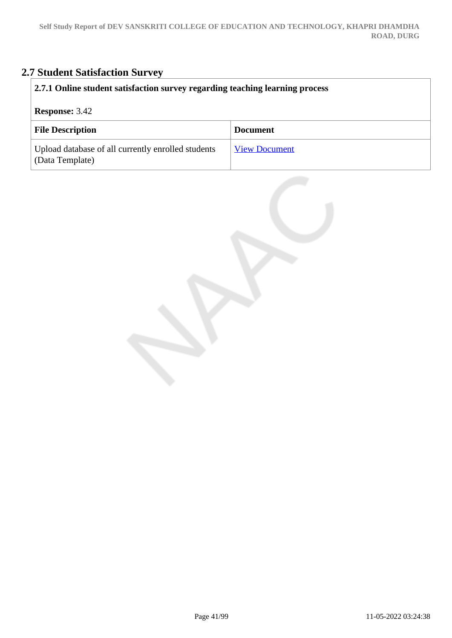# **2.7 Student Satisfaction Survey**

| 2.7.1 Online student satisfaction survey regarding teaching learning process |                      |  |
|------------------------------------------------------------------------------|----------------------|--|
| <b>Response: 3.42</b>                                                        |                      |  |
| <b>File Description</b>                                                      | <b>Document</b>      |  |
| Upload database of all currently enrolled students<br>(Data Template)        | <b>View Document</b> |  |

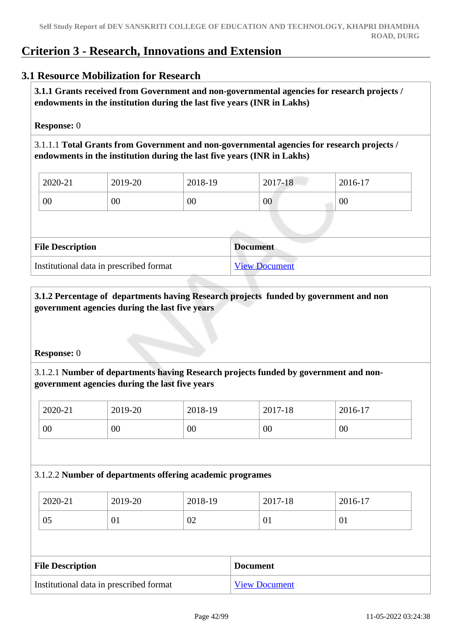## **Criterion 3 - Research, Innovations and Extension**

## **3.1 Resource Mobilization for Research**

 **3.1.1 Grants received from Government and non-governmental agencies for research projects / endowments in the institution during the last five years (INR in Lakhs)** 

#### **Response:** 0

3.1.1.1 **Total Grants from Government and non-governmental agencies for research projects / endowments in the institution during the last five years (INR in Lakhs)**

| 2020-21 | 2019-20 | 2018-19 | 2017-18 | 2016-17 |
|---------|---------|---------|---------|---------|
| 00      | 00      | 00      | 00      | 00      |

| <b>File Description</b>                 | <b>Document</b>      |
|-----------------------------------------|----------------------|
| Institutional data in prescribed format | <b>View Document</b> |

## **3.1.2 Percentage of departments having Research projects funded by government and non government agencies during the last five years**

#### **Response:** 0

## 3.1.2.1 **Number of departments having Research projects funded by government and nongovernment agencies during the last five years**

| 2020-21 | 2019-20 | 2018-19 | 2017-18 | 2016-17 |
|---------|---------|---------|---------|---------|
| 00      | 00      | 00      | $00\,$  | 00      |

#### 3.1.2.2 **Number of departments offering academic programes**

| 2020-21 | 2019-20 | 2018-19 | 2017-18 | 2016-17 |
|---------|---------|---------|---------|---------|
| 05      | 01      | 02      | 01      | 01      |

| <b>File Description</b>                 | <b>Document</b>      |
|-----------------------------------------|----------------------|
| Institutional data in prescribed format | <b>View Document</b> |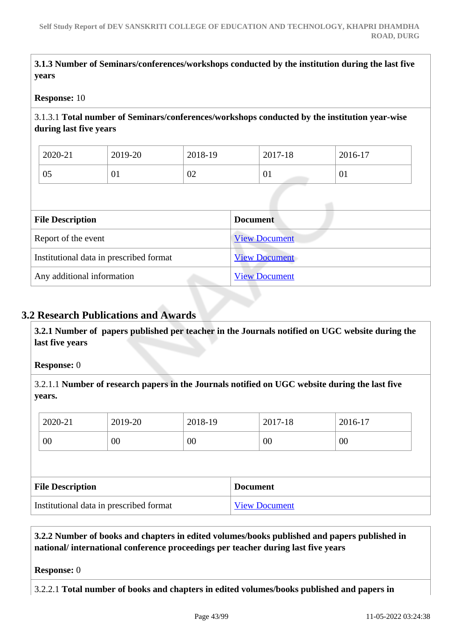**3.1.3 Number of Seminars/conferences/workshops conducted by the institution during the last five years**

#### **Response:** 10

3.1.3.1 **Total number of Seminars/conferences/workshops conducted by the institution year-wise during last five years** 

| 2020-21 | 2019-20 | 2018-19 | 2017-18   | 2016-17   |
|---------|---------|---------|-----------|-----------|
| 05      | 01      | 02      | <u>UI</u> | $\pm 0.1$ |

| <b>File Description</b>                 | <b>Document</b>      |
|-----------------------------------------|----------------------|
| Report of the event                     | <b>View Document</b> |
| Institutional data in prescribed format | <b>View Document</b> |
| Any additional information              | <b>View Document</b> |

## **3.2 Research Publications and Awards**

 **3.2.1 Number of papers published per teacher in the Journals notified on UGC website during the last five years** 

#### **Response:** 0

3.2.1.1 **Number of research papers in the Journals notified on UGC website during the last five years.**

| 2020-21                                 | 2019-20 | 2018-19 |                 | 2017-18              | 2016-17 |
|-----------------------------------------|---------|---------|-----------------|----------------------|---------|
| 00                                      | 00      | 00      |                 | 00                   | 00      |
|                                         |         |         |                 |                      |         |
| <b>File Description</b>                 |         |         | <b>Document</b> |                      |         |
| Institutional data in prescribed format |         |         |                 | <b>View Document</b> |         |

 **3.2.2 Number of books and chapters in edited volumes/books published and papers published in national/ international conference proceedings per teacher during last five years**

**Response:** 0

3.2.2.1 **Total number of books and chapters in edited volumes/books published and papers in**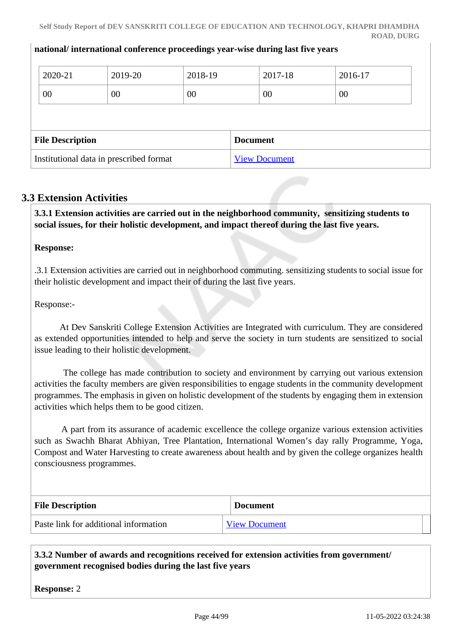#### **national/ international conference proceedings year-wise during last five years**

| 2020-21                 | 2019-20 | 2018-19 | 2017-18         | 2016-17 |  |
|-------------------------|---------|---------|-----------------|---------|--|
| 00                      | 00      | 00      | 00              | 00      |  |
|                         |         |         |                 |         |  |
|                         |         |         |                 |         |  |
| <b>File Description</b> |         |         | <b>Document</b> |         |  |

## **3.3 Extension Activities**

 **3.3.1 Extension activities are carried out in the neighborhood community, sensitizing students to social issues, for their holistic development, and impact thereof during the last five years.**

#### **Response:**

.3.1 Extension activities are carried out in neighborhood commuting. sensitizing students to social issue for their holistic development and impact their of during the last five years.

Response:-

 At Dev Sanskriti College Extension Activities are Integrated with curriculum. They are considered as extended opportunities intended to help and serve the society in turn students are sensitized to social issue leading to their holistic development.

 The college has made contribution to society and environment by carrying out various extension activities the faculty members are given responsibilities to engage students in the community development programmes. The emphasis in given on holistic development of the students by engaging them in extension activities which helps them to be good citizen.

 A part from its assurance of academic excellence the college organize various extension activities such as Swachh Bharat Abhiyan, Tree Plantation, International Women's day rally Programme, Yoga, Compost and Water Harvesting to create awareness about health and by given the college organizes health consciousness programmes.

| <b>File Description</b>               | <b>Document</b>      |
|---------------------------------------|----------------------|
| Paste link for additional information | <b>View Document</b> |

## **3.3.2 Number of awards and recognitions received for extension activities from government/ government recognised bodies during the last five years**

**Response:** 2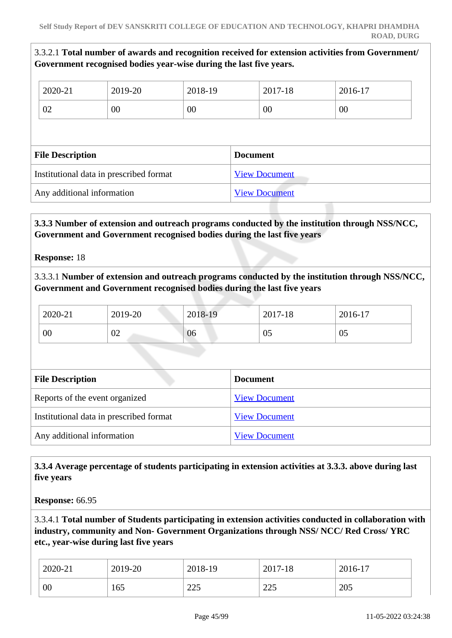3.3.2.1 **Total number of awards and recognition received for extension activities from Government/ Government recognised bodies year-wise during the last five years.**

| 2020-21                 | 2019-20                                 | 2018-19 | 2017-18              | 2016-17 |  |
|-------------------------|-----------------------------------------|---------|----------------------|---------|--|
| 02                      | 00                                      | 00      | 00                   | 00      |  |
|                         |                                         |         |                      |         |  |
| <b>File Description</b> |                                         |         |                      |         |  |
|                         |                                         |         | <b>Document</b>      |         |  |
|                         | Institutional data in prescribed format |         | <b>View Document</b> |         |  |

 **3.3.3 Number of extension and outreach programs conducted by the institution through NSS/NCC, Government and Government recognised bodies during the last five years**

**Response:** 18

3.3.3.1 **Number of extension and outreach programs conducted by the institution through NSS/NCC, Government and Government recognised bodies during the last five years**

| 2020-21 | 2019-20 | 2018-19 | 2017-18 | 2016-17 |
|---------|---------|---------|---------|---------|
| 00      | 02      | 06      | 05      | 05      |

| <b>File Description</b>                 | <b>Document</b>      |
|-----------------------------------------|----------------------|
| Reports of the event organized          | <b>View Document</b> |
| Institutional data in prescribed format | <b>View Document</b> |
| Any additional information              | <b>View Document</b> |

 **3.3.4 Average percentage of students participating in extension activities at 3.3.3. above during last five years**

**Response:** 66.95

3.3.4.1 **Total number of Students participating in extension activities conducted in collaboration with industry, community and Non- Government Organizations through NSS/ NCC/ Red Cross/ YRC etc., year-wise during last five years**

| 2020-21 | 2019-20 | 2018-19      | 2017-18 | 2016-17 |
|---------|---------|--------------|---------|---------|
| 00      | 165     | 225<br>ر ے ک | 225     | 205     |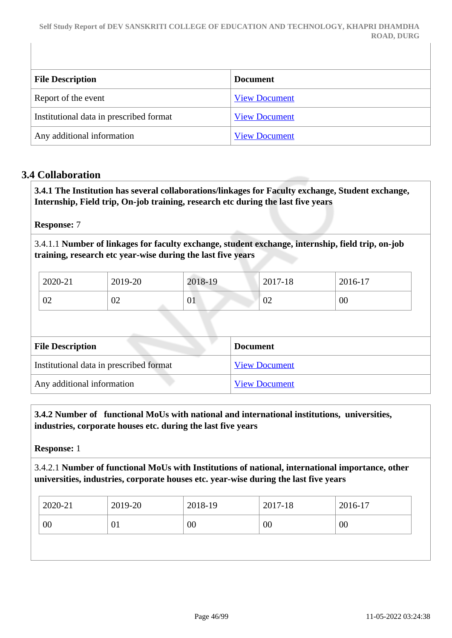| <b>File Description</b>                 | <b>Document</b>      |
|-----------------------------------------|----------------------|
| Report of the event                     | <b>View Document</b> |
| Institutional data in prescribed format | <b>View Document</b> |
| Any additional information              | <b>View Document</b> |

## **3.4 Collaboration**

 **3.4.1 The Institution has several collaborations/linkages for Faculty exchange, Student exchange, Internship, Field trip, On-job training, research etc during the last five years** 

#### **Response:** 7

3.4.1.1 **Number of linkages for faculty exchange, student exchange, internship, field trip, on-job training, research etc year-wise during the last five years**

| 2020-21 | 2019-20 | 2018-19 | 2017-18 | 2016-17 |
|---------|---------|---------|---------|---------|
| 02      | 02      | 01      | 02      | 00      |

| <b>File Description</b>                 | <b>Document</b>      |
|-----------------------------------------|----------------------|
| Institutional data in prescribed format | <b>View Document</b> |
| Any additional information              | <b>View Document</b> |

## **3.4.2 Number of functional MoUs with national and international institutions, universities, industries, corporate houses etc. during the last five years**

**Response:** 1

3.4.2.1 **Number of functional MoUs with Institutions of national, international importance, other universities, industries, corporate houses etc. year-wise during the last five years**

| 00<br>00<br>$00\,$<br>00<br>01 |  |
|--------------------------------|--|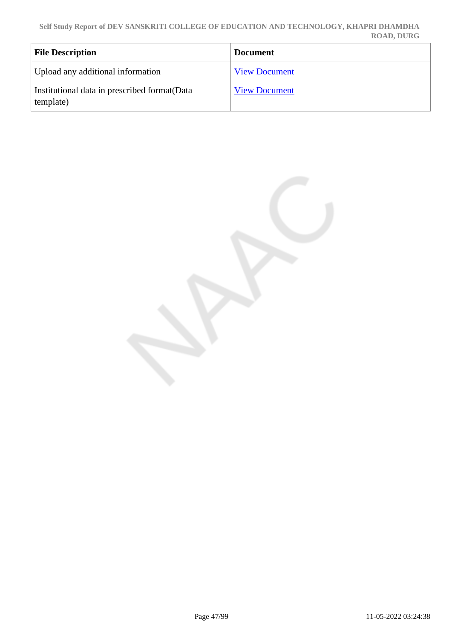| <b>File Description</b>                                    | <b>Document</b>      |
|------------------------------------------------------------|----------------------|
| Upload any additional information                          | <b>View Document</b> |
| Institutional data in prescribed format (Data<br>template) | <b>View Document</b> |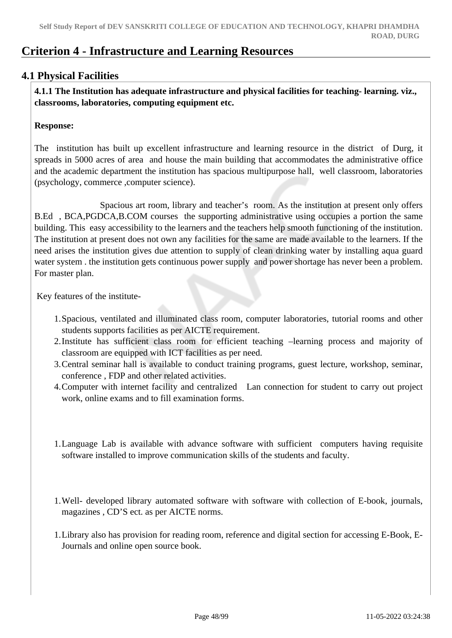# **Criterion 4 - Infrastructure and Learning Resources**

## **4.1 Physical Facilities**

 **4.1.1 The Institution has adequate infrastructure and physical facilities for teaching- learning. viz., classrooms, laboratories, computing equipment etc.** 

#### **Response:**

The institution has built up excellent infrastructure and learning resource in the district of Durg, it spreads in 5000 acres of area and house the main building that accommodates the administrative office and the academic department the institution has spacious multipurpose hall, well classroom, laboratories (psychology, commerce ,computer science).

 Spacious art room, library and teacher's room. As the institution at present only offers B.Ed , BCA,PGDCA,B.COM courses the supporting administrative using occupies a portion the same building. This easy accessibility to the learners and the teachers help smooth functioning of the institution. The institution at present does not own any facilities for the same are made available to the learners. If the need arises the institution gives due attention to supply of clean drinking water by installing aqua guard water system . the institution gets continuous power supply and power shortage has never been a problem. For master plan.

Key features of the institute-

- 1.Spacious, ventilated and illuminated class room, computer laboratories, tutorial rooms and other students supports facilities as per AICTE requirement.
- 2.Institute has sufficient class room for efficient teaching –learning process and majority of classroom are equipped with ICT facilities as per need.
- 3.Central seminar hall is available to conduct training programs, guest lecture, workshop, seminar, conference , FDP and other related activities.
- 4.Computer with internet facility and centralized Lan connection for student to carry out project work, online exams and to fill examination forms.
- 1.Language Lab is available with advance software with sufficient computers having requisite software installed to improve communication skills of the students and faculty.
- 1.Well- developed library automated software with software with collection of E-book, journals, magazines , CD'S ect. as per AICTE norms.
- 1.Library also has provision for reading room, reference and digital section for accessing E-Book, E-Journals and online open source book.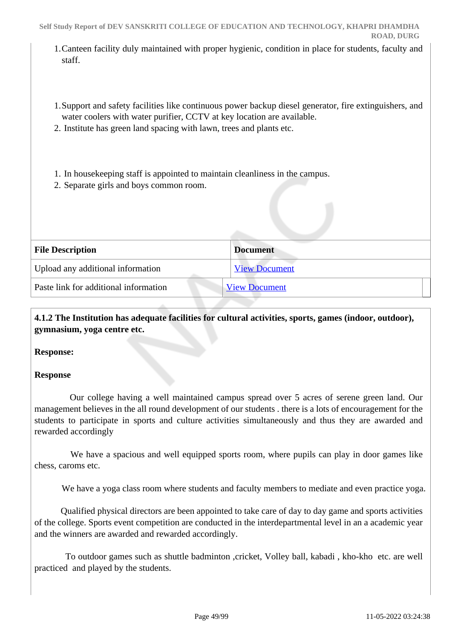- 1.Canteen facility duly maintained with proper hygienic, condition in place for students, faculty and staff.
- 1.Support and safety facilities like continuous power backup diesel generator, fire extinguishers, and water coolers with water purifier, CCTV at key location are available.
- 2. Institute has green land spacing with lawn, trees and plants etc.
- 1. In housekeeping staff is appointed to maintain cleanliness in the campus.
- 2. Separate girls and boys common room.

| <b>File Description</b>               | <b>Document</b>      |
|---------------------------------------|----------------------|
| Upload any additional information     | <b>View Document</b> |
| Paste link for additional information | <b>View Document</b> |
|                                       |                      |

 **4.1.2 The Institution has adequate facilities for cultural activities, sports, games (indoor, outdoor), gymnasium, yoga centre etc.** 

## **Response:**

## **Response**

 Our college having a well maintained campus spread over 5 acres of serene green land. Our management believes in the all round development of our students . there is a lots of encouragement for the students to participate in sports and culture activities simultaneously and thus they are awarded and rewarded accordingly

 We have a spacious and well equipped sports room, where pupils can play in door games like chess, caroms etc.

We have a yoga class room where students and faculty members to mediate and even practice yoga.

 Qualified physical directors are been appointed to take care of day to day game and sports activities of the college. Sports event competition are conducted in the interdepartmental level in an a academic year and the winners are awarded and rewarded accordingly.

 To outdoor games such as shuttle badminton ,cricket, Volley ball, kabadi , kho-kho etc. are well practiced and played by the students.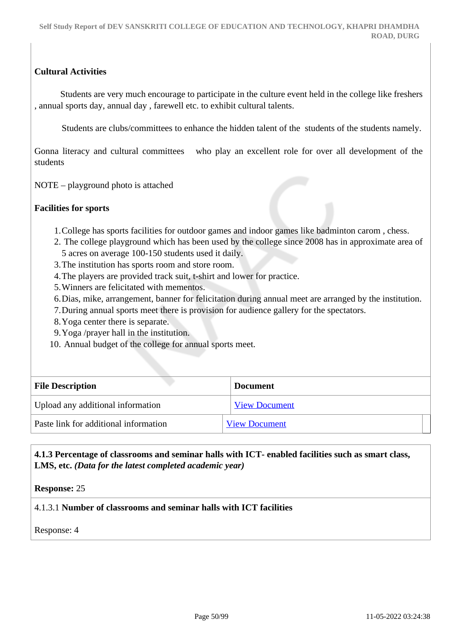## **Cultural Activities**

 Students are very much encourage to participate in the culture event held in the college like freshers , annual sports day, annual day , farewell etc. to exhibit cultural talents.

Students are clubs/committees to enhance the hidden talent of the students of the students namely.

Gonna literacy and cultural committees who play an excellent role for over all development of the students

NOTE – playground photo is attached

## **Facilities for sports**

- 1.College has sports facilities for outdoor games and indoor games like badminton carom , chess.
- 2. The college playground which has been used by the college since 2008 has in approximate area of 5 acres on average 100-150 students used it daily.
- 3.The institution has sports room and store room.
- 4.The players are provided track suit, t-shirt and lower for practice.
- 5.Winners are felicitated with mementos.
- 6.Dias, mike, arrangement, banner for felicitation during annual meet are arranged by the institution.
- 7.During annual sports meet there is provision for audience gallery for the spectators.
- 8.Yoga center there is separate.
- 9.Yoga /prayer hall in the institution.
- 10. Annual budget of the college for annual sports meet.

| <b>File Description</b>               | <b>Document</b>      |
|---------------------------------------|----------------------|
| Upload any additional information     | <b>View Document</b> |
| Paste link for additional information | <b>View Document</b> |

## **4.1.3 Percentage of classrooms and seminar halls with ICT- enabled facilities such as smart class, LMS, etc.** *(Data for the latest completed academic year)*

**Response:** 25

## 4.1.3.1 **Number of classrooms and seminar halls with ICT facilities**

Response: 4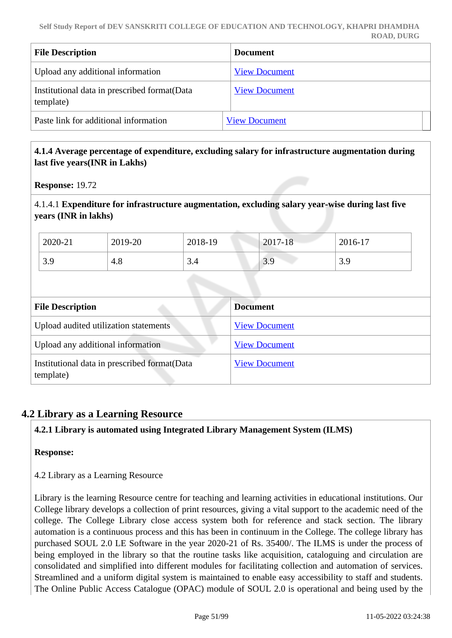| <b>File Description</b>                                    | <b>Document</b>      |
|------------------------------------------------------------|----------------------|
| Upload any additional information                          | <b>View Document</b> |
| Institutional data in prescribed format (Data<br>template) | <b>View Document</b> |
| Paste link for additional information                      | <b>View Document</b> |

#### **4.1.4 Average percentage of expenditure, excluding salary for infrastructure augmentation during last five years(INR in Lakhs)**

**Response:** 19.72

4.1.4.1 **Expenditure for infrastructure augmentation, excluding salary year-wise during last five years (INR in lakhs)**

| 2020-21   | 2019-20 | 2018-19  | $2017 - 18$ | 2016-17 |
|-----------|---------|----------|-------------|---------|
| 30<br>J.J | 4.8     | ⌒<br>5.4 | 3 Q         | 3.9     |

| <b>File Description</b>                                    | <b>Document</b>      |
|------------------------------------------------------------|----------------------|
| Upload audited utilization statements                      | <b>View Document</b> |
| Upload any additional information                          | <b>View Document</b> |
| Institutional data in prescribed format (Data<br>template) | <b>View Document</b> |

## **4.2 Library as a Learning Resource**

## **4.2.1 Library is automated using Integrated Library Management System (ILMS)**

#### **Response:**

4.2 Library as a Learning Resource

Library is the learning Resource centre for teaching and learning activities in educational institutions. Our College library develops a collection of print resources, giving a vital support to the academic need of the college. The College Library close access system both for reference and stack section. The library automation is a continuous process and this has been in continuum in the College. The college library has purchased SOUL 2.0 LE Software in the year 2020-21 of Rs. 35400/. The ILMS is under the process of being employed in the library so that the routine tasks like acquisition, cataloguing and circulation are consolidated and simplified into different modules for facilitating collection and automation of services. Streamlined and a uniform digital system is maintained to enable easy accessibility to staff and students. The Online Public Access Catalogue (OPAC) module of SOUL 2.0 is operational and being used by the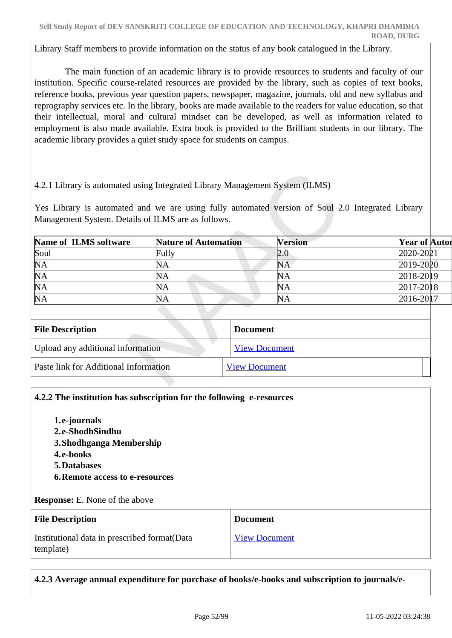Library Staff members to provide information on the status of any book catalogued in the Library.

 The main function of an academic library is to provide resources to students and faculty of our institution. Specific course-related resources are provided by the library, such as copies of text books, reference books, previous year question papers, newspaper, magazine, journals, old and new syllabus and reprography services etc. In the library, books are made available to the readers for value education, so that their intellectual, moral and cultural mindset can be developed, as well as information related to employment is also made available. Extra book is provided to the Brilliant students in our library. The academic library provides a quiet study space for students on campus.

## 4.2.1 Library is automated using Integrated Library Management System (ILMS)

Yes Library is automated and we are using fully automated version of Soul 2.0 Integrated Library Management System. Details of ILMS are as follows.

| Name of ILMS software | <b>Nature of Automation</b> | <b>Version</b> | <b>Year of Autor</b> |
|-----------------------|-----------------------------|----------------|----------------------|
| Soul                  | Fully                       | 2.0            | 2020-2021            |
| NA                    | NA                          | <b>NA</b>      | 2019-2020            |
| NA                    | NA                          | NA             | 2018-2019            |
| NA                    | NA                          | NA             | 2017-2018            |
| NA                    | NA                          | NA             | 2016-2017            |

| <b>File Description</b>               | <b>Document</b>      |
|---------------------------------------|----------------------|
| Upload any additional information     | <b>View Document</b> |
| Paste link for Additional Information | <b>View Document</b> |

#### **4.2.2 The institution has subscription for the following e-resources**

- **1.e-journals 2.e-ShodhSindhu 3.Shodhganga Membership**
- **4.e-books**
- **5.Databases**
- **6.Remote access to e-resources**

**Response:** E. None of the above

| <b>File Description</b>                                    | <b>Document</b>      |
|------------------------------------------------------------|----------------------|
| Institutional data in prescribed format (Data<br>template) | <b>View Document</b> |

**4.2.3 Average annual expenditure for purchase of books/e-books and subscription to journals/e-**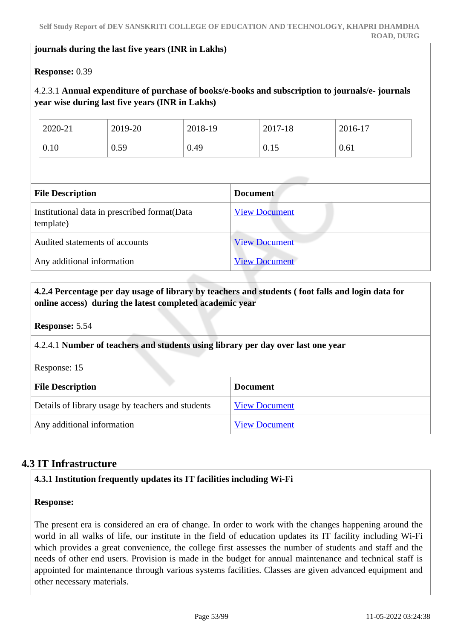#### **journals during the last five years (INR in Lakhs)**

#### **Response:** 0.39

## 4.2.3.1 **Annual expenditure of purchase of books/e-books and subscription to journals/e- journals year wise during last five years (INR in Lakhs)**

| 2020-21 | 2019-20 | 2018-19 | 2017-18 | 2016-17 |
|---------|---------|---------|---------|---------|
| 0.10    | 0.59    | 0.49    | 0.15    | 0.61    |

| <b>File Description</b>                                    | <b>Document</b>      |
|------------------------------------------------------------|----------------------|
| Institutional data in prescribed format (Data<br>template) | <b>View Document</b> |
| Audited statements of accounts                             | <b>View Document</b> |
| Any additional information                                 | <b>View Document</b> |

## **4.2.4 Percentage per day usage of library by teachers and students ( foot falls and login data for online access) during the latest completed academic year**

#### **Response:** 5.54

#### 4.2.4.1 **Number of teachers and students using library per day over last one year**

Response: 15

| <b>File Description</b>                           | <b>Document</b>      |
|---------------------------------------------------|----------------------|
| Details of library usage by teachers and students | <b>View Document</b> |
| Any additional information                        | <b>View Document</b> |

## **4.3 IT Infrastructure**

#### **4.3.1 Institution frequently updates its IT facilities including Wi-Fi**

#### **Response:**

The present era is considered an era of change. In order to work with the changes happening around the world in all walks of life, our institute in the field of education updates its IT facility including Wi-Fi which provides a great convenience, the college first assesses the number of students and staff and the needs of other end users. Provision is made in the budget for annual maintenance and technical staff is appointed for maintenance through various systems facilities. Classes are given advanced equipment and other necessary materials.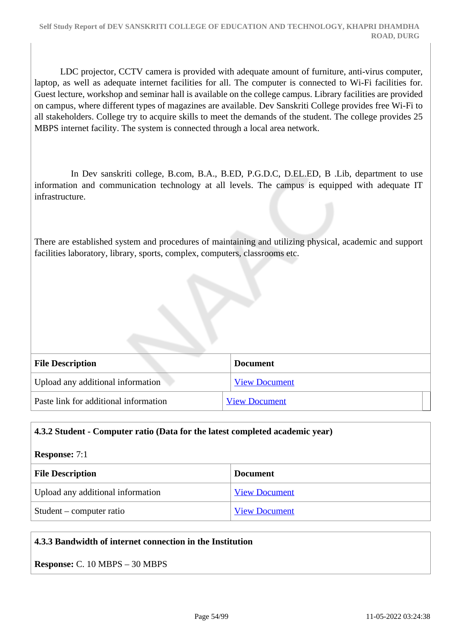LDC projector, CCTV camera is provided with adequate amount of furniture, anti-virus computer, laptop, as well as adequate internet facilities for all. The computer is connected to Wi-Fi facilities for. Guest lecture, workshop and seminar hall is available on the college campus. Library facilities are provided on campus, where different types of magazines are available. Dev Sanskriti College provides free Wi-Fi to all stakeholders. College try to acquire skills to meet the demands of the student. The college provides 25 MBPS internet facility. The system is connected through a local area network.

 In Dev sanskriti college, B.com, B.A., B.ED, P.G.D.C, D.EL.ED, B .Lib, department to use information and communication technology at all levels. The campus is equipped with adequate IT infrastructure.

There are established system and procedures of maintaining and utilizing physical, academic and support facilities laboratory, library, sports, complex, computers, classrooms etc.

| <b>File Description</b>               | <b>Document</b>      |
|---------------------------------------|----------------------|
| Upload any additional information     | <b>View Document</b> |
| Paste link for additional information | <b>View Document</b> |

#### **4.3.2 Student - Computer ratio (Data for the latest completed academic year)**

#### **Response:** 7:1

| <b>File Description</b>           | <b>Document</b>      |
|-----------------------------------|----------------------|
| Upload any additional information | <b>View Document</b> |
| Student – computer ratio          | <b>View Document</b> |

#### **4.3.3 Bandwidth of internet connection in the Institution**

**Response:** C. 10 MBPS – 30 MBPS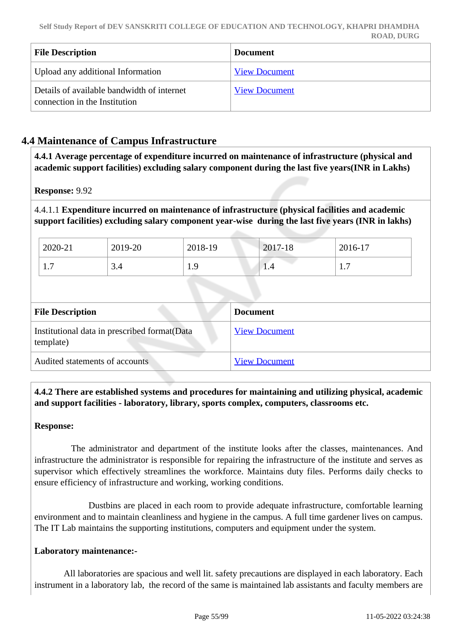| <b>File Description</b>                                                     | <b>Document</b>      |
|-----------------------------------------------------------------------------|----------------------|
| Upload any additional Information                                           | <b>View Document</b> |
| Details of available bandwidth of internet<br>connection in the Institution | <b>View Document</b> |

## **4.4 Maintenance of Campus Infrastructure**

 **4.4.1 Average percentage of expenditure incurred on maintenance of infrastructure (physical and academic support facilities) excluding salary component during the last five years(INR in Lakhs)**

**Response:** 9.92

4.4.1.1 **Expenditure incurred on maintenance of infrastructure (physical facilities and academic support facilities) excluding salary component year-wise during the last five years (INR in lakhs)**

| 2020-21                       | 2019-20 | 2018-19   | 2017-18 | 2016-17 |
|-------------------------------|---------|-----------|---------|---------|
| $\overline{ }$                | ⌒       | Q         | 1.4     | -       |
| $\mathbf{1} \cdot \mathbf{1}$ | 3.4     | <b>1.</b> |         | .       |

| <b>File Description</b>                                    | <b>Document</b>      |
|------------------------------------------------------------|----------------------|
| Institutional data in prescribed format (Data<br>template) | <b>View Document</b> |
| Audited statements of accounts                             | <b>View Document</b> |

 **4.4.2 There are established systems and procedures for maintaining and utilizing physical, academic and support facilities - laboratory, library, sports complex, computers, classrooms etc.**

#### **Response:**

 The administrator and department of the institute looks after the classes, maintenances. And infrastructure the administrator is responsible for repairing the infrastructure of the institute and serves as supervisor which effectively streamlines the workforce. Maintains duty files. Performs daily checks to ensure efficiency of infrastructure and working, working conditions.

 Dustbins are placed in each room to provide adequate infrastructure, comfortable learning environment and to maintain cleanliness and hygiene in the campus. A full time gardener lives on campus. The IT Lab maintains the supporting institutions, computers and equipment under the system.

#### **Laboratory maintenance:-**

 All laboratories are spacious and well lit. safety precautions are displayed in each laboratory. Each instrument in a laboratory lab, the record of the same is maintained lab assistants and faculty members are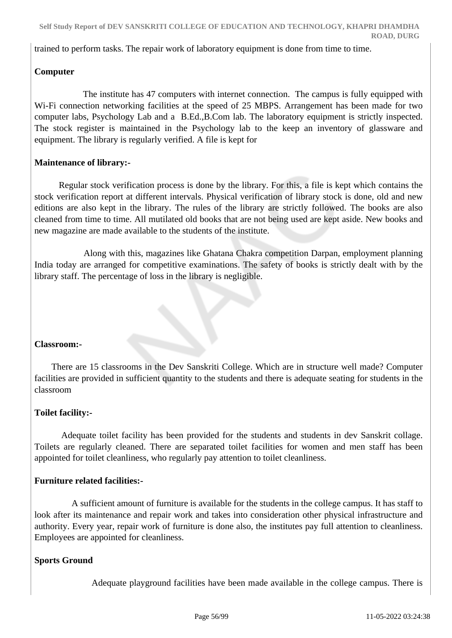trained to perform tasks. The repair work of laboratory equipment is done from time to time.

## **Computer**

 The institute has 47 computers with internet connection. The campus is fully equipped with Wi-Fi connection networking facilities at the speed of 25 MBPS. Arrangement has been made for two computer labs, Psychology Lab and a B.Ed.,B.Com lab. The laboratory equipment is strictly inspected. The stock register is maintained in the Psychology lab to the keep an inventory of glassware and equipment. The library is regularly verified. A file is kept for

## **Maintenance of library:-**

 Regular stock verification process is done by the library. For this, a file is kept which contains the stock verification report at different intervals. Physical verification of library stock is done, old and new editions are also kept in the library. The rules of the library are strictly followed. The books are also cleaned from time to time. All mutilated old books that are not being used are kept aside. New books and new magazine are made available to the students of the institute.

 Along with this, magazines like Ghatana Chakra competition Darpan, employment planning India today are arranged for competitive examinations. The safety of books is strictly dealt with by the library staff. The percentage of loss in the library is negligible.

## **Classroom:-**

 There are 15 classrooms in the Dev Sanskriti College. Which are in structure well made? Computer facilities are provided in sufficient quantity to the students and there is adequate seating for students in the classroom

## **Toilet facility:-**

 Adequate toilet facility has been provided for the students and students in dev Sanskrit collage. Toilets are regularly cleaned. There are separated toilet facilities for women and men staff has been appointed for toilet cleanliness, who regularly pay attention to toilet cleanliness.

#### **Furniture related facilities:-**

 A sufficient amount of furniture is available for the students in the college campus. It has staff to look after its maintenance and repair work and takes into consideration other physical infrastructure and authority. Every year, repair work of furniture is done also, the institutes pay full attention to cleanliness. Employees are appointed for cleanliness.

## **Sports Ground**

Adequate playground facilities have been made available in the college campus. There is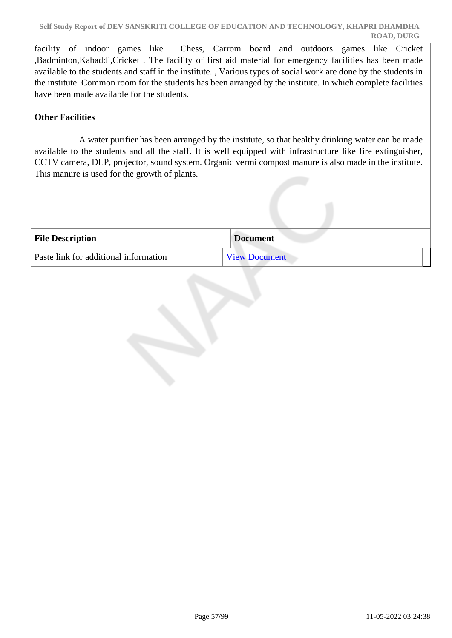facility of indoor games like Chess, Carrom board and outdoors games like Cricket ,Badminton,Kabaddi,Cricket . The facility of first aid material for emergency facilities has been made available to the students and staff in the institute. , Various types of social work are done by the students in the institute. Common room for the students has been arranged by the institute. In which complete facilities have been made available for the students.

## **Other Facilities**

 A water purifier has been arranged by the institute, so that healthy drinking water can be made available to the students and all the staff. It is well equipped with infrastructure like fire extinguisher, CCTV camera, DLP, projector, sound system. Organic vermi compost manure is also made in the institute. This manure is used for the growth of plants.

| <b>File Description</b>               | <b>Document</b>      |
|---------------------------------------|----------------------|
| Paste link for additional information | <b>View Document</b> |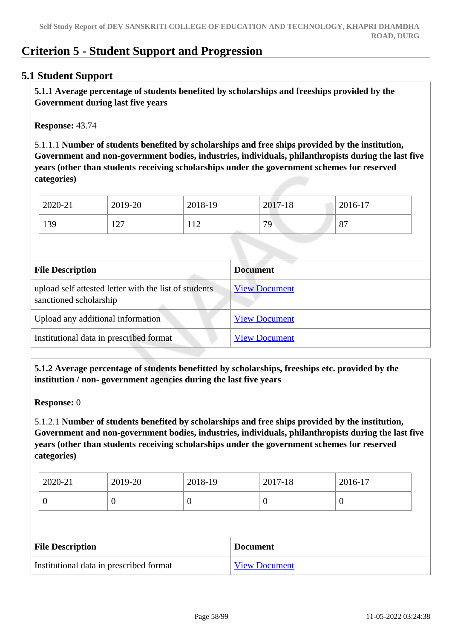## **Criterion 5 - Student Support and Progression**

## **5.1 Student Support**

 **5.1.1 Average percentage of students benefited by scholarships and freeships provided by the Government during last five years** 

**Response:** 43.74

5.1.1.1 **Number of students benefited by scholarships and free ships provided by the institution, Government and non-government bodies, industries, individuals, philanthropists during the last five years (other than students receiving scholarships under the government schemes for reserved categories)** 

| 2020-21 | 2019-20    | 2018-19                   | 2017-18 | 2016-17 |
|---------|------------|---------------------------|---------|---------|
| 139     | 127<br>1/2 | $\sqrt{10}$<br>$\sqrt{1}$ | 70      | 87      |

| <b>File Description</b>                                                         | <b>Document</b>      |
|---------------------------------------------------------------------------------|----------------------|
| upload self attested letter with the list of students<br>sanctioned scholarship | <b>View Document</b> |
| Upload any additional information                                               | <b>View Document</b> |
| Institutional data in prescribed format                                         | <b>View Document</b> |

 **5.1.2 Average percentage of students benefitted by scholarships, freeships etc. provided by the institution / non- government agencies during the last five years**

**Response:** 0

5.1.2.1 **Number of students benefited by scholarships and free ships provided by the institution, Government and non-government bodies, industries, individuals, philanthropists during the last five years (other than students receiving scholarships under the government schemes for reserved categories)** 

| 2020-21 | 2019-20 | 2018-19 | 2017-18 | 2016-17 |
|---------|---------|---------|---------|---------|
|         | ν       | ິ       | ν       | ◡       |

| <b>File Description</b>                 | <b>Document</b>      |
|-----------------------------------------|----------------------|
| Institutional data in prescribed format | <b>View Document</b> |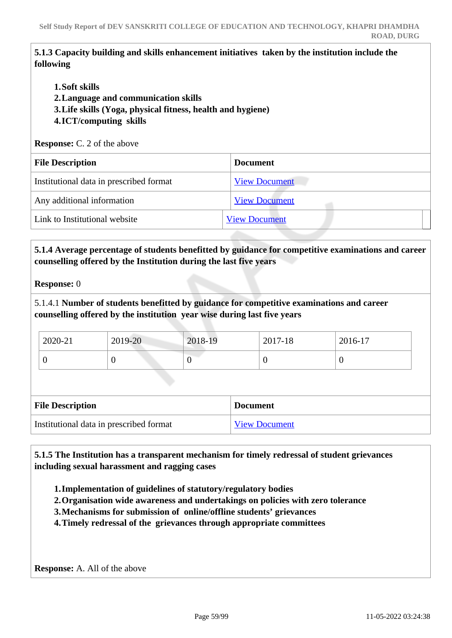## **5.1.3 Capacity building and skills enhancement initiatives taken by the institution include the following**

- **1.Soft skills**
- **2.Language and communication skills**
- **3.Life skills (Yoga, physical fitness, health and hygiene)**
- **4.ICT/computing skills**

**Response:** C. 2 of the above

| <b>File Description</b>                 | <b>Document</b>      |  |
|-----------------------------------------|----------------------|--|
| Institutional data in prescribed format | <b>View Document</b> |  |
| Any additional information              | <b>View Document</b> |  |
| Link to Institutional website           | <b>View Document</b> |  |
|                                         |                      |  |

## **5.1.4 Average percentage of students benefitted by guidance for competitive examinations and career counselling offered by the Institution during the last five years**

**Response:** 0

5.1.4.1 **Number of students benefitted by guidance for competitive examinations and career counselling offered by the institution year wise during last five years**

| 2020-21 | 2019-20 | 2018-19 | $2017 - 18$ | 2016-17 |  |
|---------|---------|---------|-------------|---------|--|
|         |         |         |             |         |  |

| <b>File Description</b>                 | <b>Document</b> |
|-----------------------------------------|-----------------|
| Institutional data in prescribed format | View Document   |

 **5.1.5 The Institution has a transparent mechanism for timely redressal of student grievances including sexual harassment and ragging cases**

- **1.Implementation of guidelines of statutory/regulatory bodies**
- **2.Organisation wide awareness and undertakings on policies with zero tolerance**
- **3.Mechanisms for submission of online/offline students' grievances**
- **4.Timely redressal of the grievances through appropriate committees**

**Response:** A. All of the above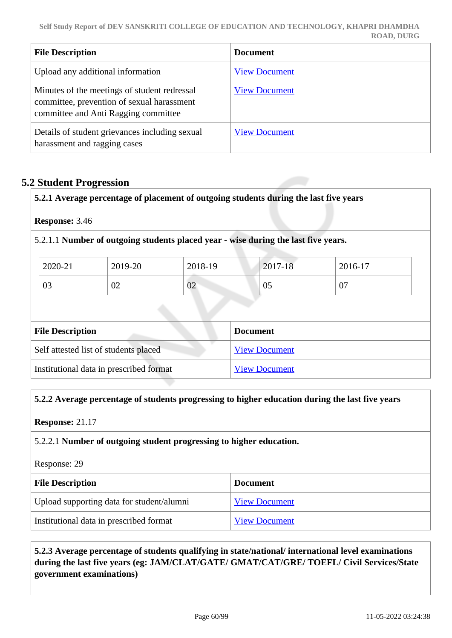| <b>File Description</b>                                                                                                            | <b>Document</b>      |
|------------------------------------------------------------------------------------------------------------------------------------|----------------------|
| Upload any additional information                                                                                                  | <b>View Document</b> |
| Minutes of the meetings of student redressal<br>committee, prevention of sexual harassment<br>committee and Anti Ragging committee | <b>View Document</b> |
| Details of student grievances including sexual<br>harassment and ragging cases                                                     | <b>View Document</b> |

## **5.2 Student Progression**

**5.2.1 Average percentage of placement of outgoing students during the last five years**

**Response:** 3.46

5.2.1.1 **Number of outgoing students placed year - wise during the last five years.**

| 2020-21 | 2019-20 | 2018-19 | 2017-18 | 2016-17 |
|---------|---------|---------|---------|---------|
| 03      | 02      | 02      | 05      | 07      |

| <b>File Description</b>                 | <b>Document</b>      |
|-----------------------------------------|----------------------|
| Self attested list of students placed   | <b>View Document</b> |
| Institutional data in prescribed format | <b>View Document</b> |

#### **5.2.2 Average percentage of students progressing to higher education during the last five years**

**Response:** 21.17

#### 5.2.2.1 **Number of outgoing student progressing to higher education.**

Response: 29

| <b>File Description</b>                   | <b>Document</b>      |
|-------------------------------------------|----------------------|
| Upload supporting data for student/alumni | <b>View Document</b> |
| Institutional data in prescribed format   | <b>View Document</b> |

 **5.2.3 Average percentage of students qualifying in state/national/ international level examinations during the last five years (eg: JAM/CLAT/GATE/ GMAT/CAT/GRE/ TOEFL/ Civil Services/State government examinations)**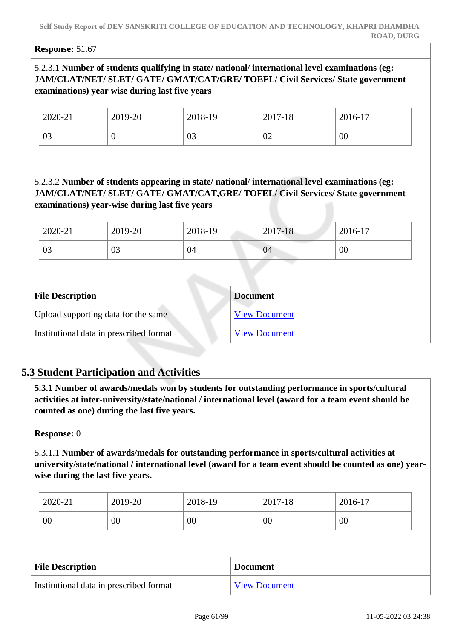#### **Response:** 51.67

## 5.2.3.1 **Number of students qualifying in state/ national/ international level examinations (eg: JAM/CLAT/NET/ SLET/ GATE/ GMAT/CAT/GRE/ TOEFL/ Civil Services/ State government examinations) year wise during last five years**

| 2020-21 | 2019-20 | 2018-19 | 2017-18 | 2016-17 |
|---------|---------|---------|---------|---------|
| 03      | ΩT.     | 03      | 02      | 00      |

## 5.2.3.2 **Number of students appearing in state/ national/ international level examinations (eg: JAM/CLAT/NET/ SLET/ GATE/ GMAT/CAT,GRE/ TOFEL/ Civil Services/ State government examinations) year-wise during last five years**

| 2020-21 | 2019-20 | 2018-19 | $2017 - 18$ | 2016-17 |
|---------|---------|---------|-------------|---------|
| 03      | 03      | 04      | 04          | 00      |

| <b>File Description</b>                 | <b>Document</b>      |
|-----------------------------------------|----------------------|
| Upload supporting data for the same     | <b>View Document</b> |
| Institutional data in prescribed format | <b>View Document</b> |

## **5.3 Student Participation and Activities**

 **5.3.1 Number of awards/medals won by students for outstanding performance in sports/cultural activities at inter-university/state/national / international level (award for a team event should be counted as one) during the last five years.**

#### **Response:** 0

5.3.1.1 **Number of awards/medals for outstanding performance in sports/cultural activities at university/state/national / international level (award for a team event should be counted as one) yearwise during the last five years.**

| 2020-21 | 2019-20         | 2018-19 | 2017-18 | 2016-17 |
|---------|-----------------|---------|---------|---------|
| 00      | $\overline{00}$ | 00      | 00      | 00      |

| <b>File Description</b>                 | <b>Document</b>      |
|-----------------------------------------|----------------------|
| Institutional data in prescribed format | <b>View Document</b> |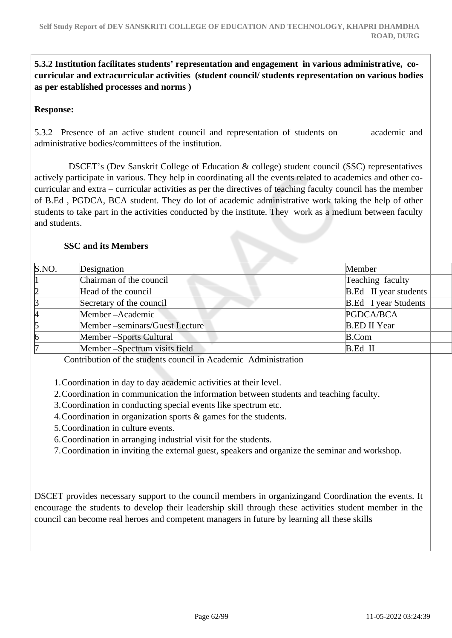## **5.3.2 Institution facilitates students' representation and engagement in various administrative, cocurricular and extracurricular activities (student council/ students representation on various bodies as per established processes and norms )**

## **Response:**

5.3.2 Presence of an active student council and representation of students on academic and administrative bodies/committees of the institution.

 DSCET's (Dev Sanskrit College of Education & college) student council (SSC) representatives actively participate in various. They help in coordinating all the events related to academics and other cocurricular and extra – curricular activities as per the directives of teaching faculty council has the member of B.Ed , PGDCA, BCA student. They do lot of academic administrative work taking the help of other students to take part in the activities conducted by the institute. They work as a medium between faculty and students.

#### **SSC and its Members**

| S.NO. | Designation                    | Member                       |
|-------|--------------------------------|------------------------------|
|       | Chairman of the council        | Teaching faculty             |
| 12    | Head of the council            | <b>B.Ed</b> II year students |
| B     | Secretary of the council       | <b>B.Ed</b> I year Students  |
| И     | Member-Academic                | PGDCA/BCA                    |
| 15    | Member –seminars/Guest Lecture | <b>B.ED II Year</b>          |
| 16    | Member - Sports Cultural       | <b>B.Com</b>                 |
|       | Member-Spectrum visits field   | B.Ed II                      |

Contribution of the students council in Academic Administration

1.Coordination in day to day academic activities at their level.

2.Coordination in communication the information between students and teaching faculty.

3.Coordination in conducting special events like spectrum etc.

4.Coordination in organization sports & games for the students.

5.Coordination in culture events.

6.Coordination in arranging industrial visit for the students.

7.Coordination in inviting the external guest, speakers and organize the seminar and workshop.

DSCET provides necessary support to the council members in organizingand Coordination the events. It encourage the students to develop their leadership skill through these activities student member in the council can become real heroes and competent managers in future by learning all these skills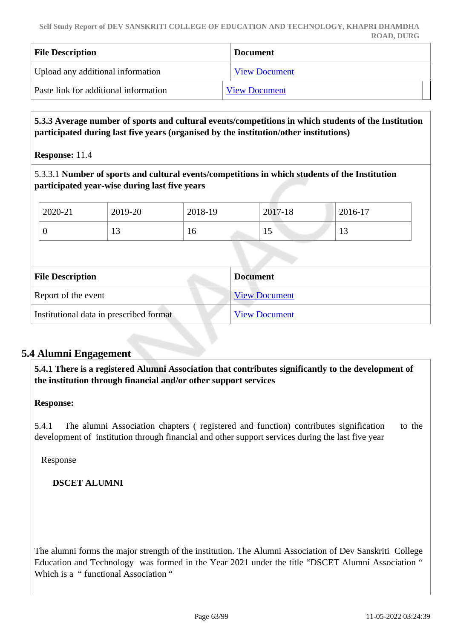| <b>File Description</b>               | <b>Document</b>      |
|---------------------------------------|----------------------|
| Upload any additional information     | <b>View Document</b> |
| Paste link for additional information | <b>View Document</b> |

 **5.3.3 Average number of sports and cultural events/competitions in which students of the Institution participated during last five years (organised by the institution/other institutions)**

**Response:** 11.4

5.3.3.1 **Number of sports and cultural events/competitions in which students of the Institution participated year-wise during last five years**

| 2020-21 | 2019-20 | 2018-19 | 2017-18 | 2016-17 |
|---------|---------|---------|---------|---------|
| ν       |         | 10      | ⊥J      | . L.J   |

| <b>File Description</b>                 | <b>Document</b>      |
|-----------------------------------------|----------------------|
| Report of the event                     | <b>View Document</b> |
| Institutional data in prescribed format | <b>View Document</b> |

## **5.4 Alumni Engagement**

 **5.4.1 There is a registered Alumni Association that contributes significantly to the development of the institution through financial and/or other support services**

**Response:** 

5.4.1 The alumni Association chapters ( registered and function) contributes signification to the development of institution through financial and other support services during the last five year

Response

## **DSCET ALUMNI**

The alumni forms the major strength of the institution. The Alumni Association of Dev Sanskriti College Education and Technology was formed in the Year 2021 under the title "DSCET Alumni Association " Which is a " functional Association "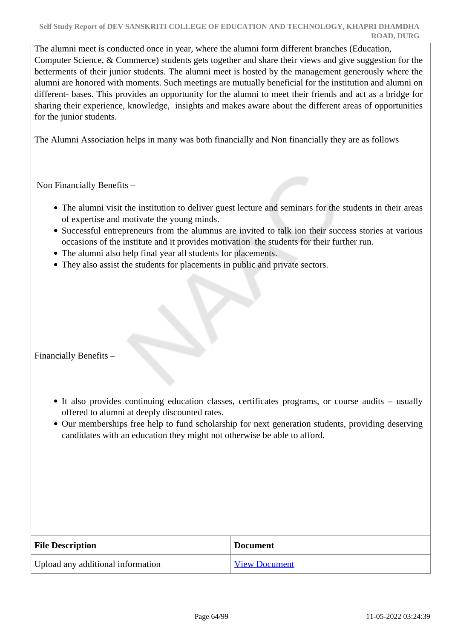The alumni meet is conducted once in year, where the alumni form different branches (Education, Computer Science, & Commerce) students gets together and share their views and give suggestion for the betterments of their junior students. The alumni meet is hosted by the management generously where the alumni are honored with moments. Such meetings are mutually beneficial for the institution and alumni on different- bases. This provides an opportunity for the alumni to meet their friends and act as a bridge for sharing their experience, knowledge, insights and makes aware about the different areas of opportunities for the junior students.

The Alumni Association helps in many was both financially and Non financially they are as follows

Non Financially Benefits –

- The alumni visit the institution to deliver guest lecture and seminars for the students in their areas of expertise and motivate the young minds.
- Successful entrepreneurs from the alumnus are invited to talk ion their success stories at various occasions of the institute and it provides motivation the students for their further run.
- The alumni also help final year all students for placements.
- They also assist the students for placements in public and private sectors.

Financially Benefits –

- It also provides continuing education classes, certificates programs, or course audits usually offered to alumni at deeply discounted rates.
- Our memberships free help to fund scholarship for next generation students, providing deserving candidates with an education they might not otherwise be able to afford.

| <b>File Description</b>           | <b>Document</b>      |
|-----------------------------------|----------------------|
| Upload any additional information | <b>View Document</b> |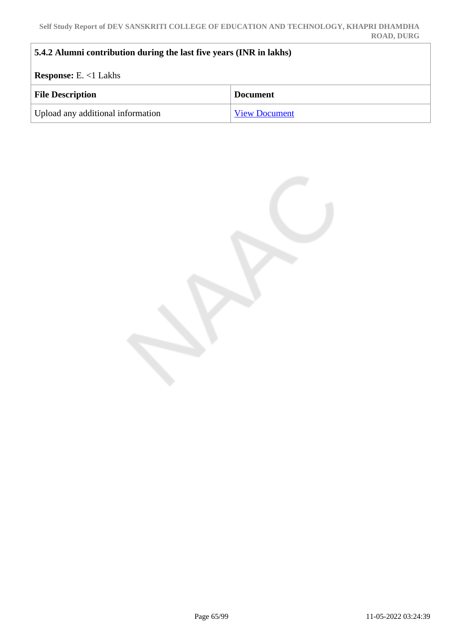| 5.4.2 Alumni contribution during the last five years (INR in lakhs) |                      |  |
|---------------------------------------------------------------------|----------------------|--|
| <b>Response:</b> E. $<1$ Lakhs                                      |                      |  |
| <b>File Description</b>                                             | <b>Document</b>      |  |
| Upload any additional information                                   | <b>View Document</b> |  |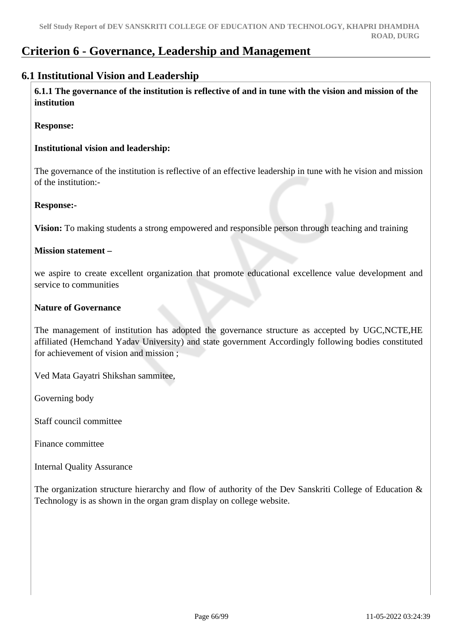# **Criterion 6 - Governance, Leadership and Management**

## **6.1 Institutional Vision and Leadership**

 **6.1.1 The governance of the institution is reflective of and in tune with the vision and mission of the institution**

#### **Response:**

#### **Institutional vision and leadership:**

The governance of the institution is reflective of an effective leadership in tune with he vision and mission of the institution:-

#### **Response:-**

**Vision:** To making students a strong empowered and responsible person through teaching and training

#### **Mission statement –**

we aspire to create excellent organization that promote educational excellence value development and service to communities

#### **Nature of Governance**

The management of institution has adopted the governance structure as accepted by UGC,NCTE,HE affiliated (Hemchand Yadav University) and state government Accordingly following bodies constituted for achievement of vision and mission ;

Ved Mata Gayatri Shikshan sammitee,

Governing body

Staff council committee

Finance committee

Internal Quality Assurance

The organization structure hierarchy and flow of authority of the Dev Sanskriti College of Education & Technology is as shown in the organ gram display on college website.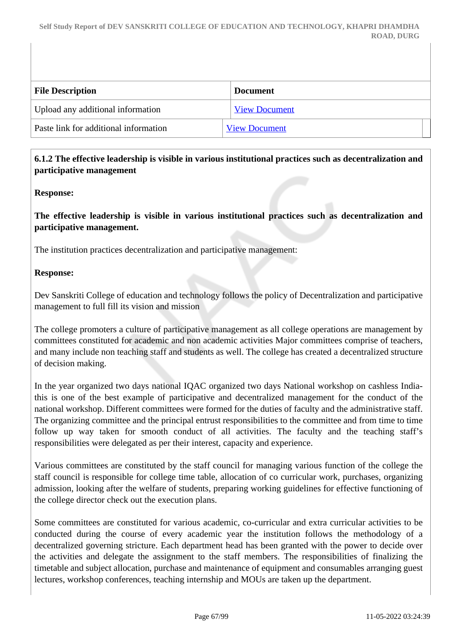| <b>File Description</b>               | <b>Document</b>      |
|---------------------------------------|----------------------|
| Upload any additional information     | <b>View Document</b> |
| Paste link for additional information | <b>View Document</b> |
|                                       |                      |

## **6.1.2 The effective leadership is visible in various institutional practices such as decentralization and participative management**

## **Response:**

**The effective leadership is visible in various institutional practices such as decentralization and participative management.**

The institution practices decentralization and participative management:

## **Response:**

Dev Sanskriti College of education and technology follows the policy of Decentralization and participative management to full fill its vision and mission

The college promoters a culture of participative management as all college operations are management by committees constituted for academic and non academic activities Major committees comprise of teachers, and many include non teaching staff and students as well. The college has created a decentralized structure of decision making.

In the year organized two days national IQAC organized two days National workshop on cashless Indiathis is one of the best example of participative and decentralized management for the conduct of the national workshop. Different committees were formed for the duties of faculty and the administrative staff. The organizing committee and the principal entrust responsibilities to the committee and from time to time follow up way taken for smooth conduct of all activities. The faculty and the teaching staff's responsibilities were delegated as per their interest, capacity and experience.

Various committees are constituted by the staff council for managing various function of the college the staff council is responsible for college time table, allocation of co curricular work, purchases, organizing admission, looking after the welfare of students, preparing working guidelines for effective functioning of the college director check out the execution plans.

Some committees are constituted for various academic, co-curricular and extra curricular activities to be conducted during the course of every academic year the institution follows the methodology of a decentralized governing stricture. Each department head has been granted with the power to decide over the activities and delegate the assignment to the staff members. The responsibilities of finalizing the timetable and subject allocation, purchase and maintenance of equipment and consumables arranging guest lectures, workshop conferences, teaching internship and MOUs are taken up the department.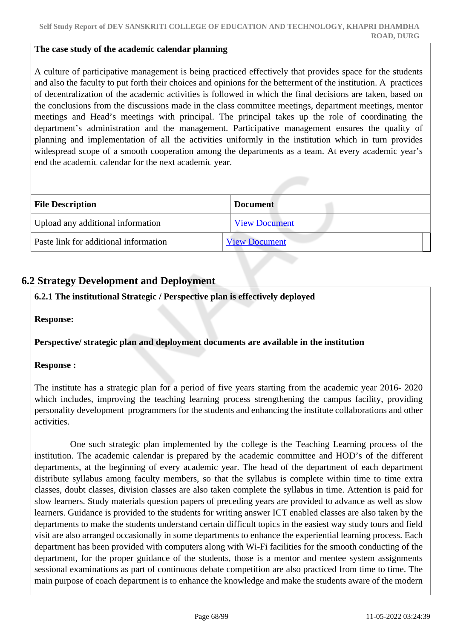#### **The case study of the academic calendar planning**

A culture of participative management is being practiced effectively that provides space for the students and also the faculty to put forth their choices and opinions for the betterment of the institution. A practices of decentralization of the academic activities is followed in which the final decisions are taken, based on the conclusions from the discussions made in the class committee meetings, department meetings, mentor meetings and Head's meetings with principal. The principal takes up the role of coordinating the department's administration and the management. Participative management ensures the quality of planning and implementation of all the activities uniformly in the institution which in turn provides widespread scope of a smooth cooperation among the departments as a team. At every academic year's end the academic calendar for the next academic year.

| <b>File Description</b>               | <b>Document</b>      |
|---------------------------------------|----------------------|
| Upload any additional information     | <b>View Document</b> |
| Paste link for additional information | <b>View Document</b> |

## **6.2 Strategy Development and Deployment**

## **6.2.1 The institutional Strategic / Perspective plan is effectively deployed**

**Response:** 

#### **Perspective/ strategic plan and deployment documents are available in the institution**

#### **Response :**

The institute has a strategic plan for a period of five years starting from the academic year 2016- 2020 which includes, improving the teaching learning process strengthening the campus facility, providing personality development programmers for the students and enhancing the institute collaborations and other activities.

 One such strategic plan implemented by the college is the Teaching Learning process of the institution. The academic calendar is prepared by the academic committee and HOD's of the different departments, at the beginning of every academic year. The head of the department of each department distribute syllabus among faculty members, so that the syllabus is complete within time to time extra classes, doubt classes, division classes are also taken complete the syllabus in time. Attention is paid for slow learners. Study materials question papers of preceding years are provided to advance as well as slow learners. Guidance is provided to the students for writing answer ICT enabled classes are also taken by the departments to make the students understand certain difficult topics in the easiest way study tours and field visit are also arranged occasionally in some departments to enhance the experiential learning process. Each department has been provided with computers along with Wi-Fi facilities for the smooth conducting of the department, for the proper guidance of the students, those is a mentor and mentee system assignments sessional examinations as part of continuous debate competition are also practiced from time to time. The main purpose of coach department is to enhance the knowledge and make the students aware of the modern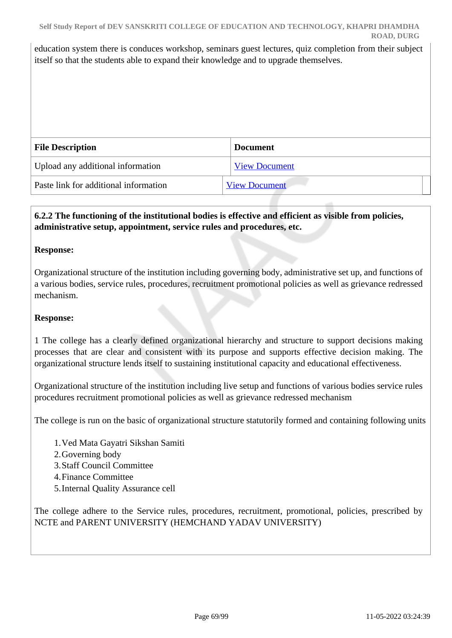education system there is conduces workshop, seminars guest lectures, quiz completion from their subject itself so that the students able to expand their knowledge and to upgrade themselves.

| <b>File Description</b>               | <b>Document</b>      |
|---------------------------------------|----------------------|
| Upload any additional information     | <b>View Document</b> |
| Paste link for additional information | <b>View Document</b> |

## **6.2.2 The functioning of the institutional bodies is effective and efficient as visible from policies, administrative setup, appointment, service rules and procedures, etc.**

#### **Response:**

Organizational structure of the institution including governing body, administrative set up, and functions of a various bodies, service rules, procedures, recruitment promotional policies as well as grievance redressed mechanism.

#### **Response:**

1 The college has a clearly defined organizational hierarchy and structure to support decisions making processes that are clear and consistent with its purpose and supports effective decision making. The organizational structure lends itself to sustaining institutional capacity and educational effectiveness.

Organizational structure of the institution including live setup and functions of various bodies service rules procedures recruitment promotional policies as well as grievance redressed mechanism

The college is run on the basic of organizational structure statutorily formed and containing following units

- 1.Ved Mata Gayatri Sikshan Samiti
- 2.Governing body
- 3.Staff Council Committee
- 4.Finance Committee
- 5.Internal Quality Assurance cell

The college adhere to the Service rules, procedures, recruitment, promotional, policies, prescribed by NCTE and PARENT UNIVERSITY (HEMCHAND YADAV UNIVERSITY)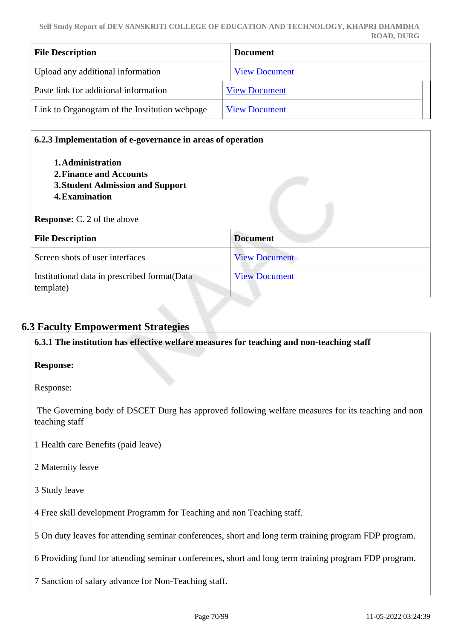| <b>File Description</b>                       | <b>Document</b>      |
|-----------------------------------------------|----------------------|
| Upload any additional information             | <b>View Document</b> |
| Paste link for additional information         | <b>View Document</b> |
| Link to Organogram of the Institution webpage | <b>View Document</b> |

| 1. Administration<br>2. Finance and Accounts<br>3. Student Admission and Support<br>4. Examination |                      |
|----------------------------------------------------------------------------------------------------|----------------------|
| <b>Response:</b> C. 2 of the above                                                                 |                      |
| <b>File Description</b>                                                                            | <b>Document</b>      |
| Screen shots of user interfaces                                                                    | <b>View Document</b> |

## **6.3 Faculty Empowerment Strategies**

**6.3.1 The institution has effective welfare measures for teaching and non-teaching staff**

## **Response:**

Response:

 The Governing body of DSCET Durg has approved following welfare measures for its teaching and non teaching staff

- 1 Health care Benefits (paid leave)
- 2 Maternity leave
- 3 Study leave
- 4 Free skill development Programm for Teaching and non Teaching staff.
- 5 On duty leaves for attending seminar conferences, short and long term training program FDP program.

6 Providing fund for attending seminar conferences, short and long term training program FDP program.

7 Sanction of salary advance for Non-Teaching staff.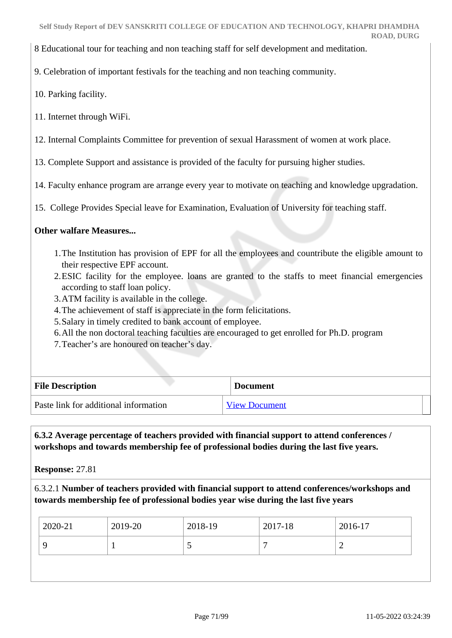8 Educational tour for teaching and non teaching staff for self development and meditation.

9. Celebration of important festivals for the teaching and non teaching community.

10. Parking facility.

11. Internet through WiFi.

12. Internal Complaints Committee for prevention of sexual Harassment of women at work place.

13. Complete Support and assistance is provided of the faculty for pursuing higher studies.

14. Faculty enhance program are arrange every year to motivate on teaching and knowledge upgradation.

15. College Provides Special leave for Examination, Evaluation of University for teaching staff.

#### **Other walfare Measures...**

- 1.The Institution has provision of EPF for all the employees and countribute the eligible amount to their respective EPF account.
- 2.ESIC facility for the employee. loans are granted to the staffs to meet financial emergencies according to staff loan policy.
- 3.ATM facility is available in the college.
- 4.The achievement of staff is appreciate in the form felicitations.
- 5.Salary in timely credited to bank account of employee.
- 6.All the non doctoral teaching faculties are encouraged to get enrolled for Ph.D. program
- 7.Teacher's are honoured on teacher's day.

| <b>File Description</b>               | <b>Document</b>      |
|---------------------------------------|----------------------|
| Paste link for additional information | <b>View Document</b> |

 **6.3.2 Average percentage of teachers provided with financial support to attend conferences / workshops and towards membership fee of professional bodies during the last five years.**

**Response:** 27.81

6.3.2.1 **Number of teachers provided with financial support to attend conferences/workshops and towards membership fee of professional bodies year wise during the last five years**

| 2020-21 | 2019-20 | 2018-19 | 2017-18 | 2016-17 |
|---------|---------|---------|---------|---------|
|         |         |         | ┍       | ∸       |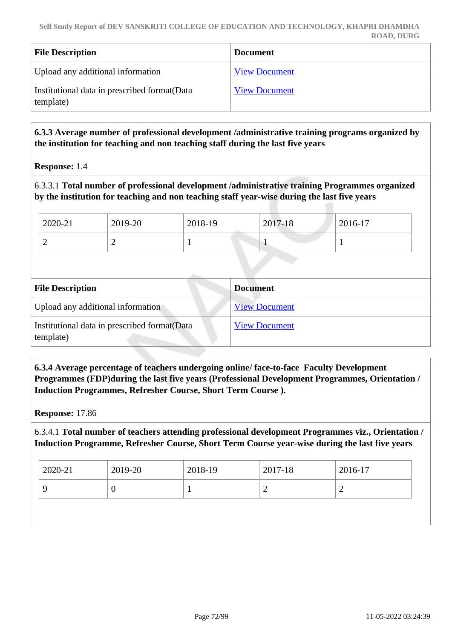| <b>File Description</b>                                    | <b>Document</b>      |
|------------------------------------------------------------|----------------------|
| Upload any additional information                          | <b>View Document</b> |
| Institutional data in prescribed format (Data<br>template) | <b>View Document</b> |

## **6.3.3 Average number of professional development /administrative training programs organized by the institution for teaching and non teaching staff during the last five years**

**Response:** 1.4

6.3.3.1 **Total number of professional development /administrative training Programmes organized by the institution for teaching and non teaching staff year-wise during the last five years**

| 2020-21 | 2019-20 | 2018-19 | 2017-18 | 2016-17 |
|---------|---------|---------|---------|---------|
| ∽       | ∼       |         |         |         |

| <b>File Description</b>                                    | <b>Document</b>      |  |  |
|------------------------------------------------------------|----------------------|--|--|
| Upload any additional information                          | <b>View Document</b> |  |  |
| Institutional data in prescribed format (Data<br>template) | <b>View Document</b> |  |  |

 **6.3.4 Average percentage of teachers undergoing online/ face-to-face Faculty Development Programmes (FDP)during the last five years (Professional Development Programmes, Orientation / Induction Programmes, Refresher Course, Short Term Course ).**

**Response:** 17.86

6.3.4.1 **Total number of teachers attending professional development Programmes viz., Orientation / Induction Programme, Refresher Course, Short Term Course year-wise during the last five years**

| $12020 - 21$ | 2019-20 | $2018-19$ | 2017-18 | 2016-17 |
|--------------|---------|-----------|---------|---------|
|              |         |           |         | -       |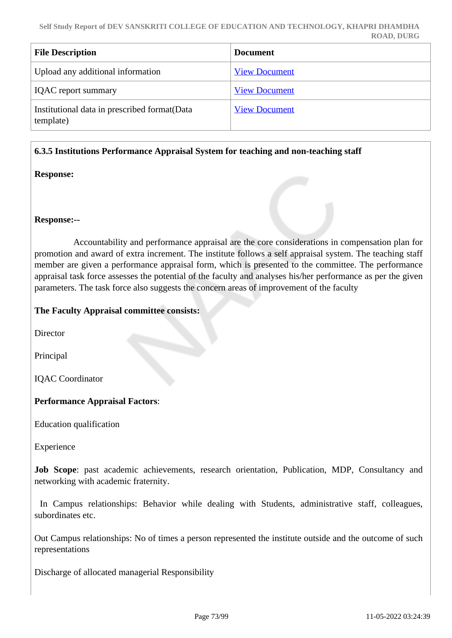| <b>File Description</b>                                    | <b>Document</b>      |
|------------------------------------------------------------|----------------------|
| Upload any additional information                          | <b>View Document</b> |
| <b>IQAC</b> report summary                                 | <b>View Document</b> |
| Institutional data in prescribed format (Data<br>template) | <b>View Document</b> |

#### **6.3.5 Institutions Performance Appraisal System for teaching and non-teaching staff**

#### **Response:**

#### **Response:--**

 Accountability and performance appraisal are the core considerations in compensation plan for promotion and award of extra increment. The institute follows a self appraisal system. The teaching staff member are given a performance appraisal form, which is presented to the committee. The performance appraisal task force assesses the potential of the faculty and analyses his/her performance as per the given parameters. The task force also suggests the concern areas of improvement of the faculty

#### **The Faculty Appraisal committee consists:**

**Director** 

Principal

IQAC Coordinator

#### **Performance Appraisal Factors**:

Education qualification

Experience

**Job Scope**: past academic achievements, research orientation, Publication, MDP, Consultancy and networking with academic fraternity.

 In Campus relationships: Behavior while dealing with Students, administrative staff, colleagues, subordinates etc.

Out Campus relationships: No of times a person represented the institute outside and the outcome of such representations

Discharge of allocated managerial Responsibility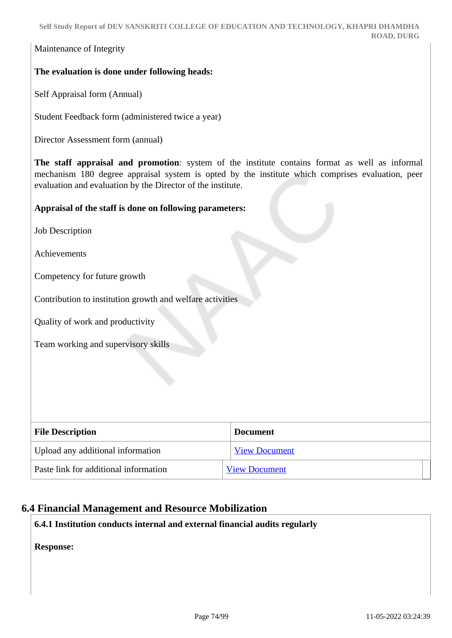Maintenance of Integrity

## **The evaluation is done under following heads:**

Self Appraisal form (Annual)

Student Feedback form (administered twice a year)

Director Assessment form (annual)

**The staff appraisal and promotion**: system of the institute contains format as well as informal mechanism 180 degree appraisal system is opted by the institute which comprises evaluation, peer evaluation and evaluation by the Director of the institute.

#### **Appraisal of the staff is done on following parameters:**

Job Description

Achievements

Competency for future growth

Contribution to institution growth and welfare activities

Quality of work and productivity

Team working and supervisory skills

| <b>File Description</b>               | <b>Document</b>      |
|---------------------------------------|----------------------|
| Upload any additional information     | <b>View Document</b> |
| Paste link for additional information | <b>View Document</b> |

## **6.4 Financial Management and Resource Mobilization**

**6.4.1 Institution conducts internal and external financial audits regularly**

**Response:**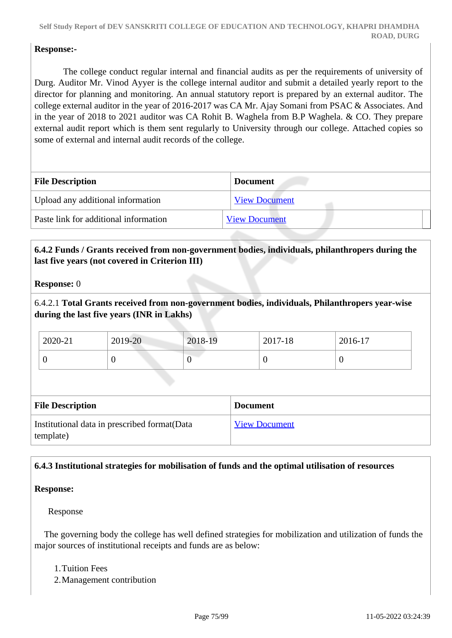## **Response:-**

 The college conduct regular internal and financial audits as per the requirements of university of Durg. Auditor Mr. Vinod Ayyer is the college internal auditor and submit a detailed yearly report to the director for planning and monitoring. An annual statutory report is prepared by an external auditor. The college external auditor in the year of 2016-2017 was CA Mr. Ajay Somani from PSAC & Associates. And in the year of 2018 to 2021 auditor was CA Rohit B. Waghela from B.P Waghela. & CO. They prepare external audit report which is them sent regularly to University through our college. Attached copies so some of external and internal audit records of the college.

| <b>File Description</b>               | <b>Document</b>      |
|---------------------------------------|----------------------|
| Upload any additional information     | <b>View Document</b> |
| Paste link for additional information | <b>View Document</b> |

## **6.4.2 Funds / Grants received from non-government bodies, individuals, philanthropers during the last five years (not covered in Criterion III)**

#### **Response:** 0

6.4.2.1 **Total Grants received from non-government bodies, individuals, Philanthropers year-wise during the last five years (INR in Lakhs)**

| 2020-21 | 2019-20 | 2018-19 | 2017-18 | 2016-17 |
|---------|---------|---------|---------|---------|
| ◡       |         |         |         |         |

| <b>File Description</b>                                    | <b>Document</b>      |
|------------------------------------------------------------|----------------------|
| Institutional data in prescribed format (Data<br>template) | <b>View Document</b> |

## **6.4.3 Institutional strategies for mobilisation of funds and the optimal utilisation of resources**

#### **Response:**

Response

 The governing body the college has well defined strategies for mobilization and utilization of funds the major sources of institutional receipts and funds are as below:

1.Tuition Fees

2.Management contribution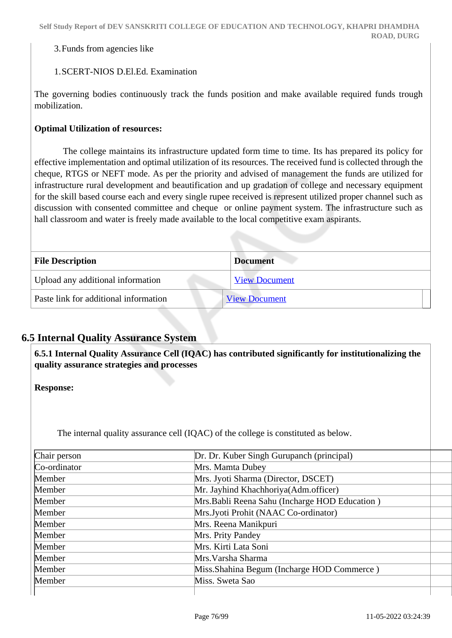3.Funds from agencies like

#### 1.SCERT-NIOS D.El.Ed. Examination

The governing bodies continuously track the funds position and make available required funds trough mobilization.

#### **Optimal Utilization of resources:**

 The college maintains its infrastructure updated form time to time. Its has prepared its policy for effective implementation and optimal utilization of its resources. The received fund is collected through the cheque, RTGS or NEFT mode. As per the priority and advised of management the funds are utilized for infrastructure rural development and beautification and up gradation of college and necessary equipment for the skill based course each and every single rupee received is represent utilized proper channel such as discussion with consented committee and cheque or online payment system. The infrastructure such as hall classroom and water is freely made available to the local competitive exam aspirants.

| <b>File Description</b>               | <b>Document</b>      |
|---------------------------------------|----------------------|
| Upload any additional information     | <b>View Document</b> |
| Paste link for additional information | <b>View Document</b> |

## **6.5 Internal Quality Assurance System**

 **6.5.1 Internal Quality Assurance Cell (IQAC) has contributed significantly for institutionalizing the quality assurance strategies and processes**

**Response:** 

The internal quality assurance cell (IQAC) of the college is constituted as below.

| Chair person  | Dr. Dr. Kuber Singh Gurupanch (principal)      |  |
|---------------|------------------------------------------------|--|
| $Co-ordinate$ | Mrs. Mamta Dubey                               |  |
| Member        | Mrs. Jyoti Sharma (Director, DSCET)            |  |
| Member        | Mr. Jayhind Khachhoriya(Adm.officer)           |  |
| Member        | Mrs. Babli Reena Sahu (Incharge HOD Education) |  |
| Member        | Mrs.Jyoti Prohit (NAAC Co-ordinator)           |  |
| Member        | Mrs. Reena Manikpuri                           |  |
| Member        | Mrs. Prity Pandey                              |  |
| Member        | Mrs. Kirti Lata Soni                           |  |
| Member        | Mrs. Varsha Sharma                             |  |
| Member        | Miss. Shahina Begum (Incharge HOD Commerce)    |  |
| Member        | Miss. Sweta Sao                                |  |
|               |                                                |  |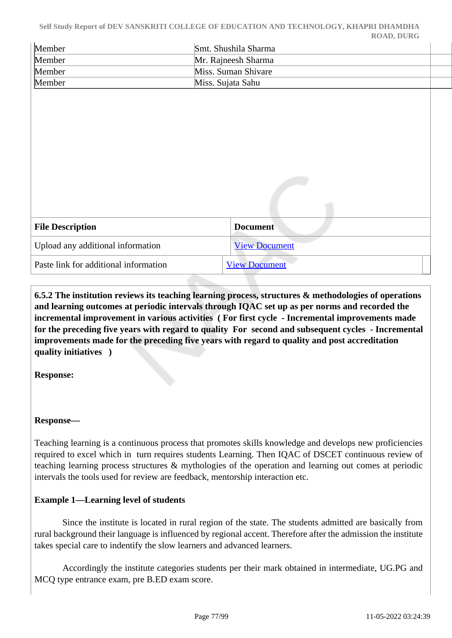| Self Study Report of DEV SANSKRITI COLLEGE OF EDUCATION AND TECHNOLOGY, KHAPRI DHAMDHA |  |
|----------------------------------------------------------------------------------------|--|
| <b>ROAD, DURG</b>                                                                      |  |

| Member                                | Smt. Shushila Sharma |
|---------------------------------------|----------------------|
| Member                                | Mr. Rajneesh Sharma  |
| Member                                | Miss. Suman Shivare  |
| Member                                | Miss. Sujata Sahu    |
|                                       |                      |
|                                       |                      |
|                                       |                      |
|                                       |                      |
|                                       |                      |
|                                       |                      |
|                                       |                      |
|                                       |                      |
|                                       |                      |
|                                       |                      |
|                                       |                      |
| <b>File Description</b>               | <b>Document</b>      |
| Upload any additional information     | <b>View Document</b> |
| Paste link for additional information | <b>View Document</b> |

 **6.5.2 The institution reviews its teaching learning process, structures & methodologies of operations and learning outcomes at periodic intervals through IQAC set up as per norms and recorded the incremental improvement in various activities ( For first cycle - Incremental improvements made for the preceding five years with regard to quality For second and subsequent cycles - Incremental improvements made for the preceding five years with regard to quality and post accreditation quality initiatives )** 

**Response:** 

#### **Response—**

Teaching learning is a continuous process that promotes skills knowledge and develops new proficiencies required to excel which in turn requires students Learning. Then IQAC of DSCET continuous review of teaching learning process structures & mythologies of the operation and learning out comes at periodic intervals the tools used for review are feedback, mentorship interaction etc.

#### **Example 1—Learning level of students**

 Since the institute is located in rural region of the state. The students admitted are basically from rural background their language is influenced by regional accent. Therefore after the admission the institute takes special care to indentify the slow learners and advanced learners.

 Accordingly the institute categories students per their mark obtained in intermediate, UG.PG and MCQ type entrance exam, pre B.ED exam score.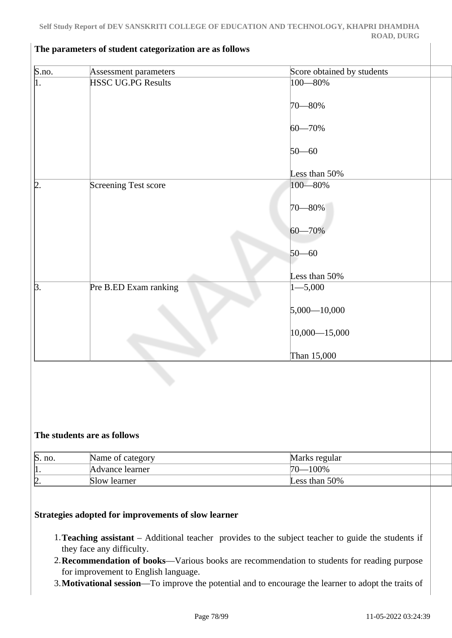| $\overline{\text{S.no.}}$        | Assessment parameters       | Score obtained by students |  |
|----------------------------------|-----------------------------|----------------------------|--|
| $\vert$ 1.                       | <b>HSSC UG.PG Results</b>   | 100-80%                    |  |
|                                  |                             |                            |  |
|                                  |                             | 70–80%                     |  |
|                                  |                             |                            |  |
|                                  |                             | $60 - 70%$                 |  |
|                                  |                             |                            |  |
|                                  |                             | $50 - 60$                  |  |
|                                  |                             | Less than 50%              |  |
| 12                               | Screening Test score        | $100 - 80\%$               |  |
|                                  |                             |                            |  |
|                                  |                             | $70 - 80\%$                |  |
|                                  |                             |                            |  |
|                                  |                             | 60-70%                     |  |
|                                  |                             |                            |  |
|                                  |                             | $50 - 60$                  |  |
|                                  |                             |                            |  |
|                                  |                             | Less than 50%              |  |
| $\beta$ .                        | Pre B.ED Exam ranking       | $1 - 5,000$                |  |
|                                  |                             |                            |  |
|                                  |                             | $5,000 - 10,000$           |  |
|                                  |                             |                            |  |
|                                  |                             | $10,000 - 15,000$          |  |
|                                  |                             |                            |  |
|                                  |                             | Than 15,000                |  |
|                                  |                             |                            |  |
|                                  |                             |                            |  |
|                                  |                             |                            |  |
|                                  |                             |                            |  |
|                                  |                             |                            |  |
|                                  | The students are as follows |                            |  |
|                                  |                             |                            |  |
|                                  | Name of category            | Marks regular              |  |
| $\frac{\text{S. no.}}{1.}$<br>2. | Advance learner             | $70 - 100\%$               |  |
|                                  | Slow learner                | Less than 50%              |  |
|                                  |                             |                            |  |

#### **The parameters of student categorization are as follows**

- 1.**Teaching assistant** Additional teacher provides to the subject teacher to guide the students if they face any difficulty.
- 2.**Recommendation of books**—Various books are recommendation to students for reading purpose for improvement to English language.
- 3.**Motivational session**—To improve the potential and to encourage the learner to adopt the traits of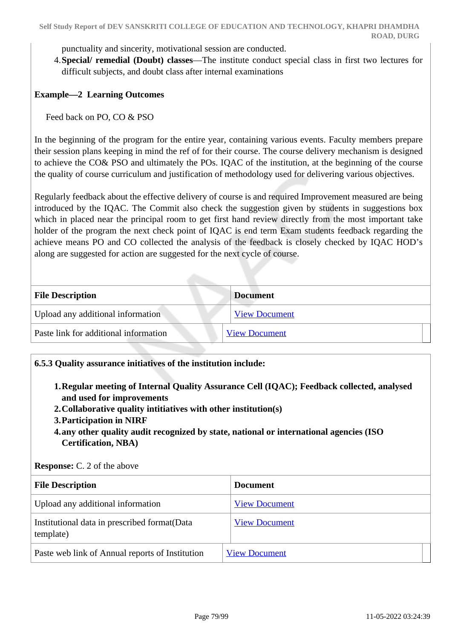punctuality and sincerity, motivational session are conducted.

4.**Special/ remedial (Doubt) classes**—The institute conduct special class in first two lectures for difficult subjects, and doubt class after internal examinations

## **Example—2 Learning Outcomes**

Feed back on PO, CO & PSO

In the beginning of the program for the entire year, containing various events. Faculty members prepare their session plans keeping in mind the ref of for their course. The course delivery mechanism is designed to achieve the CO& PSO and ultimately the POs. IQAC of the institution, at the beginning of the course the quality of course curriculum and justification of methodology used for delivering various objectives.

Regularly feedback about the effective delivery of course is and required Improvement measured are being introduced by the IQAC. The Commit also check the suggestion given by students in suggestions box which in placed near the principal room to get first hand review directly from the most important take holder of the program the next check point of IQAC is end term Exam students feedback regarding the achieve means PO and CO collected the analysis of the feedback is closely checked by IQAC HOD's along are suggested for action are suggested for the next cycle of course.

| <b>File Description</b>               | <b>Document</b>      |
|---------------------------------------|----------------------|
| Upload any additional information     | <b>View Document</b> |
| Paste link for additional information | <b>View Document</b> |

#### **6.5.3 Quality assurance initiatives of the institution include:**

- **1.Regular meeting of Internal Quality Assurance Cell (IQAC); Feedback collected, analysed and used for improvements**
- **2.Collaborative quality intitiatives with other institution(s)**
- **3.Participation in NIRF**
- **4.any other quality audit recognized by state, national or international agencies (ISO Certification, NBA)**

| <b>File Description</b>                                    | <b>Document</b>      |
|------------------------------------------------------------|----------------------|
| Upload any additional information                          | <b>View Document</b> |
| Institutional data in prescribed format (Data<br>template) | <b>View Document</b> |
| Paste web link of Annual reports of Institution            | <b>View Document</b> |

**Response:** C. 2 of the above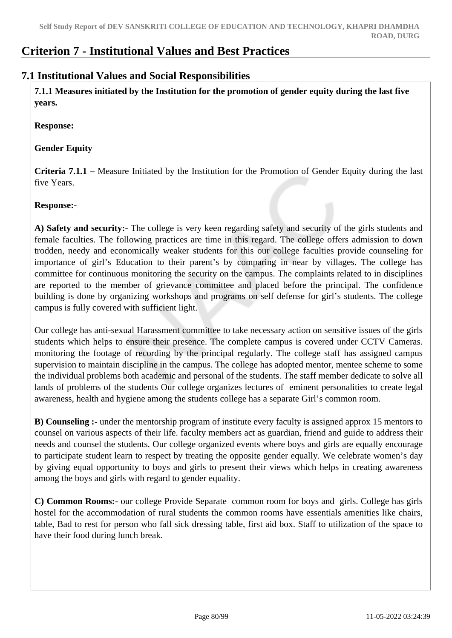## **Criterion 7 - Institutional Values and Best Practices**

## **7.1 Institutional Values and Social Responsibilities**

 **7.1.1 Measures initiated by the Institution for the promotion of gender equity during the last five years.**

**Response:** 

**Gender Equity** 

**Criteria 7.1.1 –** Measure Initiated by the Institution for the Promotion of Gender Equity during the last five Years.

## **Response:-**

**A) Safety and security:-** The college is very keen regarding safety and security of the girls students and female faculties. The following practices are time in this regard. The college offers admission to down trodden, needy and economically weaker students for this our college faculties provide counseling for importance of girl's Education to their parent's by comparing in near by villages. The college has committee for continuous monitoring the security on the campus. The complaints related to in disciplines are reported to the member of grievance committee and placed before the principal. The confidence building is done by organizing workshops and programs on self defense for girl's students. The college campus is fully covered with sufficient light.

Our college has anti-sexual Harassment committee to take necessary action on sensitive issues of the girls students which helps to ensure their presence. The complete campus is covered under CCTV Cameras. monitoring the footage of recording by the principal regularly. The college staff has assigned campus supervision to maintain discipline in the campus. The college has adopted mentor, mentee scheme to some the individual problems both academic and personal of the students. The staff member dedicate to solve all lands of problems of the students Our college organizes lectures of eminent personalities to create legal awareness, health and hygiene among the students college has a separate Girl's common room.

**B) Counseling :-** under the mentorship program of institute every faculty is assigned approx 15 mentors to counsel on various aspects of their life. faculty members act as guardian, friend and guide to address their needs and counsel the students. Our college organized events where boys and girls are equally encourage to participate student learn to respect by treating the opposite gender equally. We celebrate women's day by giving equal opportunity to boys and girls to present their views which helps in creating awareness among the boys and girls with regard to gender equality.

**C) Common Rooms:-** our college Provide Separate common room for boys and girls. College has girls hostel for the accommodation of rural students the common rooms have essentials amenities like chairs, table, Bad to rest for person who fall sick dressing table, first aid box. Staff to utilization of the space to have their food during lunch break.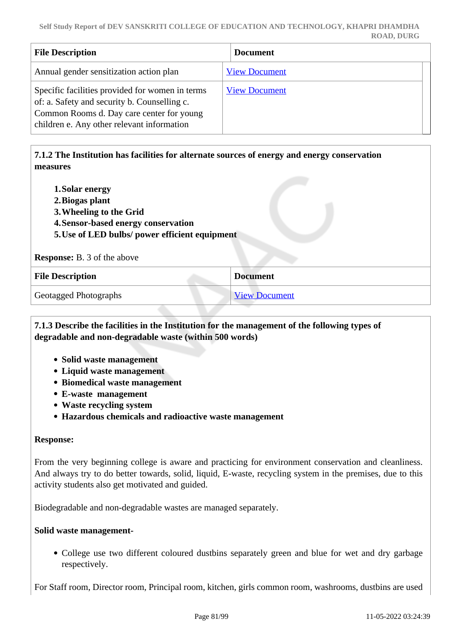| <b>File Description</b>                                                                                                                                                                    | <b>Document</b>      |
|--------------------------------------------------------------------------------------------------------------------------------------------------------------------------------------------|----------------------|
| Annual gender sensitization action plan                                                                                                                                                    | <b>View Document</b> |
| Specific facilities provided for women in terms<br>of: a. Safety and security b. Counselling c.<br>Common Rooms d. Day care center for young<br>children e. Any other relevant information | <b>View Document</b> |

## **7.1.2 The Institution has facilities for alternate sources of energy and energy conservation measures**

- **1.Solar energy**
- **2.Biogas plant**
- **3.Wheeling to the Grid**
- **4.Sensor-based energy conservation**
- **5.Use of LED bulbs/ power efficient equipment**

**Response:** B. 3 of the above

| <b>File Description</b>      | <b>Document</b>      |
|------------------------------|----------------------|
| <b>Geotagged Photographs</b> | <b>View Document</b> |

## **7.1.3 Describe the facilities in the Institution for the management of the following types of degradable and non-degradable waste (within 500 words)**

- **Solid waste management**
- **Liquid waste management**
- **Biomedical waste management**
- **E-waste management**
- **Waste recycling system**
- **Hazardous chemicals and radioactive waste management**

#### **Response:**

From the very beginning college is aware and practicing for environment conservation and cleanliness. And always try to do better towards, solid, liquid, E-waste, recycling system in the premises, due to this activity students also get motivated and guided.

Biodegradable and non-degradable wastes are managed separately.

#### **Solid waste management-**

• College use two different coloured dustbins separately green and blue for wet and dry garbage respectively.

For Staff room, Director room, Principal room, kitchen, girls common room, washrooms, dustbins are used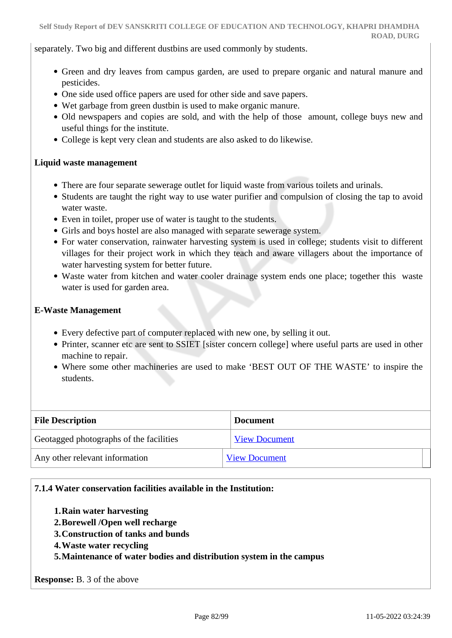separately. Two big and different dustbins are used commonly by students.

- Green and dry leaves from campus garden, are used to prepare organic and natural manure and pesticides.
- One side used office papers are used for other side and save papers.
- Wet garbage from green dustbin is used to make organic manure.
- Old newspapers and copies are sold, and with the help of those amount, college buys new and useful things for the institute.
- College is kept very clean and students are also asked to do likewise.

#### **Liquid waste management**

- There are four separate sewerage outlet for liquid waste from various toilets and urinals.
- Students are taught the right way to use water purifier and compulsion of closing the tap to avoid water waste.
- Even in toilet, proper use of water is taught to the students.
- Girls and boys hostel are also managed with separate sewerage system.
- For water conservation, rainwater harvesting system is used in college; students visit to different villages for their project work in which they teach and aware villagers about the importance of water harvesting system for better future.
- Waste water from kitchen and water cooler drainage system ends one place; together this waste water is used for garden area.

#### **E-Waste Management**

- Every defective part of computer replaced with new one, by selling it out.
- Printer, scanner etc are sent to SSIET [sister concern college] where useful parts are used in other machine to repair.
- Where some other machineries are used to make 'BEST OUT OF THE WASTE' to inspire the students.

| <b>File Description</b>                 | <b>Document</b>      |
|-----------------------------------------|----------------------|
| Geotagged photographs of the facilities | <b>View Document</b> |
| Any other relevant information          | <b>View Document</b> |

#### **7.1.4 Water conservation facilities available in the Institution:**

- **1.Rain water harvesting**
- **2.Borewell /Open well recharge**
- **3.Construction of tanks and bunds**
- **4.Waste water recycling**
- **5.Maintenance of water bodies and distribution system in the campus**

**Response:** B. 3 of the above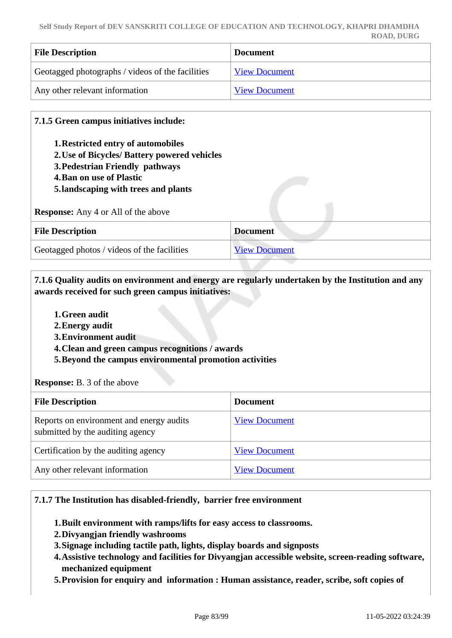| <b>File Description</b>                          | <b>Document</b>      |
|--------------------------------------------------|----------------------|
| Geotagged photographs / videos of the facilities | <b>View Document</b> |
| Any other relevant information                   | <b>View Document</b> |

## **7.1.5 Green campus initiatives include:**

- **1.Restricted entry of automobiles**
- **2.Use of Bicycles/ Battery powered vehicles**
- **3.Pedestrian Friendly pathways**
- **4.Ban on use of Plastic**
- **5.landscaping with trees and plants**

**Response:** Any 4 or All of the above

| <b>File Description</b>                     | <b>Document</b>      |
|---------------------------------------------|----------------------|
| Geotagged photos / videos of the facilities | <b>View Document</b> |

 **7.1.6 Quality audits on environment and energy are regularly undertaken by the Institution and any awards received for such green campus initiatives:**

- **1.Green audit**
- **2.Energy audit**
- **3.Environment audit**
- **4.Clean and green campus recognitions / awards**
- **5.Beyond the campus environmental promotion activities**

**Response:** B. 3 of the above

| <b>File Description</b>                                                      | <b>Document</b>      |
|------------------------------------------------------------------------------|----------------------|
| Reports on environment and energy audits<br>submitted by the auditing agency | <b>View Document</b> |
| Certification by the auditing agency                                         | <b>View Document</b> |
| Any other relevant information                                               | <b>View Document</b> |

#### **7.1.7 The Institution has disabled-friendly, barrier free environment**

- **1.Built environment with ramps/lifts for easy access to classrooms.**
- **2.Divyangjan friendly washrooms**
- **3.Signage including tactile path, lights, display boards and signposts**
- **4.Assistive technology and facilities for Divyangjan accessible website, screen-reading software, mechanized equipment**
- **5.Provision for enquiry and information : Human assistance, reader, scribe, soft copies of**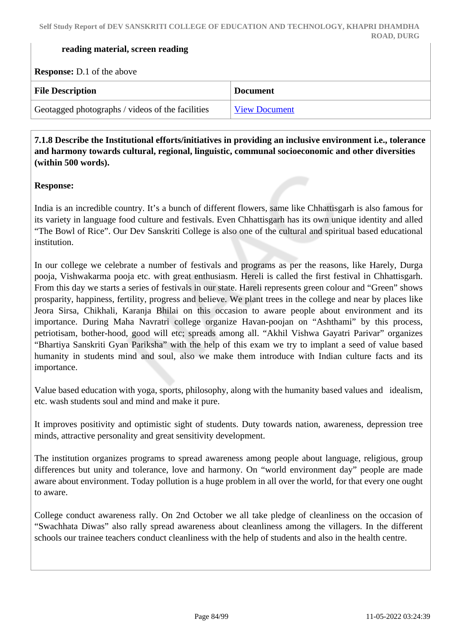#### **reading material, screen reading**

**Response:** D.1 of the above

| <b>File Description</b>                          | <b>Document</b>      |
|--------------------------------------------------|----------------------|
| Geotagged photographs / videos of the facilities | <b>View Document</b> |

 **7.1.8 Describe the Institutional efforts/initiatives in providing an inclusive environment i.e., tolerance and harmony towards cultural, regional, linguistic, communal socioeconomic and other diversities (within 500 words).**

#### **Response:**

India is an incredible country. It's a bunch of different flowers, same like Chhattisgarh is also famous for its variety in language food culture and festivals. Even Chhattisgarh has its own unique identity and alled "The Bowl of Rice". Our Dev Sanskriti College is also one of the cultural and spiritual based educational institution.

In our college we celebrate a number of festivals and programs as per the reasons, like Harely, Durga pooja, Vishwakarma pooja etc. with great enthusiasm. Hereli is called the first festival in Chhattisgarh. From this day we starts a series of festivals in our state. Hareli represents green colour and "Green" shows prosparity, happiness, fertility, progress and believe. We plant trees in the college and near by places like Jeora Sirsa, Chikhali, Karanja Bhilai on this occasion to aware people about environment and its importance. During Maha Navratri college organize Havan-poojan on "Ashthami" by this process, petriotisam, bother-hood, good will etc; spreads among all. "Akhil Vishwa Gayatri Parivar" organizes "Bhartiya Sanskriti Gyan Pariksha" with the help of this exam we try to implant a seed of value based humanity in students mind and soul, also we make them introduce with Indian culture facts and its importance.

Value based education with yoga, sports, philosophy, along with the humanity based values and idealism, etc. wash students soul and mind and make it pure.

It improves positivity and optimistic sight of students. Duty towards nation, awareness, depression tree minds, attractive personality and great sensitivity development.

The institution organizes programs to spread awareness among people about language, religious, group differences but unity and tolerance, love and harmony. On "world environment day" people are made aware about environment. Today pollution is a huge problem in all over the world, for that every one ought to aware.

College conduct awareness rally. On 2nd October we all take pledge of cleanliness on the occasion of "Swachhata Diwas" also rally spread awareness about cleanliness among the villagers. In the different schools our trainee teachers conduct cleanliness with the help of students and also in the health centre.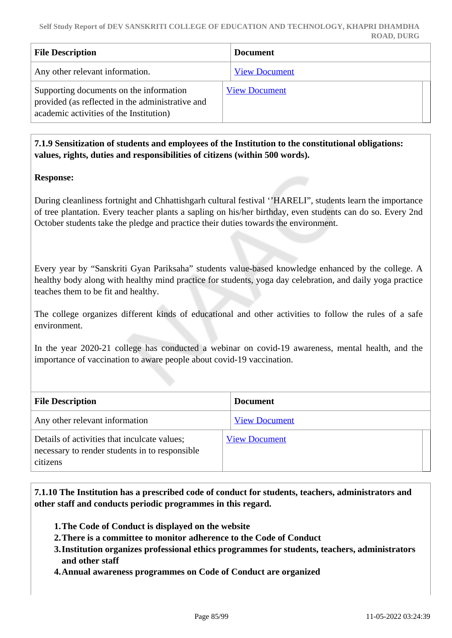| <b>File Description</b>                                                                                                                | <b>Document</b>      |
|----------------------------------------------------------------------------------------------------------------------------------------|----------------------|
| Any other relevant information.                                                                                                        | <b>View Document</b> |
| Supporting documents on the information<br>provided (as reflected in the administrative and<br>academic activities of the Institution) | <b>View Document</b> |

 **7.1.9 Sensitization of students and employees of the Institution to the constitutional obligations: values, rights, duties and responsibilities of citizens (within 500 words).**

#### **Response:**

During cleanliness fortnight and Chhattishgarh cultural festival ''HARELI", students learn the importance of tree plantation. Every teacher plants a sapling on his/her birthday, even students can do so. Every 2nd October students take the pledge and practice their duties towards the environment.

Every year by "Sanskriti Gyan Pariksaha" students value-based knowledge enhanced by the college. A healthy body along with healthy mind practice for students, yoga day celebration, and daily yoga practice teaches them to be fit and healthy.

The college organizes different kinds of educational and other activities to follow the rules of a safe environment.

In the year 2020-21 college has conducted a webinar on covid-19 awareness, mental health, and the importance of vaccination to aware people about covid-19 vaccination.

| <b>File Description</b>                                                                                    | <b>Document</b>      |
|------------------------------------------------------------------------------------------------------------|----------------------|
| Any other relevant information                                                                             | <b>View Document</b> |
| Details of activities that inculcate values;<br>necessary to render students in to responsible<br>citizens | <b>View Document</b> |

 **7.1.10 The Institution has a prescribed code of conduct for students, teachers, administrators and other staff and conducts periodic programmes in this regard.** 

- **1.The Code of Conduct is displayed on the website**
- **2.There is a committee to monitor adherence to the Code of Conduct**
- **3.Institution organizes professional ethics programmes for students, teachers, administrators and other staff**
- **4.Annual awareness programmes on Code of Conduct are organized**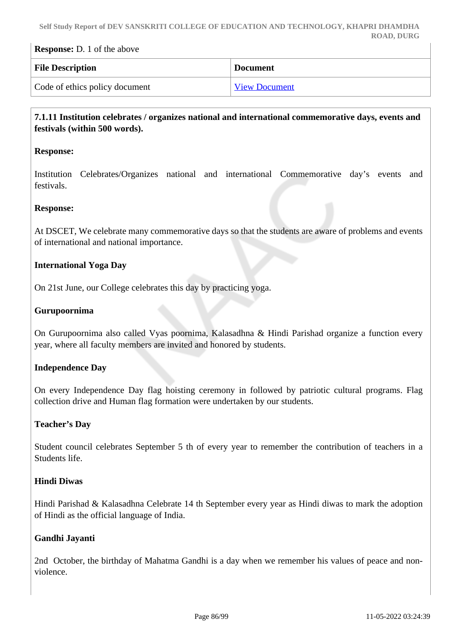| <b>Response:</b> D. 1 of the above |                      |
|------------------------------------|----------------------|
| <b>File Description</b>            | <b>Document</b>      |
| Code of ethics policy document     | <b>View Document</b> |

## **7.1.11 Institution celebrates / organizes national and international commemorative days, events and festivals (within 500 words).**

#### **Response:**

Institution Celebrates/Organizes national and international Commemorative day's events and festivals.

#### **Response:**

At DSCET, We celebrate many commemorative days so that the students are aware of problems and events of international and national importance.

#### **International Yoga Day**

On 21st June, our College celebrates this day by practicing yoga.

#### **Gurupoornima**

On Gurupoornima also called Vyas poornima, Kalasadhna & Hindi Parishad organize a function every year, where all faculty members are invited and honored by students.

#### **Independence Day**

On every Independence Day flag hoisting ceremony in followed by patriotic cultural programs. Flag collection drive and Human flag formation were undertaken by our students.

#### **Teacher's Day**

Student council celebrates September 5 th of every year to remember the contribution of teachers in a Students life.

#### **Hindi Diwas**

Hindi Parishad & Kalasadhna Celebrate 14 th September every year as Hindi diwas to mark the adoption of Hindi as the official language of India.

#### **Gandhi Jayanti**

2nd October, the birthday of Mahatma Gandhi is a day when we remember his values of peace and nonviolence.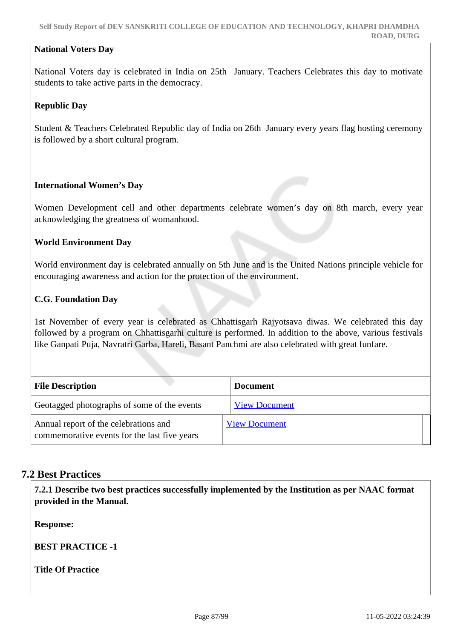#### **National Voters Day**

National Voters day is celebrated in India on 25th January. Teachers Celebrates this day to motivate students to take active parts in the democracy.

## **Republic Day**

Student & Teachers Celebrated Republic day of India on 26th January every years flag hosting ceremony is followed by a short cultural program.

#### **International Women's Day**

Women Development cell and other departments celebrate women's day on 8th march, every year acknowledging the greatness of womanhood.

#### **World Environment Day**

World environment day is celebrated annually on 5th June and is the United Nations principle vehicle for encouraging awareness and action for the protection of the environment.

#### **C.G. Foundation Day**

1st November of every year is celebrated as Chhattisgarh Rajyotsava diwas. We celebrated this day followed by a program on Chhattisgarhi culture is performed. In addition to the above, various festivals like Ganpati Puja, Navratri Garba, Hareli, Basant Panchmi are also celebrated with great funfare.

| <b>File Description</b>                                                               | <b>Document</b>      |
|---------------------------------------------------------------------------------------|----------------------|
| Geotagged photographs of some of the events                                           | <b>View Document</b> |
| Annual report of the celebrations and<br>commemorative events for the last five years | <b>View Document</b> |

## **7.2 Best Practices**

 **7.2.1 Describe two best practices successfully implemented by the Institution as per NAAC format provided in the Manual.**

**Response:** 

**BEST PRACTICE -1** 

**Title Of Practice**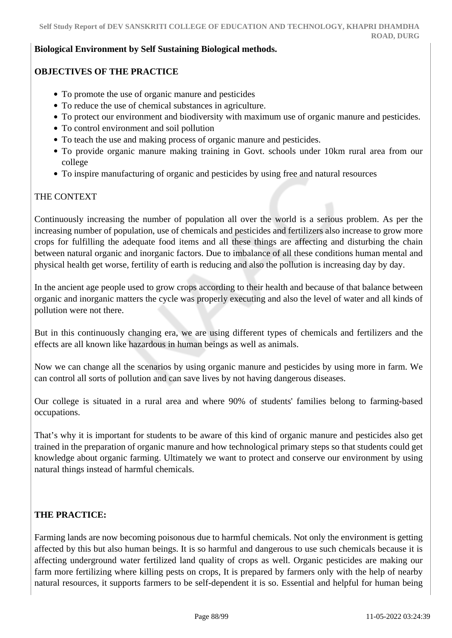#### **Biological Environment by Self Sustaining Biological methods.**

## **OBJECTIVES OF THE PRACTICE**

- To promote the use of organic manure and pesticides
- To reduce the use of chemical substances in agriculture.
- To protect our environment and biodiversity with maximum use of organic manure and pesticides.
- To control environment and soil pollution
- To teach the use and making process of organic manure and pesticides.
- To provide organic manure making training in Govt. schools under 10km rural area from our college
- To inspire manufacturing of organic and pesticides by using free and natural resources

## THE CONTEXT

Continuously increasing the number of population all over the world is a serious problem. As per the increasing number of population, use of chemicals and pesticides and fertilizers also increase to grow more crops for fulfilling the adequate food items and all these things are affecting and disturbing the chain between natural organic and inorganic factors. Due to imbalance of all these conditions human mental and physical health get worse, fertility of earth is reducing and also the pollution is increasing day by day.

In the ancient age people used to grow crops according to their health and because of that balance between organic and inorganic matters the cycle was properly executing and also the level of water and all kinds of pollution were not there.

But in this continuously changing era, we are using different types of chemicals and fertilizers and the effects are all known like hazardous in human beings as well as animals.

Now we can change all the scenarios by using organic manure and pesticides by using more in farm. We can control all sorts of pollution and can save lives by not having dangerous diseases.

Our college is situated in a rural area and where 90% of students' families belong to farming-based occupations.

That's why it is important for students to be aware of this kind of organic manure and pesticides also get trained in the preparation of organic manure and how technological primary steps so that students could get knowledge about organic farming. Ultimately we want to protect and conserve our environment by using natural things instead of harmful chemicals.

## **THE PRACTICE:**

Farming lands are now becoming poisonous due to harmful chemicals. Not only the environment is getting affected by this but also human beings. It is so harmful and dangerous to use such chemicals because it is affecting underground water fertilized land quality of crops as well. Organic pesticides are making our farm more fertilizing where killing pests on crops, It is prepared by farmers only with the help of nearby natural resources, it supports farmers to be self-dependent it is so. Essential and helpful for human being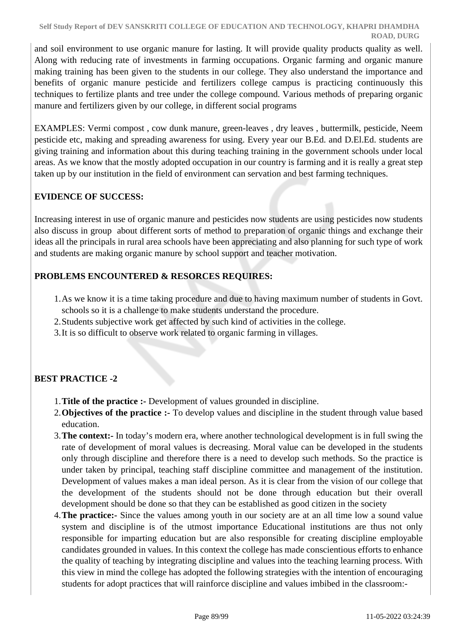and soil environment to use organic manure for lasting. It will provide quality products quality as well. Along with reducing rate of investments in farming occupations. Organic farming and organic manure making training has been given to the students in our college. They also understand the importance and benefits of organic manure pesticide and fertilizers college campus is practicing continuously this techniques to fertilize plants and tree under the college compound. Various methods of preparing organic manure and fertilizers given by our college, in different social programs

EXAMPLES: Vermi compost , cow dunk manure, green-leaves , dry leaves , buttermilk, pesticide, Neem pesticide etc, making and spreading awareness for using. Every year our B.Ed. and D.El.Ed. students are giving training and information about this during teaching training in the government schools under local areas. As we know that the mostly adopted occupation in our country is farming and it is really a great step taken up by our institution in the field of environment can servation and best farming techniques.

## **EVIDENCE OF SUCCESS:**

Increasing interest in use of organic manure and pesticides now students are using pesticides now students also discuss in group about different sorts of method to preparation of organic things and exchange their ideas all the principals in rural area schools have been appreciating and also planning for such type of work and students are making organic manure by school support and teacher motivation.

## **PROBLEMS ENCOUNTERED & RESORCES REQUIRES:**

- 1.As we know it is a time taking procedure and due to having maximum number of students in Govt. schools so it is a challenge to make students understand the procedure.
- 2.Students subjective work get affected by such kind of activities in the college.
- 3.It is so difficult to observe work related to organic farming in villages.

## **BEST PRACTICE -2**

- 1.**Title of the practice :-** Development of values grounded in discipline.
- 2.**Objectives of the practice :-** To develop values and discipline in the student through value based education.
- 3.**The context:-** In today's modern era, where another technological development is in full swing the rate of development of moral values is decreasing. Moral value can be developed in the students only through discipline and therefore there is a need to develop such methods. So the practice is under taken by principal, teaching staff discipline committee and management of the institution. Development of values makes a man ideal person. As it is clear from the vision of our college that the development of the students should not be done through education but their overall development should be done so that they can be established as good citizen in the society
- 4.**The practice:-** Since the values among youth in our society are at an all time low a sound value system and discipline is of the utmost importance Educational institutions are thus not only responsible for imparting education but are also responsible for creating discipline employable candidates grounded in values. In this context the college has made conscientious efforts to enhance the quality of teaching by integrating discipline and values into the teaching learning process. With this view in mind the college has adopted the following strategies with the intention of encouraging students for adopt practices that will rainforce discipline and values imbibed in the classroom:-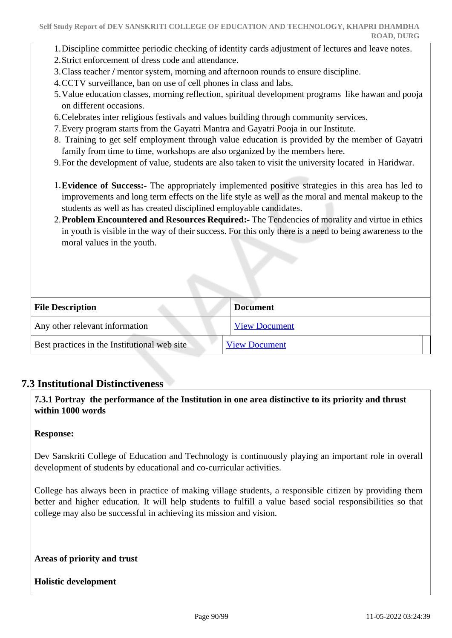- 1.Discipline committee periodic checking of identity cards adjustment of lectures and leave notes.
- 2.Strict enforcement of dress code and attendance.
- 3.Class teacher **/** mentor system, morning and afternoon rounds to ensure discipline.
- 4.CCTV surveillance, ban on use of cell phones in class and labs.
- 5.Value education classes, morning reflection, spiritual development programs like hawan and pooja on different occasions.
- 6.Celebrates inter religious festivals and values building through community services.
- 7.Every program starts from the Gayatri Mantra and Gayatri Pooja in our Institute.
- 8. Training to get self employment through value education is provided by the member of Gayatri family from time to time, workshops are also organized by the members here.
- 9.For the development of value, students are also taken to visit the university located in Haridwar.
- 1.**Evidence of Success:-** The appropriately implemented positive strategies in this area has led to improvements and long term effects on the life style as well as the moral and mental makeup to the students as well as has created disciplined employable candidates.
- 2.**Problem Encountered and Resources Required:-** The Tendencies of morality and virtue in ethics in youth is visible in the way of their success. For this only there is a need to being awareness to the moral values in the youth.

| <b>File Description</b>                      | <b>Document</b>      |
|----------------------------------------------|----------------------|
| Any other relevant information               | <b>View Document</b> |
| Best practices in the Institutional web site | <b>View Document</b> |

## **7.3 Institutional Distinctiveness**

## **7.3.1 Portray the performance of the Institution in one area distinctive to its priority and thrust within 1000 words**

#### **Response:**

Dev Sanskriti College of Education and Technology is continuously playing an important role in overall development of students by educational and co-curricular activities.

College has always been in practice of making village students, a responsible citizen by providing them better and higher education. It will help students to fulfill a value based social responsibilities so that college may also be successful in achieving its mission and vision.

**Areas of priority and trust**

**Holistic development**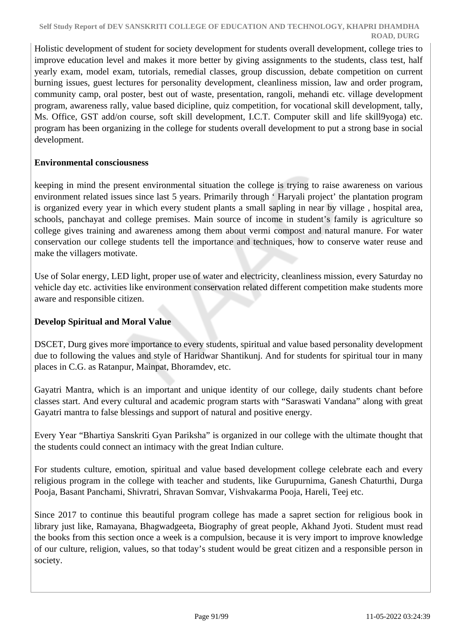Holistic development of student for society development for students overall development, college tries to improve education level and makes it more better by giving assignments to the students, class test, half yearly exam, model exam, tutorials, remedial classes, group discussion, debate competition on current burning issues, guest lectures for personality development, cleanliness mission, law and order program, community camp, oral poster, best out of waste, presentation, rangoli, mehandi etc. village development program, awareness rally, value based dicipline, quiz competition, for vocational skill development, tally, Ms. Office, GST add/on course, soft skill development, I.C.T. Computer skill and life skill9yoga) etc. program has been organizing in the college for students overall development to put a strong base in social development.

## **Environmental consciousness**

keeping in mind the present environmental situation the college is trying to raise awareness on various environment related issues since last 5 years. Primarily through ' Haryali project' the plantation program is organized every year in which every student plants a small sapling in near by village , hospital area, schools, panchayat and college premises. Main source of income in student's family is agriculture so college gives training and awareness among them about vermi compost and natural manure. For water conservation our college students tell the importance and techniques, how to conserve water reuse and make the villagers motivate.

Use of Solar energy, LED light, proper use of water and electricity, cleanliness mission, every Saturday no vehicle day etc. activities like environment conservation related different competition make students more aware and responsible citizen.

## **Develop Spiritual and Moral Value**

DSCET, Durg gives more importance to every students, spiritual and value based personality development due to following the values and style of Haridwar Shantikunj. And for students for spiritual tour in many places in C.G. as Ratanpur, Mainpat, Bhoramdev, etc.

Gayatri Mantra, which is an important and unique identity of our college, daily students chant before classes start. And every cultural and academic program starts with "Saraswati Vandana" along with great Gayatri mantra to false blessings and support of natural and positive energy.

Every Year "Bhartiya Sanskriti Gyan Pariksha" is organized in our college with the ultimate thought that the students could connect an intimacy with the great Indian culture.

For students culture, emotion, spiritual and value based development college celebrate each and every religious program in the college with teacher and students, like Gurupurnima, Ganesh Chaturthi, Durga Pooja, Basant Panchami, Shivratri, Shravan Somvar, Vishvakarma Pooja, Hareli, Teej etc.

Since 2017 to continue this beautiful program college has made a sapret section for religious book in library just like, Ramayana, Bhagwadgeeta, Biography of great people, Akhand Jyoti. Student must read the books from this section once a week is a compulsion, because it is very import to improve knowledge of our culture, religion, values, so that today's student would be great citizen and a responsible person in society.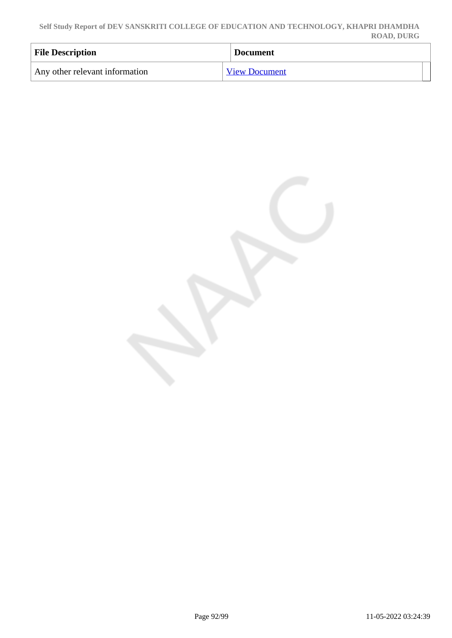**Self Study Report of DEV SANSKRITI COLLEGE OF EDUCATION AND TECHNOLOGY, KHAPRI DHAMDHA ROAD, DURG**

| <b>File Description</b>        | <b>Document</b>      |
|--------------------------------|----------------------|
| Any other relevant information | <b>View Document</b> |

Page 92/99 11-05-2022 03:24:39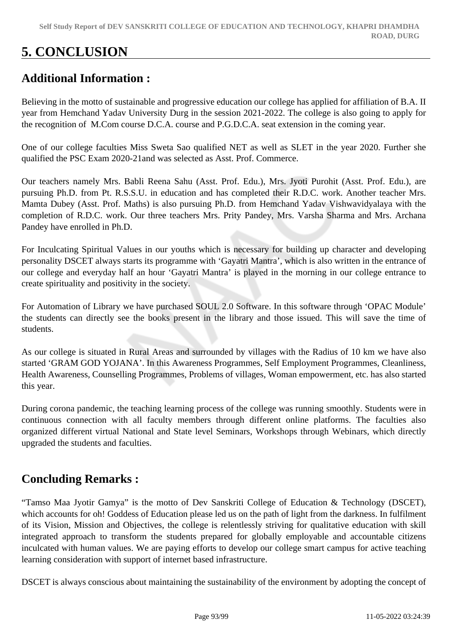# **5. CONCLUSION**

## **Additional Information :**

Believing in the motto of sustainable and progressive education our college has applied for affiliation of B.A. II year from Hemchand Yadav University Durg in the session 2021-2022. The college is also going to apply for the recognition of M.Com course D.C.A. course and P.G.D.C.A. seat extension in the coming year.

One of our college faculties Miss Sweta Sao qualified NET as well as SLET in the year 2020. Further she qualified the PSC Exam 2020-21and was selected as Asst. Prof. Commerce.

Our teachers namely Mrs. Babli Reena Sahu (Asst. Prof. Edu.), Mrs. Jyoti Purohit (Asst. Prof. Edu.), are pursuing Ph.D. from Pt. R.S.S.U. in education and has completed their R.D.C. work. Another teacher Mrs. Mamta Dubey (Asst. Prof. Maths) is also pursuing Ph.D. from Hemchand Yadav Vishwavidyalaya with the completion of R.D.C. work. Our three teachers Mrs. Prity Pandey, Mrs. Varsha Sharma and Mrs. Archana Pandey have enrolled in Ph.D.

For Inculcating Spiritual Values in our youths which is necessary for building up character and developing personality DSCET always starts its programme with 'Gayatri Mantra', which is also written in the entrance of our college and everyday half an hour 'Gayatri Mantra' is played in the morning in our college entrance to create spirituality and positivity in the society.

For Automation of Library we have purchased SOUL 2.0 Software. In this software through 'OPAC Module' the students can directly see the books present in the library and those issued. This will save the time of students.

As our college is situated in Rural Areas and surrounded by villages with the Radius of 10 km we have also started 'GRAM GOD YOJANA'. In this Awareness Programmes, Self Employment Programmes, Cleanliness, Health Awareness, Counselling Programmes, Problems of villages, Woman empowerment, etc. has also started this year.

During corona pandemic, the teaching learning process of the college was running smoothly. Students were in continuous connection with all faculty members through different online platforms. The faculties also organized different virtual National and State level Seminars, Workshops through Webinars, which directly upgraded the students and faculties.

## **Concluding Remarks :**

"Tamso Maa Jyotir Gamya" is the motto of Dev Sanskriti College of Education & Technology (DSCET), which accounts for oh! Goddess of Education please led us on the path of light from the darkness. In fulfilment of its Vision, Mission and Objectives, the college is relentlessly striving for qualitative education with skill integrated approach to transform the students prepared for globally employable and accountable citizens inculcated with human values. We are paying efforts to develop our college smart campus for active teaching learning consideration with support of internet based infrastructure.

DSCET is always conscious about maintaining the sustainability of the environment by adopting the concept of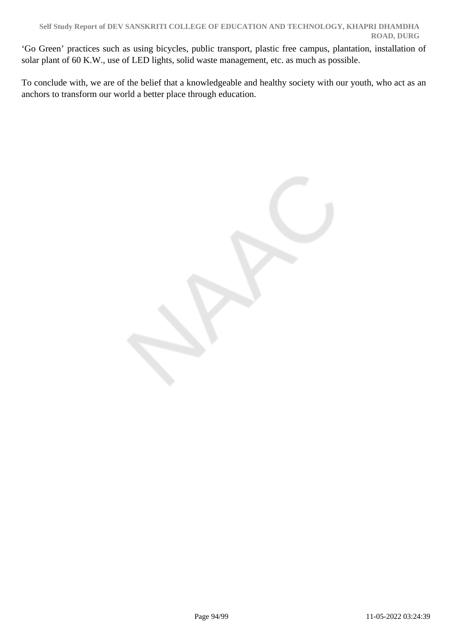'Go Green' practices such as using bicycles, public transport, plastic free campus, plantation, installation of solar plant of 60 K.W., use of LED lights, solid waste management, etc. as much as possible.

To conclude with, we are of the belief that a knowledgeable and healthy society with our youth, who act as an anchors to transform our world a better place through education.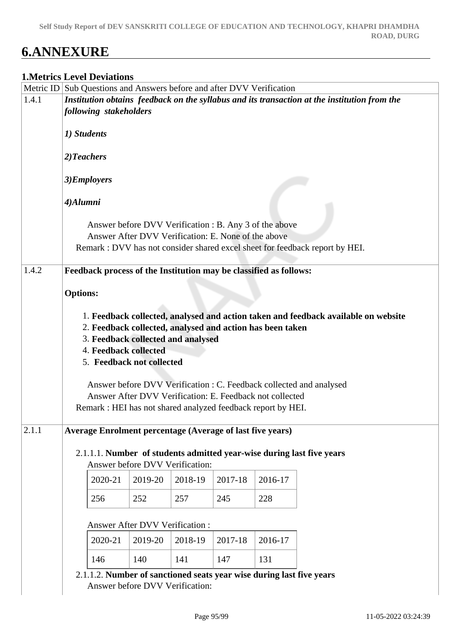# **6.ANNEXURE**

## **1.Metrics Level Deviations**

|       |                 |                        |                                 | Metric ID Sub Questions and Answers before and after DVV Verification |         |         |                                                                                              |
|-------|-----------------|------------------------|---------------------------------|-----------------------------------------------------------------------|---------|---------|----------------------------------------------------------------------------------------------|
| 1.4.1 |                 |                        |                                 |                                                                       |         |         | Institution obtains feedback on the syllabus and its transaction at the institution from the |
|       |                 | following stakeholders |                                 |                                                                       |         |         |                                                                                              |
|       | 1) Students     |                        |                                 |                                                                       |         |         |                                                                                              |
|       | 2) Teachers     |                        |                                 |                                                                       |         |         |                                                                                              |
|       | 3)Employers     |                        |                                 |                                                                       |         |         |                                                                                              |
|       | 4)Alumni        |                        |                                 |                                                                       |         |         |                                                                                              |
|       |                 |                        |                                 | Answer before DVV Verification : B. Any 3 of the above                |         |         |                                                                                              |
|       |                 |                        |                                 | Answer After DVV Verification: E. None of the above                   |         |         |                                                                                              |
|       |                 |                        |                                 |                                                                       |         |         | Remark : DVV has not consider shared excel sheet for feedback report by HEI.                 |
| 1.4.2 |                 |                        |                                 | Feedback process of the Institution may be classified as follows:     |         |         |                                                                                              |
|       |                 |                        |                                 |                                                                       |         |         |                                                                                              |
|       | <b>Options:</b> |                        |                                 |                                                                       |         |         |                                                                                              |
|       |                 |                        |                                 |                                                                       |         |         |                                                                                              |
|       |                 |                        |                                 | 2. Feedback collected, analysed and action has been taken             |         |         | 1. Feedback collected, analysed and action taken and feedback available on website           |
|       |                 |                        |                                 | 3. Feedback collected and analysed                                    |         |         |                                                                                              |
|       |                 | 4. Feedback collected  |                                 |                                                                       |         |         |                                                                                              |
|       |                 |                        | 5. Feedback not collected       |                                                                       |         |         |                                                                                              |
|       |                 |                        |                                 |                                                                       |         |         |                                                                                              |
|       |                 |                        |                                 |                                                                       |         |         | Answer before DVV Verification : C. Feedback collected and analysed                          |
|       |                 |                        |                                 | Answer After DVV Verification: E. Feedback not collected              |         |         |                                                                                              |
|       |                 |                        |                                 | Remark : HEI has not shared analyzed feedback report by HEI.          |         |         |                                                                                              |
| 2.1.1 |                 |                        |                                 | Average Enrolment percentage (Average of last five years)             |         |         |                                                                                              |
|       |                 |                        |                                 |                                                                       |         |         |                                                                                              |
|       |                 |                        |                                 |                                                                       |         |         | 2.1.1.1. Number of students admitted year-wise during last five years                        |
|       |                 |                        | Answer before DVV Verification: |                                                                       |         |         |                                                                                              |
|       |                 | 2020-21                | 2019-20                         | 2018-19                                                               | 2017-18 | 2016-17 |                                                                                              |
|       |                 | 256                    | 252                             | 257                                                                   | 245     | 228     |                                                                                              |
|       |                 |                        | Answer After DVV Verification : |                                                                       |         |         |                                                                                              |
|       |                 | 2020-21                | 2019-20                         | 2018-19                                                               | 2017-18 | 2016-17 |                                                                                              |
|       |                 | 146                    | 140                             | 141                                                                   | 147     | 131     |                                                                                              |
|       |                 |                        | Answer before DVV Verification: | 2.1.1.2. Number of sanctioned seats year wise during last five years  |         |         |                                                                                              |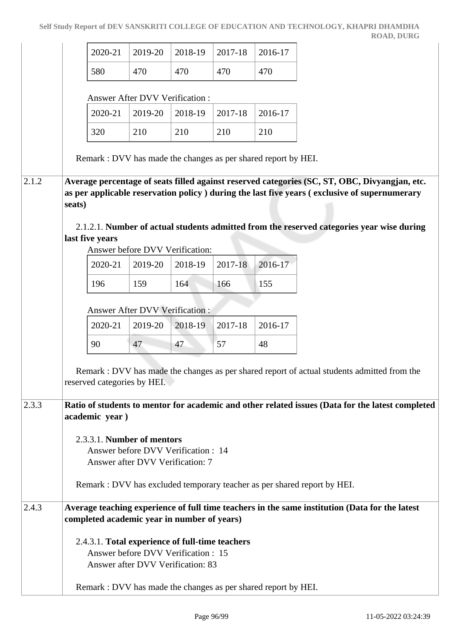|       | 2020-21                                                        | 2019-20                                                                  | 2018-19 | 2017-18 | 2016-17 |                                                                                                                                                                                                                                                                                             |
|-------|----------------------------------------------------------------|--------------------------------------------------------------------------|---------|---------|---------|---------------------------------------------------------------------------------------------------------------------------------------------------------------------------------------------------------------------------------------------------------------------------------------------|
|       | 580                                                            | 470                                                                      | 470     | 470     | 470     |                                                                                                                                                                                                                                                                                             |
|       |                                                                | Answer After DVV Verification :                                          |         |         |         |                                                                                                                                                                                                                                                                                             |
|       | 2020-21                                                        | 2019-20                                                                  | 2018-19 | 2017-18 | 2016-17 |                                                                                                                                                                                                                                                                                             |
|       | 320                                                            | 210                                                                      | 210     | 210     | 210     |                                                                                                                                                                                                                                                                                             |
|       | Remark : DVV has made the changes as per shared report by HEI. |                                                                          |         |         |         |                                                                                                                                                                                                                                                                                             |
| 2.1.2 | seats)<br>last five years                                      |                                                                          |         |         |         | Average percentage of seats filled against reserved categories (SC, ST, OBC, Divyangjan, etc.<br>as per applicable reservation policy ) during the last five years (exclusive of supernumerary<br>2.1.2.1. Number of actual students admitted from the reserved categories year wise during |
|       | 2020-21                                                        | Answer before DVV Verification:<br>2019-20                               | 2018-19 | 2017-18 | 2016-17 |                                                                                                                                                                                                                                                                                             |
|       | 196                                                            | 159                                                                      | 164     | 166     | 155     |                                                                                                                                                                                                                                                                                             |
|       |                                                                |                                                                          |         |         |         |                                                                                                                                                                                                                                                                                             |
|       |                                                                | Answer After DVV Verification :                                          |         |         |         |                                                                                                                                                                                                                                                                                             |
|       | 2020-21                                                        | 2019-20                                                                  | 2018-19 | 2017-18 | 2016-17 |                                                                                                                                                                                                                                                                                             |
|       | 90                                                             | 47                                                                       | 47      | 57      | 48      |                                                                                                                                                                                                                                                                                             |
|       | reserved categories by HEI.                                    |                                                                          |         |         |         | Remark : DVV has made the changes as per shared report of actual students admitted from the                                                                                                                                                                                                 |
| 2.3.3 | academic year)                                                 |                                                                          |         |         |         | Ratio of students to mentor for academic and other related issues (Data for the latest completed                                                                                                                                                                                            |
|       | 2.3.3.1. Number of mentors                                     | Answer before DVV Verification : 14<br>Answer after DVV Verification: 7  |         |         |         | Remark : DVV has excluded temporary teacher as per shared report by HEI.                                                                                                                                                                                                                    |
| 2.4.3 |                                                                |                                                                          |         |         |         | Average teaching experience of full time teachers in the same institution (Data for the latest                                                                                                                                                                                              |
|       | completed academic year in number of years)                    |                                                                          |         |         |         |                                                                                                                                                                                                                                                                                             |
|       | 2.4.3.1. Total experience of full-time teachers                | Answer before DVV Verification : 15<br>Answer after DVV Verification: 83 |         |         |         |                                                                                                                                                                                                                                                                                             |

Remark : DVV has made the changes as per shared report by HEI.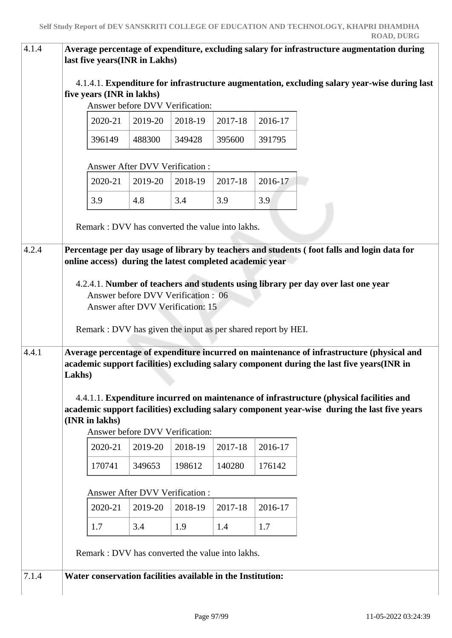| 4.1.4 | last five years(INR in Lakhs)                               |                                                              |         |         |         | Average percentage of expenditure, excluding salary for infrastructure augmentation during                                                                                              |
|-------|-------------------------------------------------------------|--------------------------------------------------------------|---------|---------|---------|-----------------------------------------------------------------------------------------------------------------------------------------------------------------------------------------|
|       | five years (INR in lakhs)                                   | Answer before DVV Verification:                              |         |         |         | 4.1.4.1. Expenditure for infrastructure augmentation, excluding salary year-wise during last                                                                                            |
|       | 2020-21                                                     | 2019-20                                                      | 2018-19 | 2017-18 | 2016-17 |                                                                                                                                                                                         |
|       | 396149                                                      | 488300                                                       | 349428  | 395600  | 391795  |                                                                                                                                                                                         |
|       |                                                             | Answer After DVV Verification:                               |         |         |         |                                                                                                                                                                                         |
|       | 2020-21                                                     | 2019-20                                                      | 2018-19 | 2017-18 | 2016-17 |                                                                                                                                                                                         |
|       | 3.9                                                         | 4.8                                                          | 3.4     | 3.9     | 3.9     |                                                                                                                                                                                         |
|       |                                                             | Remark: DVV has converted the value into lakhs.              |         |         |         |                                                                                                                                                                                         |
| 4.2.4 |                                                             |                                                              |         |         |         | Percentage per day usage of library by teachers and students (foot falls and login data for                                                                                             |
|       | online access) during the latest completed academic year    |                                                              |         |         |         |                                                                                                                                                                                         |
|       |                                                             | Answer before DVV Verification: 06                           |         |         |         | 4.2.4.1. Number of teachers and students using library per day over last one year                                                                                                       |
|       |                                                             | Answer after DVV Verification: 15                            |         |         |         |                                                                                                                                                                                         |
|       |                                                             | Remark: DVV has given the input as per shared report by HEI. |         |         |         |                                                                                                                                                                                         |
| 4.4.1 | Lakhs)                                                      |                                                              |         |         |         | Average percentage of expenditure incurred on maintenance of infrastructure (physical and<br>academic support facilities) excluding salary component during the last five years(INR in  |
|       | (INR in lakhs)                                              | Answer before DVV Verification:                              |         |         |         | 4.4.1.1. Expenditure incurred on maintenance of infrastructure (physical facilities and<br>academic support facilities) excluding salary component year-wise during the last five years |
|       | 2020-21                                                     | 2019-20                                                      | 2018-19 | 2017-18 | 2016-17 |                                                                                                                                                                                         |
|       | 170741                                                      | 349653                                                       | 198612  | 140280  | 176142  |                                                                                                                                                                                         |
|       |                                                             | Answer After DVV Verification :                              |         |         |         |                                                                                                                                                                                         |
|       | 2020-21                                                     | 2019-20                                                      | 2018-19 | 2017-18 | 2016-17 |                                                                                                                                                                                         |
|       | 1.7                                                         | 3.4                                                          | 1.9     | 1.4     | 1.7     |                                                                                                                                                                                         |
|       |                                                             | Remark: DVV has converted the value into lakhs.              |         |         |         |                                                                                                                                                                                         |
| 7.1.4 | Water conservation facilities available in the Institution: |                                                              |         |         |         |                                                                                                                                                                                         |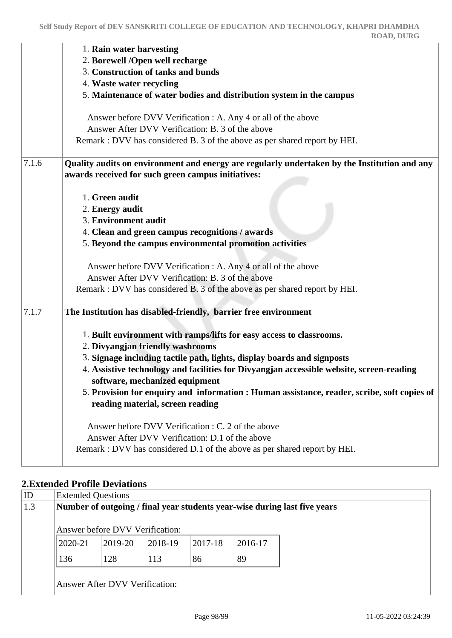|       | 1. Rain water harvesting                                                                                                   |
|-------|----------------------------------------------------------------------------------------------------------------------------|
|       | 2. Borewell /Open well recharge                                                                                            |
|       | 3. Construction of tanks and bunds                                                                                         |
|       | 4. Waste water recycling                                                                                                   |
|       | 5. Maintenance of water bodies and distribution system in the campus                                                       |
|       | Answer before DVV Verification : A. Any 4 or all of the above                                                              |
|       | Answer After DVV Verification: B. 3 of the above                                                                           |
|       | Remark : DVV has considered B. 3 of the above as per shared report by HEI.                                                 |
| 7.1.6 | Quality audits on environment and energy are regularly undertaken by the Institution and any                               |
|       | awards received for such green campus initiatives:                                                                         |
|       | 1. Green audit                                                                                                             |
|       | 2. Energy audit                                                                                                            |
|       | 3. Environment audit                                                                                                       |
|       | 4. Clean and green campus recognitions / awards                                                                            |
|       | 5. Beyond the campus environmental promotion activities                                                                    |
|       | Answer before DVV Verification : A. Any 4 or all of the above                                                              |
|       | Answer After DVV Verification: B. 3 of the above                                                                           |
|       | Remark : DVV has considered B. 3 of the above as per shared report by HEI.                                                 |
| 7.1.7 | The Institution has disabled-friendly, barrier free environment                                                            |
|       | 1. Built environment with ramps/lifts for easy access to classrooms.                                                       |
|       | 2. Divyangjan friendly washrooms                                                                                           |
|       | 3. Signage including tactile path, lights, display boards and signposts                                                    |
|       | 4. Assistive technology and facilities for Divyangjan accessible website, screen-reading<br>software, mechanized equipment |
|       | 5. Provision for enquiry and information : Human assistance, reader, scribe, soft copies of                                |
|       | reading material, screen reading                                                                                           |
|       | Answer before DVV Verification : C. 2 of the above                                                                         |
|       | Answer After DVV Verification: D.1 of the above                                                                            |
|       | Remark : DVV has considered D.1 of the above as per shared report by HEI.                                                  |
|       |                                                                                                                            |

## **2.Extended Profile Deviations**

| <b>Extended Questions</b> |                                                                           |         |         |         |
|---------------------------|---------------------------------------------------------------------------|---------|---------|---------|
|                           | Number of outgoing / final year students year-wise during last five years |         |         |         |
|                           | Answer before DVV Verification:                                           |         |         |         |
| $ 2020 - 21$              | 2019-20                                                                   | 2018-19 | 2017-18 | 2016-17 |
| 136                       | 128                                                                       | 113     | 86      | 89      |

Answer After DVV Verification: